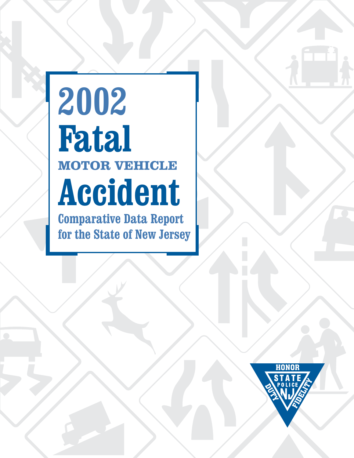# **2002 Fatal Accident Comparative Data Report MOTOR VEHICLE**

**for the State of New Jersey**

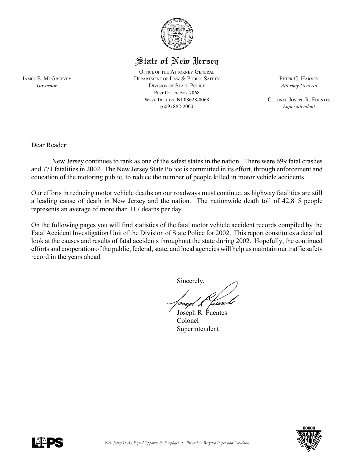

# State of New Jersey

OFFICE OF THE ATTORNEY GENERAL JAMES E. MCGREEVEY DEPARTMENT OF LAW & PUBLIC SAFETY PETER C. HARVEY *Governor* DIVISION OF STATE POLICE *Attorney General* POST OFFICE BOX 7068 WEST TRENTON, NJ 08628-0068 COLONEL JOSEPH R. FUENTES (609) 882-2000 *Superintendent*

Dear Reader:

New Jersey continues to rank as one of the safest states in the nation. There were 699 fatal crashes and 771 fatalities in 2002. The New Jersey State Police is committed in its effort, through enforcement and education of the motoring public, to reduce the number of people killed in motor vehicle accidents.

Our efforts in reducing motor vehicle deaths on our roadways must continue, as highway fatalities are still a leading cause of death in New Jersey and the nation. The nationwide death toll of 42,815 people represents an average of more than 117 deaths per day.

On the following pages you will find statistics of the fatal motor vehicle accident records compiled by the Fatal Accident Investigation Unit of the Division of State Police for 2002. This report constitutes a detailed look at the causes and results of fatal accidents throughout the state during 2002. Hopefully, the continued efforts and cooperation of the public, federal, state, and local agencies will help us maintain our traffic safety record in the years ahead.

Sincerely,

iien b

Joseph R. Fuentes Colonel Superintendent



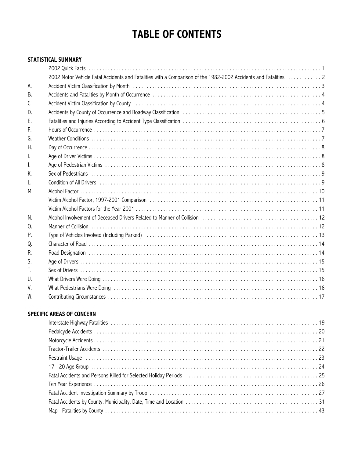# **TABLE OF CONTENTS**

#### **STATISTICAL SUMMARY**

|                | 2002 Motor Vehicle Fatal Accidents and Fatalities with a Comparison of the 1982-2002 Accidents and Fatalities  2                                                                                                               |
|----------------|--------------------------------------------------------------------------------------------------------------------------------------------------------------------------------------------------------------------------------|
| А.             | Accident Victim Classification by Month (all contained according to the content of the Morte of Accident Victim Classification by Month (all contained according to the set of the set of the set of the set of the set of the |
| B.             |                                                                                                                                                                                                                                |
| C.             |                                                                                                                                                                                                                                |
| D.             | Accidents by County of Occurrence and Roadway Classification (and accuration) contains a series of the set of                                                                                                                  |
| F.             |                                                                                                                                                                                                                                |
| F.             |                                                                                                                                                                                                                                |
| G.             |                                                                                                                                                                                                                                |
| Η.             |                                                                                                                                                                                                                                |
| I.             |                                                                                                                                                                                                                                |
| J.             |                                                                                                                                                                                                                                |
| Κ.             |                                                                                                                                                                                                                                |
| L.             |                                                                                                                                                                                                                                |
| М.             |                                                                                                                                                                                                                                |
|                |                                                                                                                                                                                                                                |
|                |                                                                                                                                                                                                                                |
| N.             |                                                                                                                                                                                                                                |
| $\mathbf{0}$ . |                                                                                                                                                                                                                                |
| Ρ.             |                                                                                                                                                                                                                                |
| Q.             |                                                                                                                                                                                                                                |
| R.             |                                                                                                                                                                                                                                |
| S.             |                                                                                                                                                                                                                                |
| T.             |                                                                                                                                                                                                                                |
| $\mathsf{U}$ . |                                                                                                                                                                                                                                |
| V.             |                                                                                                                                                                                                                                |
| W.             |                                                                                                                                                                                                                                |
|                |                                                                                                                                                                                                                                |

#### **SPECIFIC AREAS OF CONCERN**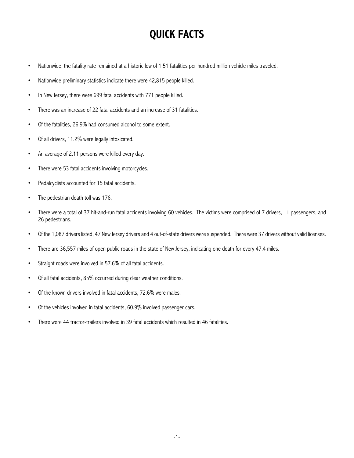# **QUICK FACTS**

- Nationwide, the fatality rate remained at a historic low of 1.51 fatalities per hundred million vehicle miles traveled.
- Nationwide preliminary statistics indicate there were 42,815 people killed.
- In New Jersey, there were 699 fatal accidents with 771 people killed.
- There was an increase of 22 fatal accidents and an increase of 31 fatalities.
- Of the fatalities, 26.9% had consumed alcohol to some extent.
- Of all drivers, 11.2% were legally intoxicated.
- An average of 2.11 persons were killed every day.
- There were 53 fatal accidents involving motorcycles.
- Pedalcyclists accounted for 15 fatal accidents.
- The pedestrian death toll was 176.
- There were a total of 37 hit-and-run fatal accidents involving 60 vehicles. The victims were comprised of 7 drivers, 11 passengers, and 26 pedestrians.
- Of the 1,087 drivers listed, 47 New Jersey drivers and 4 out-of-state drivers were suspended. There were 37 drivers without valid licenses.
- There are 36,557 miles of open public roads in the state of New Jersey, indicating one death for every 47.4 miles.
- Straight roads were involved in 57.6% of all fatal accidents.
- Of all fatal accidents, 85% occurred during clear weather conditions.
- Of the known drivers involved in fatal accidents, 72.6% were males.
- Of the vehicles involved in fatal accidents, 60.9% involved passenger cars.
- There were 44 tractor-trailers involved in 39 fatal accidents which resulted in 46 fatalities.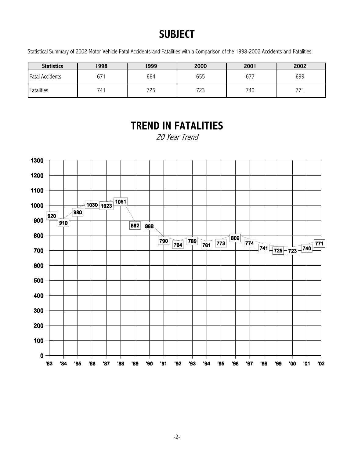# **SUBJECT**

Statistical Summary of 2002 Motor Vehicle Fatal Accidents and Fatalities with a Comparison of the 1998-2002 Accidents and Fatalities.

| <b>Statistics</b>      | 1998 | 1999 | 2000       | 2001 | 2002 |
|------------------------|------|------|------------|------|------|
| <b>Fatal Accidents</b> | 67   | 664  | 655        | 677  | 699  |
| Fatalities             | 741  | 725  | っっっ<br>ر ے | 740  | フフ   |

# **TREND IN FATALITIES**

20 Year Trend

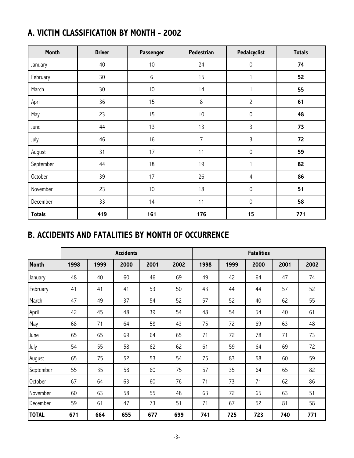|  |  | A. VICTIM CLASSIFICATION BY MONTH - 2002 |  |  |  |
|--|--|------------------------------------------|--|--|--|
|--|--|------------------------------------------|--|--|--|

| Month         | <b>Driver</b> | Passenger | Pedestrian     | Pedalcyclist        | <b>Totals</b> |
|---------------|---------------|-----------|----------------|---------------------|---------------|
| January       | 40            | 10        | 24             | $\mathsf{O}\xspace$ | 74            |
| February      | 30            | $\,6\,$   | 15             |                     | 52            |
| March         | 30            | $10$      | 14             | 1                   | 55            |
| April         | 36            | 15        | $\,8\,$        | $\overline{c}$      | 61            |
| May           | 23            | 15        | $10\,$         | $\mathsf{O}\xspace$ | 48            |
| June          | 44            | 13        | 13             | $\overline{3}$      | 73            |
| July          | 46            | 16        | $\overline{7}$ | $\mathbf{3}$        | 72            |
| August        | 31            | 17        | 11             | $\mathsf{O}\xspace$ | 59            |
| September     | 44            | 18        | 19             | 1                   | 82            |
| October       | 39            | 17        | 26             | $\overline{4}$      | 86            |
| November      | 23            | $10$      | 18             | $\mathsf{O}\xspace$ | 51            |
| December      | 33            | 14        | 11             | $\mathbf 0$         | 58            |
| <b>Totals</b> | 419           | 161       | 176            | 15                  | 771           |

# **B. ACCIDENTS AND FATALITIES BY MONTH OF OCCURRENCE**

|              | <b>Accidents</b><br><b>Fatalities</b> |      |      |      |      |      |      |      |      |      |
|--------------|---------------------------------------|------|------|------|------|------|------|------|------|------|
| <b>Month</b> | 1998                                  | 1999 | 2000 | 2001 | 2002 | 1998 | 1999 | 2000 | 2001 | 2002 |
| January      | 48                                    | 40   | 60   | 46   | 69   | 49   | 42   | 64   | 47   | 74   |
| February     | 41                                    | 41   | 41   | 53   | 50   | 43   | 44   | 44   | 57   | 52   |
| March        | 47                                    | 49   | 37   | 54   | 52   | 57   | 52   | 40   | 62   | 55   |
| April        | 42                                    | 45   | 48   | 39   | 54   | 48   | 54   | 54   | 40   | 61   |
| May          | 68                                    | 71   | 64   | 58   | 43   | 75   | 72   | 69   | 63   | 48   |
| June         | 65                                    | 65   | 69   | 64   | 65   | 71   | 72   | 78   | 71   | 73   |
| July         | 54                                    | 55   | 58   | 62   | 62   | 61   | 59   | 64   | 69   | 72   |
| August       | 65                                    | 75   | 52   | 53   | 54   | 75   | 83   | 58   | 60   | 59   |
| September    | 55                                    | 35   | 58   | 60   | 75   | 57   | 35   | 64   | 65   | 82   |
| October      | 67                                    | 64   | 63   | 60   | 76   | 71   | 73   | 71   | 62   | 86   |
| November     | 60                                    | 63   | 58   | 55   | 48   | 63   | 72   | 65   | 63   | 51   |
| December     | 59                                    | 61   | 47   | 73   | 51   | 71   | 67   | 52   | 81   | 58   |
| <b>TOTAL</b> | 671                                   | 664  | 655  | 677  | 699  | 741  | 725  | 723  | 740  | 771  |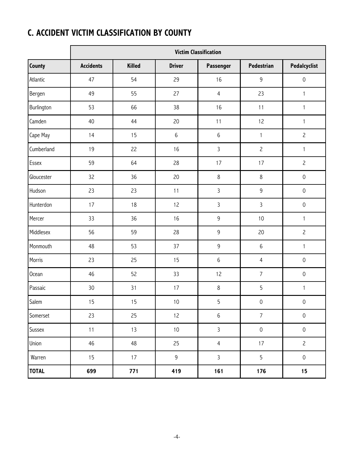# **C. ACCIDENT VICTIM CLASSIFICATION BY COUNTY**

|              |                  | <b>Victim Classification</b> |               |                |                     |                     |  |  |  |  |  |  |
|--------------|------------------|------------------------------|---------------|----------------|---------------------|---------------------|--|--|--|--|--|--|
| County       | <b>Accidents</b> | <b>Killed</b>                | <b>Driver</b> | Passenger      | Pedestrian          | Pedalcyclist        |  |  |  |  |  |  |
| Atlantic     | 47               | 54                           | 29            | 16             | 9                   | $\mathbf 0$         |  |  |  |  |  |  |
| Bergen       | 49               | 55                           | 27            | $\overline{4}$ | 23                  | $\mathbf{1}$        |  |  |  |  |  |  |
| Burlington   | 53               | 66                           | 38            | 16             | 11                  | $\mathbf{1}$        |  |  |  |  |  |  |
| Camden       | 40               | 44                           | 20            | 11             | 12                  | $\mathbf{1}$        |  |  |  |  |  |  |
| Cape May     | 14               | 15                           | $6\,$         | $6\,$          | $\mathbf{1}$        | $\overline{c}$      |  |  |  |  |  |  |
| Cumberland   | 19               | 22                           | 16            | $\mathsf{3}$   | $\overline{c}$      | $\mathbf{1}$        |  |  |  |  |  |  |
| Essex        | 59               | 64                           | 28            | 17             | 17                  | $\overline{c}$      |  |  |  |  |  |  |
| Gloucester   | 32               | 36                           | 20            | 8              | $\,8\,$             | $\mathbf 0$         |  |  |  |  |  |  |
| Hudson       | 23               | 23                           | 11            | $\mathsf{3}$   | $\mathsf 9$         | $\mathsf{O}\xspace$ |  |  |  |  |  |  |
| Hunterdon    | 17               | 18                           | 12            | $\overline{3}$ | 3                   | $\mathsf{O}\xspace$ |  |  |  |  |  |  |
| Mercer       | 33               | 36                           | 16            | 9              | 10                  | $\mathbf{1}$        |  |  |  |  |  |  |
| Middlesex    | 56               | 59                           | 28            | 9              | 20                  | $\overline{c}$      |  |  |  |  |  |  |
| Monmouth     | 48               | 53                           | 37            | 9              | $\,6$               | $\mathbf{1}$        |  |  |  |  |  |  |
| Morris       | 23               | 25                           | 15            | $6\,$          | $\overline{4}$      | $\mathsf{O}\xspace$ |  |  |  |  |  |  |
| <b>Ocean</b> | 46               | 52                           | 33            | 12             | $\overline{7}$      | $\mathsf{O}\xspace$ |  |  |  |  |  |  |
| Passaic      | 30               | 31                           | 17            | 8              | 5                   | $\mathbf{1}$        |  |  |  |  |  |  |
| Salem        | 15               | 15                           | $10$          | 5              | $\mathsf{O}\xspace$ | $\mathsf{O}\xspace$ |  |  |  |  |  |  |
| Somerset     | 23               | 25                           | 12            | $\,6\,$        | $\overline{7}$      | $\mathsf{O}\xspace$ |  |  |  |  |  |  |
| Sussex       | 11               | 13                           | $10\,$        | $\mathsf{3}$   | $\mathsf{O}\xspace$ | $\mathsf{O}\xspace$ |  |  |  |  |  |  |
| Union        | 46               | 48                           | 25            | $\overline{4}$ | 17                  | $\overline{c}$      |  |  |  |  |  |  |
| Warren       | 15               | 17                           | $\mathsf 9$   | $\mathbf{3}$   | 5                   | $\mathsf{O}\xspace$ |  |  |  |  |  |  |
| <b>TOTAL</b> | 699              | 771                          | 419           | 161            | 176                 | 15                  |  |  |  |  |  |  |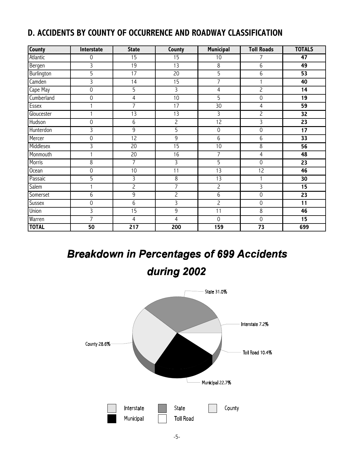## **D. ACCIDENTS BY COUNTY OF OCCURRENCE AND ROADWAY CLASSIFICATION**

| <b>County</b> | Interstate      | <b>State</b>     | County          | <b>Municipal</b>    | <b>Toll Roads</b>   | <b>TOTALS</b>   |
|---------------|-----------------|------------------|-----------------|---------------------|---------------------|-----------------|
| Atlantic      | 0               | $\overline{15}$  | 15              | 10                  | 7                   | 47              |
| Bergen        | 3               | $\overline{19}$  | 13              | 8                   | 6                   | 49              |
| Burlington    | 5               | 17               | $\overline{20}$ | 5                   | 6                   | $\overline{53}$ |
| Camden        | $\overline{3}$  | 14               | $\overline{15}$ | $\overline{7}$      | $\mathbf{1}$        | 40              |
| Cape May      | 0               | 5                | 3               | $\overline{4}$      | $\overline{c}$      | 14              |
| Cumberland    | $\overline{0}$  | $\overline{4}$   | 10              | 5                   | $\overline{0}$      | $\overline{19}$ |
| Essex         | 1               | $\overline{7}$   | $\overline{17}$ | $\overline{30}$     | $\overline{4}$      | $\overline{59}$ |
| Gloucester    |                 | 13               | 13              | 3                   | $\overline{c}$      | $\overline{32}$ |
| Hudson        | $\overline{0}$  | $\overline{6}$   | $\overline{2}$  | 12                  | $\overline{3}$      | $\overline{23}$ |
| Hunterdon     | 3               | $\overline{9}$   | $\overline{5}$  | $\overline{0}$      | $\mathsf{O}\xspace$ | $\overline{17}$ |
| Mercer        | 0               | 12               | $\overline{9}$  | 6                   | 6                   | $\overline{33}$ |
| Middlesex     | 3               | 20               | $\overline{15}$ | 10                  | 8                   | $\overline{56}$ |
| Monmouth      |                 | 20               | 16              | 7                   | $\overline{4}$      | 48              |
| Morris        | 8               | $\overline{7}$   | 3               | $\overline{5}$      | $\mathsf{O}\xspace$ | $\overline{23}$ |
| <b>Ocean</b>  | 0               | 10               | 11              | $\overline{13}$     | $\overline{12}$     | 46              |
| Passaic       | 5               | 3                | 8               | 13                  |                     | 30              |
| Salem         | 1               | $\overline{c}$   | 7               | $\overline{c}$      | $\overline{3}$      | 15              |
| Somerset      | 6               | 9                | $\overline{c}$  | 6                   | $\mathbf 0$         | $\overline{23}$ |
| Sussex        | 0               | $\overline{6}$   | 3               | $\overline{c}$      | $\mathsf{O}\xspace$ | $\overline{11}$ |
| Union         | 3               | $\overline{15}$  | 9               | 11                  | 8                   | 46              |
| Warren        | $\overline{7}$  | 4                | 4               | $\mathsf{O}\xspace$ | $\mathbf 0$         | 15              |
| <b>TOTAL</b>  | $\overline{50}$ | $\overline{217}$ | 200             | 159                 | $\overline{73}$     | 699             |

# **Breakdown in Percentages of 699 Accidents**

# during 2002

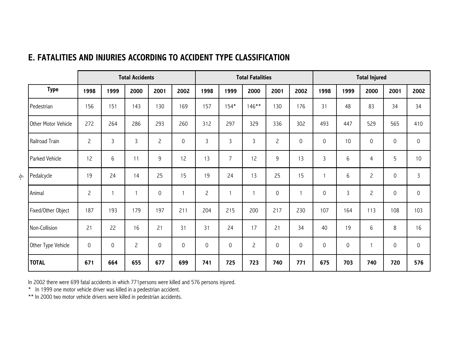|    |                     | <b>Total Accidents</b> |                     |                |                     | <b>Total Fatalities</b> |                     |                     | <b>Total Injured</b> |                |                     |                     |             |                     |             |                |
|----|---------------------|------------------------|---------------------|----------------|---------------------|-------------------------|---------------------|---------------------|----------------------|----------------|---------------------|---------------------|-------------|---------------------|-------------|----------------|
|    | <b>Type</b>         | 1998                   | 1999                | 2000           | 2001                | 2002                    | 1998                | 1999                | 2000                 | 2001           | 2002                | 1998                | 1999        | 2000                | 2001        | 2002           |
|    | Pedestrian          | 156                    | 151                 | 143            | 130                 | 169                     | 157                 | $154*$              | $146**$              | 130            | 176                 | 31                  | 48          | 83                  | 34          | 34             |
|    | Other Motor Vehicle | 272                    | 264                 | 286            | 293                 | 260                     | 312                 | 297                 | 329                  | 336            | 302                 | 493                 | 447         | 529                 | 565         | 410            |
|    | Railroad Train      | $\overline{c}$         | $\mathbf{3}$        | $\mathsf{3}$   | $\overline{c}$      | 0                       | $\mathbf{3}$        | $\mathbf{3}$        | $\mathbf{3}$         | $\overline{c}$ | $\mathsf{O}\xspace$ | $\mathsf{O}\xspace$ | 10          | $\mathsf{O}\xspace$ | $\mathbf 0$ | 0              |
|    | Parked Vehicle      | 12                     | $6\,$               | 11             | 9                   | 12                      | 13                  | $\overline{7}$      | 12                   | 9              | 13                  | 3                   | 6           | $\overline{4}$      | 5           | 10             |
| ငှ | Pedalcycle          | 19                     | 24                  | 14             | 25                  | 15                      | 19                  | 24                  | 13                   | 25             | 15                  |                     | 6           | $\overline{c}$      | 0           | $\overline{3}$ |
|    | Animal              | $\overline{c}$         |                     |                | $\mathsf{O}\xspace$ |                         | $\overline{c}$      | $\mathbf{1}$        | 1                    | 0              | 1                   | 0                   | 3           | $\overline{c}$      | 0           | 0              |
|    | Fixed/Other Object  | 187                    | 193                 | 179            | 197                 | 211                     | 204                 | 215                 | 200                  | 217            | 230                 | 107                 | 164         | 113                 | 108         | 103            |
|    | Non-Collision       | 21                     | 22                  | 16             | 21                  | 31                      | 31                  | 24                  | 17                   | 21             | 34                  | 40                  | 19          | 6                   | 8           | 16             |
|    | Other Type Vehicle  | $\mathbf 0$            | $\mathsf{O}\xspace$ | $\overline{c}$ | $\mathsf{O}\xspace$ | $\mathsf{O}\xspace$     | $\mathsf{O}\xspace$ | $\mathsf{O}\xspace$ | $\overline{c}$       | 0              | 0                   | $\mathsf{O}\xspace$ | $\mathbf 0$ |                     | $\mathbf 0$ | 0              |
|    | <b>TOTAL</b>        | 671                    | 664                 | 655            | 677                 | 699                     | 741                 | 725                 | 723                  | 740            | 771                 | 675                 | 703         | 740                 | 720         | 576            |

### **E. FATALITIES AND INJURIES ACCORDING TO ACCIDENT TYPE CLASSIFICATION**

In 2002 there were 699 fatal accidents in which 771persons were killed and 576 persons injured.

\* In 1999 one motor vehicle driver was killed in a pedestrian accident.

\*\* In 2000 two motor vehicle drivers were killed in pedestrian accidents.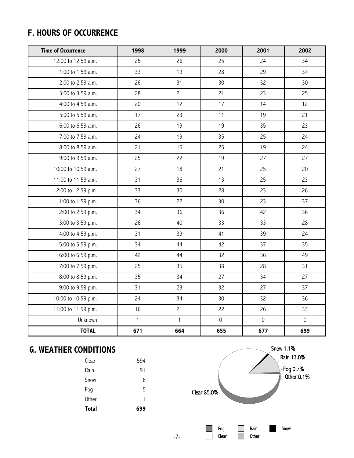## **F. HOURS OF OCCURRENCE**

| <b>Time of Occurrence</b> | 1998         | 1999            | 2000                | 2001                | 2002         |
|---------------------------|--------------|-----------------|---------------------|---------------------|--------------|
| 12:00 to 12:59 a.m.       | 25           | 26              | 25                  | 24                  | 34           |
| 1:00 to 1:59 a.m.         | 33           | 19              | 28                  | 29                  | 37           |
| 2:00 to 2:59 a.m.         | 26           | 31              | 30                  | 32                  | 30           |
| 3:00 to 3:59 a.m.         | 28           | 21              | 21                  | 23                  | 25           |
| 4:00 to 4:59 a.m.         | 20           | 12              | 17                  | 14                  | 12           |
| 5:00 to 5:59 a.m.         | 17           | 23              | 11                  | 19                  | 21           |
| 6:00 to 6:59 a.m.         | 26           | 19              | 19                  | 35                  | 23           |
| 7:00 to 7:59 a.m.         | 24           | 19              | 35                  | 25                  | 24           |
| 8:00 to 8:59 a.m.         | 21           | 15              | 25                  | 19                  | 24           |
| 9:00 to 9:59 a.m.         | 25           | 22              | 19                  | 27                  | 27           |
| 10:00 to 10:59 a.m.       | 27           | 18              | 21                  | 25                  | 20           |
| 11:00 to 11:59 a.m.       | 31           | 36              | 13                  | 25                  | 23           |
| 12:00 to 12:59 p.m.       | 33           | 30 <sup>°</sup> | 28                  | 23                  | 26           |
| 1:00 to 1:59 p.m.         | 36           | 22              | 30                  | 23                  | 37           |
| 2:00 to 2:59 p.m.         | 34           | 36              | 36                  | 42                  | 36           |
| 3:00 to 3:59 p.m.         | 26           | 40              | 33                  | 33                  | 28           |
| 4:00 to 4:59 p.m.         | 31           | 39              | 41                  | 39                  | 24           |
| 5:00 to 5:59 p.m.         | 34           | 44              | 42                  | 37                  | 35           |
| 6:00 to 6:59 p.m.         | 42           | 44              | 32                  | 36                  | 49           |
| 7:00 to 7:59 p.m.         | 25           | 35              | 38                  | 28                  | 31           |
| 8:00 to 8:59 p.m.         | 35           | 34              | 27                  | 34                  | 27           |
| 9:00 to 9:59 p.m.         | 31           | 23              | 32                  | 27                  | 37           |
| 10:00 to 10:59 p.m.       | 24           | 34              | 30                  | 32                  | 36           |
| 11:00 to 11:59 p.m.       | 16           | 21              | 22                  | 26                  | 33           |
| Unknown                   | $\mathbf{1}$ | $\mathbf{1}$    | $\mathsf{O}\xspace$ | $\mathsf{O}\xspace$ | $\mathsf{O}$ |
| <b>TOTAL</b>              | 671          | 664             | 655                 | 677                 | 699          |

## **G. WEATHER CONDITIONS**

| Total | 699 |
|-------|-----|
| Other | 1   |
| Fog   | 5   |
| Snow  | 8   |
| Rain  | 91  |
| Clear | 594 |



-7-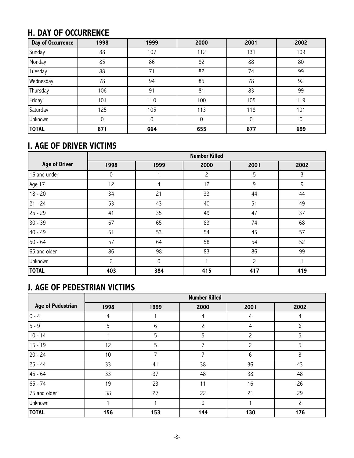# **H. DAY OF OCCURRENCE**

| <b>Day of Occurrence</b> | 1998 | 1999 | 2000 | 2001 | 2002 |
|--------------------------|------|------|------|------|------|
| Sunday                   | 88   | 107  | 112  | 131  | 109  |
| Monday                   | 85   | 86   | 82   | 88   | 80   |
| Tuesday                  | 88   | 71   | 82   | 74   | 99   |
| Wednesday                | 78   | 94   | 85   | 78   | 92   |
| Thursday                 | 106  | 91   | 81   | 83   | 99   |
| Friday                   | 101  | 110  | 100  | 105  | 119  |
| Saturday                 | 125  | 105  | 113  | 118  | 101  |
| Unknown                  | 0    | 0    | 0    | 0    | 0    |
| <b>TOTAL</b>             | 671  | 664  | 655  | 677  | 699  |

# **I. AGE OF DRIVER VICTIMS**

|                      |                |             | <b>Number Killed</b> |                |      |
|----------------------|----------------|-------------|----------------------|----------------|------|
| <b>Age of Driver</b> | 1998           | 1999        | 2000                 | 2001           | 2002 |
| 16 and under         | 0              |             | 2                    | 5              | 3    |
| Age 17               | 12             | 4           | 12                   | 9              | 9    |
| $18 - 20$            | 34             | 21          | 33                   | 44             | 44   |
| $21 - 24$            | 53             | 43          | 40                   | 51             | 49   |
| $25 - 29$            | 41             | 35          | 49                   | 47             | 37   |
| $30 - 39$            | 67             | 65          | 83                   | 74             | 68   |
| $40 - 49$            | 51             | 53          | 54                   | 45             | 57   |
| $50 - 64$            | 57             | 64          | 58                   | 54             | 52   |
| 65 and older         | 86             | 98          | 83                   | 86             | 99   |
| Unknown              | $\overline{c}$ | $\mathbf 0$ |                      | $\overline{c}$ |      |
| <b>TOTAL</b>         | 403            | 384         | 415                  | 417            | 419  |

# **J. AGE OF PEDESTRIAN VICTIMS**

|                          | <b>Number Killed</b> |      |             |                |      |  |  |  |  |
|--------------------------|----------------------|------|-------------|----------------|------|--|--|--|--|
| <b>Age of Pedestrian</b> | 1998                 | 1999 | 2000        | 2001           | 2002 |  |  |  |  |
| $0 - 4$                  | 4                    |      | 4           | 4              | 4    |  |  |  |  |
| $5 - 9$                  | 5                    | 6    | 2           | 4              | 6    |  |  |  |  |
| $10 - 14$                |                      | 5    | 5           | $\overline{c}$ | 5    |  |  |  |  |
| $15 - 19$                | 12                   | 5    | 7           | $\overline{c}$ | 5    |  |  |  |  |
| $20 - 24$                | 10                   | 7    | 7           | 6              | 8    |  |  |  |  |
| $25 - 44$                | 33                   | 41   | 38          | 36             | 43   |  |  |  |  |
| $45 - 64$                | 33                   | 37   | 48          | 38             | 48   |  |  |  |  |
| $65 - 74$                | 19                   | 23   | 11          | 16             | 26   |  |  |  |  |
| 75 and older             | 38                   | 27   | 22          | 21             | 29   |  |  |  |  |
| Unknown                  |                      |      | $\mathbf 0$ |                | 2    |  |  |  |  |
| <b>TOTAL</b>             | 156                  | 153  | 144         | 130            | 176  |  |  |  |  |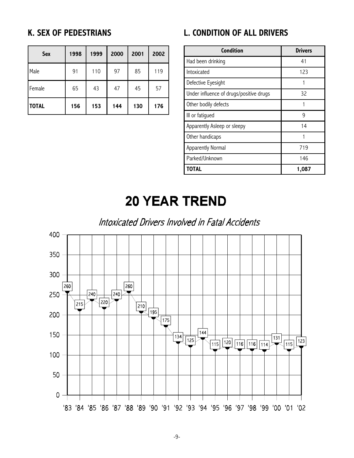### **K. SEX OF PEDESTRIANS**

| <b>Sex</b>   | 1998 | 1999 | 2000 | 2001 | 2002 |
|--------------|------|------|------|------|------|
| Male         | 91   | 110  | 97   | 85   | 119  |
| Female       | 65   | 43   | 47   | 45   | 57   |
| <b>TOTAL</b> | 156  | 153  | 144  | 130  | 176  |

### **L. CONDITION OF ALL DRIVERS**

| Condition                               | <b>Drivers</b> |
|-----------------------------------------|----------------|
| Had been drinking                       | 41             |
| Intoxicated                             | 123            |
| Defective Eyesight                      |                |
| Under influence of drugs/positive drugs | 32             |
| Other bodily defects                    |                |
| III or fatigued                         | 9              |
| Apparently Asleep or sleepy             | 14             |
| Other handicaps                         |                |
| Apparently Normal                       | 719            |
| Parked/Unknown                          | 146            |
| TOTAL                                   | 1,087          |

# **20 YEAR TREND**

Intoxicated Drivers Involved in Fatal Accidents

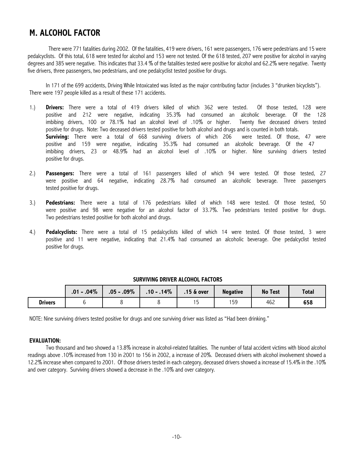### **M. ALCOHOL FACTOR**

There were 771 fatalities during 2002. Of the fatalities, 419 were drivers, 161 were passengers, 176 were pedestrians and 15 were pedalcyclists. Of this total, 618 were tested for alcohol and 153 were not tested. Of the 618 tested, 207 were positive for alcohol in varying degrees and 385 were negative. This indicates that 33.4 % of the fatalities tested were positive for alcohol and 62.2% were negative. Twenty five drivers, three passengers, two pedestrians, and one pedalcyclist tested positive for drugs.

In 171 of the 699 accidents, Driving While Intoxicated was listed as the major contributing factor (includes 3 "drunken bicyclists"). There were 197 people killed as a result of these 171 accidents.

- 1.) **Drivers:** There were a total of 419 drivers killed of which 362 were tested. Of those tested, 128 were positive and 212 were negative, indicating 35.3% had consumed an alcoholic beverage. Of the 128 imbibing drivers, 100 or 78.1% had an alcohol level of .10% or higher. Twenty five deceased drivers tested positive for drugs. Note: Two deceased drivers tested positive for both alcohol and drugs and is counted in both totals. **Surviving:** There were a total of 668 surviving drivers of which 206 were tested. Of those, 47 were positive and 159 were negative, indicating 35.3% had consumed an alcoholic beverage. Of the 47 imbibing drivers, 23 or 48.9% had an alcohol level of .10% or higher. Nine surviving drivers tested positive for drugs.
- 2.) **Passengers:** There were a total of 161 passengers killed of which 94 were tested. Of those tested, 27 were positive and 64 negative, indicating 28.7% had consumed an alcoholic beverage. Three passengers tested positive for drugs.
- 3.) **Pedestrians:** There were a total of 176 pedestrians killed of which 148 were tested. Of those tested, 50 were positive and 98 were negative for an alcohol factor of 33.7%. Two pedestrians tested positive for drugs. Two pedestrians tested positive for both alcohol and drugs.
- 4.) **Pedalcyclists:** There were a total of 15 pedalcyclists killed of which 14 were tested. Of those tested, 3 were positive and 11 were negative, indicating that 21.4% had consumed an alcoholic beverage. One pedalcyclist tested positive for drugs.

|                | $.01 - .04\%$ | $.05 - .09\%$ | $.10 - .14\%$ | $.15 \&$ over | <b>Negative</b> | <b>No Test</b> | <b>Total</b> |
|----------------|---------------|---------------|---------------|---------------|-----------------|----------------|--------------|
| <b>Drivers</b> |               |               |               | 15            | 159             | 462            | 658          |

#### **SURVIVING DRIVER ALCOHOL FACTORS**

NOTE: Nine surviving drivers tested positive for drugs and one surviving driver was listed as "Had been drinking."

#### **EVALUATION:**

Two thousand and two showed a 13.8% increase in alcohol-related fatalities. The number of fatal accident victims with blood alcohol readings above .10% increased from 130 in 2001 to 156 in 2002, a increase of 20%. Deceased drivers with alcohol involvement showed a 12.2% increase when compared to 2001. Of those drivers tested in each category, deceased drivers showed a increase of 15.4% in the .10% and over category. Surviving drivers showed a decrease in the .10% and over category.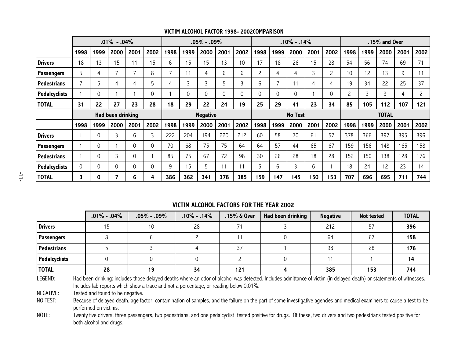|                      |      |          | $.01\% - .04\%$<br>$.05\% - .09\%$ |          |              |      |      |                 | $.10\% - .14\%$ |      |                |                          |                | $.15\%$ and Over |      |      |      |              |      |      |
|----------------------|------|----------|------------------------------------|----------|--------------|------|------|-----------------|-----------------|------|----------------|--------------------------|----------------|------------------|------|------|------|--------------|------|------|
|                      | 1998 | 1999     | 2000                               | 2001     | 2002         | 1998 | 1999 | 2000            | 2001            | 2002 | 1998           | 1999                     | 2000           | 2001             | 2002 | 1998 | 1999 | 2000         | 2001 | 2002 |
| <b>Drivers</b>       | 18   | 13       | 15                                 |          | 15           | 6    | 15   | 15              | 13              | 10   | 17             | 18                       | 26             | 15               | 28   | 54   | 56   | 74           | 69   | 71   |
| Passengers           | 5    | 4        | ⇁                                  |          | 8            | ┑    | 11   | 4               | 6               | 6    | $\overline{c}$ | 4                        | 4              | 3                | 2    | 10   | 12   | 13           | 9    |      |
| <b>Pedestrians</b>   |      | 5        | 4                                  |          | 5            | 4    | 3    | 3               | 5               | 3    | 6              | $\overline{\phantom{a}}$ | 11             | 4                | 4    | 19   | 34   | 22           | 25   | 37   |
| <b>Pedalcyclists</b> |      | 0        |                                    |          | $\mathbf{0}$ |      | 0    | 0               | 0               | 0    | 0              |                          | 0              |                  | 0    | 2    | 3    | 3            | 4    |      |
| <b>TOTAL</b>         | 31   | 22       | 27                                 | 23       | 28           | 18   | 29   | 22              | 24              | 19   | 25             | 29                       | 41             | 23               | 34   | 85   | 105  | 112          | 107  | 121  |
|                      |      |          | Had been drinking                  |          |              |      |      | <b>Negative</b> |                 |      |                |                          | <b>No Test</b> |                  |      |      |      | <b>TOTAL</b> |      |      |
|                      | 1998 | 1999     | 2000                               | 2001     | 2002         | 1998 | 1999 | 2000            | 2001            | 2002 | 1998           | 1999                     | 2000           | 2001             | 2002 | 1998 | 1999 | 2000         | 2001 | 2002 |
| <b>Drivers</b>       |      | 0        | 3                                  | 6        | 3            | 222  | 204  | 194             | 220             | 212  | 60             | 58                       | 70             | 61               | 57   | 378  | 366  | 397          | 395  | 396  |
| Passengers           |      | $\Omega$ |                                    | $\Omega$ | $\mathbf 0$  | 70   | 68   | 75              | 75              | 64   | 64             | 57                       | 44             | 65               | 67   | 159  | 156  | 148          | 165  | 158  |
| <b>Pedestrians</b>   |      | 0        | 3                                  | 0        |              | 85   | 75   | 67              | 72              | 98   | 30             | 26                       | 28             | 18               | 28   | 152  | 150  | 138          | 128  | 176  |
| <b>Pedalcyclists</b> | 0    | 0        | $\Omega$                           |          | $\mathbf{0}$ | 9    | 15   | 5               | 11              |      | 5              | 6                        | 3              | 6                |      | 18   | 24   | 12           | 23   | 14   |
| <b>TOTAL</b>         | 3    | 0        |                                    | 6        | 4            | 386  | 362  | 341             | 378             | 385  | 159            | 147                      | 145            | 150              | 153  | 707  | 696  | 695          | 711  | 744  |

#### **VICTIM ALCOHOL FACTOR 1998- 2002COMPARISON**

#### **VICTIM ALCOHOL FACTORS FOR THE YEAR 2002**

|                      | $.01\% - .04\%$ | $.05\% - .09\%$ | $.10\% - .14\%$ | $.15\%$ & Over | Had been drinking | <b>Negative</b> | <b>Not tested</b> | <b>TOTAL</b> |
|----------------------|-----------------|-----------------|-----------------|----------------|-------------------|-----------------|-------------------|--------------|
| <b>Drivers</b>       |                 | 10              | 28              | 71             |                   | 212             | 57                | 396          |
| Passengers           |                 |                 |                 |                |                   | 64              | 67                | 158          |
| <b>Pedestrians</b>   |                 |                 |                 | 37             |                   | 98              | 28                | 176          |
| <b>Pedalcyclists</b> |                 |                 |                 |                |                   |                 |                   |              |
| <b>TOTAL</b>         | 28              | 19              | 34              | 121            |                   | 385             | 153               | 744          |

LEGEND: Had been drinking: includes those delayed deaths where an odor of alcohol was detected. Includes admittance of victim (in delayed death) or statements of witnesses. Includes lab reports which show a trace and not a percentage, or reading below 0.01%.

NEGATIVE: Tested and found to be negative.

NO TEST: Because of delayed death, age factor, contamination of samples, and the failure on the part of some investigative agencies and medical examiners to cause a test to be performed on victims.

NOTE: Twenty five drivers, three passengers, two pedestrians, and one pedalcyclist tested positive for drugs. Of these, two drivers and two pedestrians tested positive for both alcohol and drugs.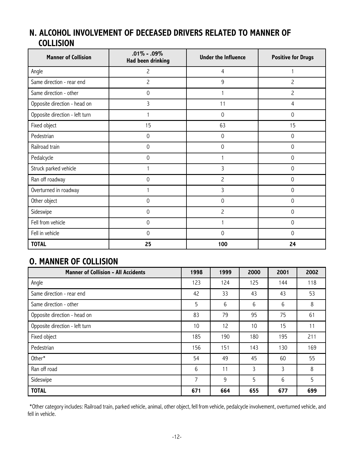### **N. ALCOHOL INVOLVEMENT OF DECEASED DRIVERS RELATED TO MANNER OF COLLISION**

| <b>Manner of Collision</b>     | $.01\% - .09\%$<br>Had been drinking | <b>Under the Influence</b> | <b>Positive for Drugs</b> |  |
|--------------------------------|--------------------------------------|----------------------------|---------------------------|--|
| Angle                          | $\overline{c}$                       | 4                          |                           |  |
| Same direction - rear end      | 2                                    | 9                          | $\overline{c}$            |  |
| Same direction - other         | 0                                    |                            | $\overline{c}$            |  |
| Opposite direction - head on   | 3                                    | 11                         | 4                         |  |
| Opposite direction - left turn |                                      | 0                          | $\mathbf 0$               |  |
| Fixed object                   | 15                                   | 63                         | 15                        |  |
| Pedestrian                     | 0                                    | 0                          | 0                         |  |
| Railroad train                 | 0                                    | 0                          | 0                         |  |
| Pedalcycle                     | 0                                    |                            | 0                         |  |
| Struck parked vehicle          | 1                                    | 3                          | $\mathbf 0$               |  |
| Ran off roadway                | 0                                    | $\overline{c}$             | 0                         |  |
| Overturned in roadway          |                                      | 3                          | 0                         |  |
| Other object                   | 0                                    | 0                          | $\mathbf 0$               |  |
| Sideswipe                      | 0                                    | $\overline{c}$             | $\mathbf 0$               |  |
| Fell from vehicle              | 0                                    |                            | 0                         |  |
| Fell in vehicle                | $\mathbf 0$                          | 0                          | $\mathbf 0$               |  |
| <b>TOTAL</b>                   | 25                                   | 100                        | 24                        |  |

### **O. MANNER OF COLLISION**

| <b>Manner of Collision - All Accidents</b> | 1998 | 1999 | 2000 | 2001 | 2002 |
|--------------------------------------------|------|------|------|------|------|
| Angle                                      | 123  | 124  | 125  | 144  | 118  |
| Same direction - rear end                  | 42   | 33   | 43   | 43   | 53   |
| Same direction - other                     | 5    | 6    | 6    | 6    | 8    |
| Opposite direction - head on               | 83   | 79   | 95   | 75   | 61   |
| Opposite direction - left turn             | 10   | 12   | 10   | 15   | 11   |
| Fixed object                               | 185  | 190  | 180  | 195  | 211  |
| Pedestrian                                 | 156  | 151  | 143  | 130  | 169  |
| Other*                                     | 54   | 49   | 45   | 60   | 55   |
| Ran off road                               | 6    | 11   | 3    | 3    | 8    |
| Sideswipe                                  | 7    | 9    | 5    | 6    | 5    |
| <b>TOTAL</b>                               | 671  | 664  | 655  | 677  | 699  |

\*Other category includes: Railroad train, parked vehicle, animal, other object, fell from vehicle, pedalcycle involvement, overturned vehicle, and fell in vehicle.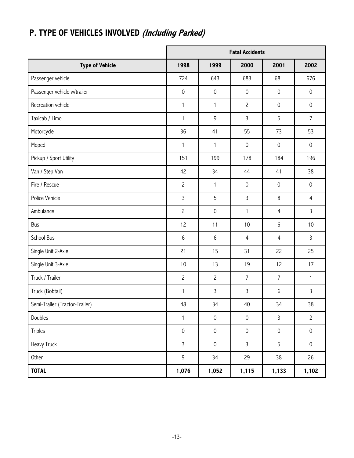|                                |                     |                     | <b>Fatal Accidents</b> |                     |                     |
|--------------------------------|---------------------|---------------------|------------------------|---------------------|---------------------|
| <b>Type of Vehicle</b>         | 1998                | 1999                | 2000                   | 2001                | 2002                |
| Passenger vehicle              | 724                 | 643                 | 683                    | 681                 | 676                 |
| Passenger vehicle w/trailer    | $\mathsf{O}\xspace$ | $\mathsf{O}\xspace$ | $\mathsf{O}\xspace$    | $\mathsf{O}\xspace$ | $\mathsf{O}\xspace$ |
| Recreation vehicle             | $\mathbf{1}$        | $\mathbf{1}$        | $\overline{c}$         | $\mathsf{O}\xspace$ | $\mathsf{O}\xspace$ |
| Taxicab / Limo                 | 1                   | 9                   | 3                      | 5                   | $\overline{7}$      |
| Motorcycle                     | 36                  | 41                  | 55                     | 73                  | 53                  |
| Moped                          | $\mathbf{1}$        | $\mathbf{1}$        | $\mathsf{O}\xspace$    | $\mathsf{O}\xspace$ | $\mathsf{O}\xspace$ |
| Pickup / Sport Utility         | 151                 | 199                 | 178                    | 184                 | 196                 |
| Van / Step Van                 | 42                  | 34                  | 44                     | 41                  | 38                  |
| Fire / Rescue                  | $\overline{c}$      | $\mathbf{1}$        | $\mathsf{O}\xspace$    | $\mathsf{O}\xspace$ | $\mathsf{O}\xspace$ |
| Police Vehicle                 | $\mathbf{3}$        | 5                   | 3                      | 8                   | $\overline{4}$      |
| Ambulance                      | $\overline{c}$      | $\mathsf{O}\xspace$ | $\mathbf{1}$           | 4                   | 3                   |
| Bus                            | 12                  | 11                  | 10                     | 6                   | 10                  |
| School Bus                     | $\,$ 6              | $\,6\,$             | $\overline{4}$         | $\overline{4}$      | $\mathbf{3}$        |
| Single Unit 2-Axle             | 21                  | 15                  | 31                     | 22                  | 25                  |
| Single Unit 3-Axle             | 10                  | 13                  | 19                     | 12                  | 17                  |
| Truck / Trailer                | $\overline{c}$      | $\overline{c}$      | $\overline{7}$         | $\overline{7}$      | $\mathbf{1}$        |
| Truck (Bobtail)                | $\mathbf{1}$        | 3                   | 3                      | 6                   | 3                   |
| Semi-Trailer (Tractor-Trailer) | 48                  | 34                  | 40                     | 34                  | $38\,$              |
| Doubles                        | $\mathbf{1}$        | $\mathsf{O}\xspace$ | $\mathsf{O}\xspace$    | $\mathbf{3}$        | $\overline{c}$      |
| Triples                        | $\mathsf{O}\xspace$ | $\mathsf{O}\xspace$ | $\mathsf{O}\xspace$    | $\mathsf{O}\xspace$ | $\mathsf{O}\xspace$ |
| Heavy Truck                    | $\mathsf{3}$        | $\mathsf{O}\xspace$ | $\mathbf{3}$           | 5                   | $\mathsf{O}\xspace$ |
| Other                          | 9                   | 34                  | 29                     | 38                  | 26                  |
| <b>TOTAL</b>                   | 1,076               | 1,052               | 1,115                  | 1,133               | 1,102               |

# **P. TYPE OF VEHICLES INVOLVED (Including Parked)**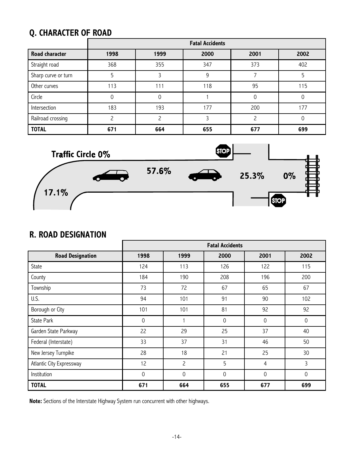# **Q. CHARACTER OF ROAD**

|                       | <b>Fatal Accidents</b> |      |      |      |      |  |  |  |  |  |
|-----------------------|------------------------|------|------|------|------|--|--|--|--|--|
| <b>Road character</b> | 1998                   | 1999 | 2000 | 2001 | 2002 |  |  |  |  |  |
| Straight road         | 368                    | 355  | 347  | 373  | 402  |  |  |  |  |  |
| Sharp curve or turn   | 5                      |      | 9    |      |      |  |  |  |  |  |
| Other curves          | 113                    | 111  | 118  | 95   | 115  |  |  |  |  |  |
| Circle                | 0                      | 0    |      |      |      |  |  |  |  |  |
| Intersection          | 183                    | 193  | 177  | 200  | 177  |  |  |  |  |  |
| Railroad crossing     | ∍                      |      |      | ∍    |      |  |  |  |  |  |
| <b>TOTAL</b>          | 671                    | 664  | 655  | 677  | 699  |  |  |  |  |  |

![](_page_16_Figure_2.jpeg)

### **R. ROAD DESIGNATION**

|                          |             |                | <b>Fatal Accidents</b> |                |             |
|--------------------------|-------------|----------------|------------------------|----------------|-------------|
| <b>Road Designation</b>  | 1998        | 1999           | 2000                   | 2001           | 2002        |
| State                    | 124         | 113            | 126                    | 122            | 115         |
| County                   | 184         | 190            | 208                    | 196            | 200         |
| Township                 | 73          | 72             | 67                     | 65             | 67          |
| U.S.                     | 94          | 101            | 91                     | 90             | 102         |
| Borough or City          | 101         | 101            | 81                     | 92             | 92          |
| <b>State Park</b>        | $\mathbf 0$ |                | $\mathsf{O}\xspace$    | $\mathbf 0$    | $\mathsf 0$ |
| Garden State Parkway     | 22          | 29             | 25                     | 37             | 40          |
| Federal (Interstate)     | 33          | 37             | 31                     | 46             | 50          |
| New Jersey Turnpike      | 28          | 18             | 21                     | 25             | 30          |
| Atlantic City Expressway | 12          | $\overline{c}$ | 5                      | $\overline{4}$ | 3           |
| Institution              | 0           | $\mathbf 0$    | 0                      | $\mathbf 0$    | $\mathbf 0$ |
| <b>TOTAL</b>             | 671         | 664            | 655                    | 677            | 699         |

**Note:** Sections of the Interstate Highway System run concurrent with other highways.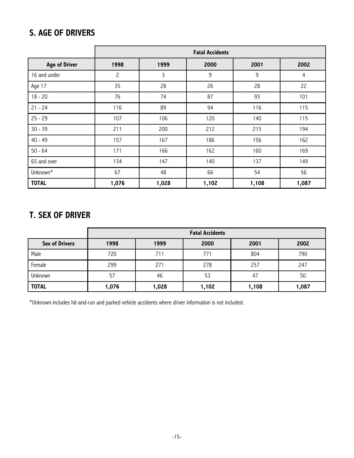### **S. AGE OF DRIVERS**

|                      | <b>Fatal Accidents</b>               |       |       |       |       |  |  |  |  |
|----------------------|--------------------------------------|-------|-------|-------|-------|--|--|--|--|
| <b>Age of Driver</b> | 1998<br>1999<br>2001<br>2002<br>2000 |       |       |       |       |  |  |  |  |
| 16 and under         | $\overline{c}$                       | 3     | 9     | 9     | 4     |  |  |  |  |
| Age 17               | 35                                   | 28    | 26    | 28    | 22    |  |  |  |  |
| $18 - 20$            | 76                                   | 74    | 87    | 93    | 101   |  |  |  |  |
| $21 - 24$            | 116                                  | 89    | 94    | 116   | 115   |  |  |  |  |
| $25 - 29$            | 107                                  | 106   | 120   | 140   | 115   |  |  |  |  |
| $30 - 39$            | 211                                  | 200   | 212   | 215   | 194   |  |  |  |  |
| $40 - 49$            | 157                                  | 167   | 186   | 156   | 162   |  |  |  |  |
| $50 - 64$            | 171                                  | 166   | 162   | 160   | 169   |  |  |  |  |
| 65 and over          | 134                                  | 147   | 140   | 137   | 149   |  |  |  |  |
| Unknown*             | 67                                   | 48    | 66    | 54    | 56    |  |  |  |  |
| <b>TOTAL</b>         | 1,076                                | 1,028 | 1,102 | 1,108 | 1,087 |  |  |  |  |

# **T. SEX OF DRIVER**

|                       | <b>Fatal Accidents</b> |       |       |       |       |  |
|-----------------------|------------------------|-------|-------|-------|-------|--|
| <b>Sex of Drivers</b> | 1998                   | 1999  | 2000  | 2001  | 2002  |  |
| Male                  | 720                    | 711   | 771   | 804   | 790   |  |
| Female                | 299                    | 271   | 278   | 257   | 247   |  |
| Unknown               | 57                     | 46    | 53    | 47    | 50    |  |
| <b>TOTAL</b>          | 1,076                  | 1,028 | 1,102 | 1,108 | 1,087 |  |

\*Unknown includes hit-and-run and parked vehicle accidents where driver information is not included.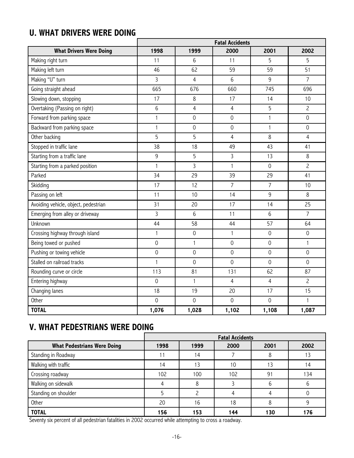### **U. WHAT DRIVERS WERE DOING**

|                                      | <b>Fatal Accidents</b> |                |                     |                     |                     |  |
|--------------------------------------|------------------------|----------------|---------------------|---------------------|---------------------|--|
| <b>What Drivers Were Doing</b>       | 1998                   | 1999           | 2000                | 2001                | 2002                |  |
| Making right turn                    | 11                     | 6              | 11                  | 5                   | 5                   |  |
| Making left turn                     | 46                     | 62             | 59                  | 59                  | 51                  |  |
| Making "U" turn                      | 3                      | $\overline{4}$ | 6                   | 9                   | $\overline{7}$      |  |
| Going straight ahead                 | 665                    | 676            | 660                 | 745                 | 696                 |  |
| Slowing down, stopping               | 17                     | $\,8\,$        | 17                  | 14                  | 10                  |  |
| Overtaking (Passing on right)        | 6                      | $\overline{4}$ | $\overline{4}$      | 5                   | $\overline{c}$      |  |
| Forward from parking space           | $\mathbf{1}$           | $\overline{0}$ | $\mathsf{O}\xspace$ | $\mathbf{1}$        | $\mathbf 0$         |  |
| Backward from parking space          | $\mathbf{1}$           | $\mathbf 0$    | $\mathsf{O}\xspace$ | $\mathbf{1}$        | $\mathbf 0$         |  |
| Other backing                        | 5                      | 5              | $\overline{4}$      | 8                   | 4                   |  |
| Stopped in traffic lane              | 38                     | 18             | 49                  | 43                  | 41                  |  |
| Starting from a traffic lane         | 9                      | 5              | 3                   | 13                  | 8                   |  |
| Starting from a parked position      | $\mathbf{1}$           | $\overline{3}$ | $\mathbf{1}$        | $\mathbf 0$         | $\overline{c}$      |  |
| Parked                               | 34                     | 29             | 39                  | 29                  | 41                  |  |
| Skidding                             | 17                     | 12             | $\overline{7}$      | $\overline{7}$      | 10                  |  |
| Passing on left                      | 11                     | 10             | 14                  | 9                   | 8                   |  |
| Avoiding vehicle, object, pedestrian | 31                     | 20             | 17                  | 14                  | 25                  |  |
| Emerging from alley or driveway      | 3                      | 6              | 11                  | 6                   | $\overline{7}$      |  |
| Unknown                              | 44                     | 58             | 44                  | 57                  | 64                  |  |
| Crossing highway through island      | $\mathbf{1}$           | $\overline{0}$ | $\mathbf{1}$        | $\mathbf 0$         | $\mathsf{O}\xspace$ |  |
| Being towed or pushed                | $\mathsf{O}\xspace$    | 1              | $\mathsf{O}\xspace$ | $\mathbf 0$         | 1                   |  |
| Pushing or towing vehicle            | $\mathsf{O}\xspace$    | $\overline{0}$ | $\mathsf{O}\xspace$ | $\mathsf{O}\xspace$ | $\mathsf{O}\xspace$ |  |
| Stalled on railroad tracks           | $\mathbf{1}$           | $\mathbf 0$    | $\mathsf{O}\xspace$ | $\mathsf{O}\xspace$ | $\mathsf{O}\xspace$ |  |
| Rounding curve or circle             | 113                    | 81             | 131                 | 62                  | 87                  |  |
| Entering highway                     | $\mathsf{O}\xspace$    | $\mathbf{1}$   | $\overline{4}$      | $\overline{4}$      | $\overline{c}$      |  |
| Changing lanes                       | 18                     | 19             | 20                  | 17                  | 15                  |  |
| Other                                | $\mathbf 0$            | $\overline{0}$ | $\mathbf 0$         | $\mathbf 0$         | $\mathbf{1}$        |  |
| <b>TOTAL</b>                         | 1,076                  | 1,028          | 1,102               | 1,108               | 1,087               |  |

# **V. WHAT PEDESTRIANS WERE DOING**

|                                    | <b>Fatal Accidents</b> |      |      |      |      |  |
|------------------------------------|------------------------|------|------|------|------|--|
| <b>What Pedestrians Were Doing</b> | 1998                   | 1999 | 2000 | 2001 | 2002 |  |
| Standing in Roadway                |                        | 14   |      | 8    | 13   |  |
| Walking with traffic               | 14                     | 13   | 10   | 13   | 4    |  |
| Crossing roadway                   | 102                    | 100  | 102  | 91   | 134  |  |
| Walking on sidewalk                |                        | 8    |      | 6    | h    |  |
| Standing on shoulder               |                        |      |      |      |      |  |
| Other                              | 20                     | 16   | 18   | 8    | q    |  |
| <b>TOTAL</b>                       | 156                    | 153  | 144  | 130  | 176  |  |

Seventy six percent of all pedestrian fatalities in 2002 occurred while attempting to cross a roadway.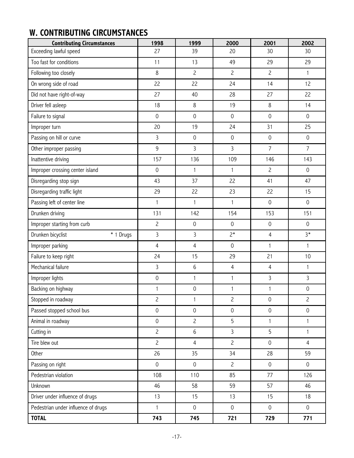# **W. CONTRIBUTING CIRCUMSTANCES**

| <b>Contributing Circumstances</b>   | 1998                | 1999                | 2000                | 2001                | 2002                |
|-------------------------------------|---------------------|---------------------|---------------------|---------------------|---------------------|
| Exceeding lawful speed              | 27                  | 39                  | 20                  | 30                  | 30                  |
| Too fast for conditions             | 11                  | 13                  | 49                  | 29                  | 29                  |
| Following too closely               | $\,8$               | $\overline{c}$      | $\overline{c}$      | $\overline{c}$      | $\mathbf{1}$        |
| On wrong side of road               | 22                  | 22                  | 24                  | 14                  | 12                  |
| Did not have right-of-way           | 27                  | 40                  | 28                  | 27                  | 22                  |
| Driver fell asleep                  | 18                  | $\,8\,$             | 19                  | $\,8\,$             | 14                  |
| Failure to signal                   | $\mathsf{O}\xspace$ | $\mathsf{O}\xspace$ | $\mathsf{O}\xspace$ | $\mathsf 0$         | $\mathbf 0$         |
| Improper turn                       | 20                  | 19                  | 24                  | 31                  | 25                  |
| Passing on hill or curve            | 3                   | $\mathsf{O}\xspace$ | $\mathsf{O}\xspace$ | $\mathsf 0$         | $\mathsf{O}\xspace$ |
| Other improper passing              | $9\,$               | 3                   | $\mathbf{3}$        | $\overline{7}$      | $\overline{7}$      |
| Inattentive driving                 | 157                 | 136                 | 109                 | 146                 | 143                 |
| Improper crossing center island     | $\mathsf{O}\xspace$ | $\mathbf{1}$        | $\mathbf{1}$        | $\overline{c}$      | $\mathsf{O}\xspace$ |
| Disregarding stop sign              | 43                  | 37                  | 22                  | 41                  | 47                  |
| Disregarding traffic light          | 29                  | 22                  | 23                  | 22                  | 15                  |
| Passing left of center line         | $\mathbf{1}$        | $\mathbf{1}$        | $\mathbf{1}$        | $\mathsf{O}\xspace$ | $\mathsf{O}\xspace$ |
| Drunken driving                     | 131                 | 142                 | 154                 | 153                 | 151                 |
| Improper starting from curb         | $\overline{c}$      | $\mathsf{O}\xspace$ | $\mathsf{O}\xspace$ | $\mathsf{O}\xspace$ | $\mathsf{O}\xspace$ |
| Drunken bicyclist<br>* 1 Drugs      | $\overline{3}$      | $\overline{3}$      | $2*$                | $\overline{4}$      | $3*$                |
| Improper parking                    | 4                   | $\overline{4}$      | $\mathsf{O}\xspace$ | $\mathbf{1}$        | $\mathbf{1}$        |
| Failure to keep right               | 24                  | 15                  | 29                  | 21                  | 10                  |
| Mechanical failure                  | 3                   | $6\,$               | $\overline{4}$      | $\overline{4}$      | $\mathbf{1}$        |
| Improper lights                     | $\mathsf{O}\xspace$ | $\mathbf{1}$        | $\mathbf{1}$        | 3                   | 3                   |
| Backing on highway                  | 1                   | $\mathsf{O}\xspace$ | $\mathbf{1}$        | 1                   | $\mathsf{O}\xspace$ |
| Stopped in roadway                  | $\overline{c}$      | 1                   | $\overline{c}$      | $\mathsf{O}\xspace$ | $\overline{c}$      |
| Passed stopped school bus           | $\mathsf{O}\xspace$ | $\mathbf 0$         | $\mathsf{O}\xspace$ | $\mathsf{O}\xspace$ | $\mathsf{O}\xspace$ |
| Animal in roadway                   | $\mathsf{O}\xspace$ | $\overline{c}$      | 5                   | $\mathbf{1}$        | 1                   |
| Cutting in                          | $\overline{c}$      | 6                   | $\overline{3}$      | 5                   | 1                   |
| Tire blew out                       | $\overline{c}$      | $\overline{4}$      | $\overline{c}$      | $\mathsf{O}\xspace$ | $\overline{4}$      |
| Other                               | 26                  | 35                  | 34                  | 28                  | 59                  |
| Passing on right                    | $\mathsf{O}\xspace$ | $\mathsf{O}\xspace$ | $\overline{c}$      | $\mathsf{O}\xspace$ | $\mathsf{O}\xspace$ |
| Pedestrian violation                | 108                 | 110                 | 85                  | 77                  | 126                 |
| Unknown                             | 46                  | 58                  | 59                  | 57                  | 46                  |
| Driver under influence of drugs     | 13                  | 15                  | 13                  | 15                  | 18                  |
| Pedestrian under influence of drugs | $\mathbf{1}$        | $\mathsf{O}$        | $\mathsf{O}\xspace$ | $\mathsf{O}\xspace$ | $\mathsf{O}\xspace$ |
| <b>TOTAL</b>                        | 743                 | 745                 | 721                 | 729                 | 771                 |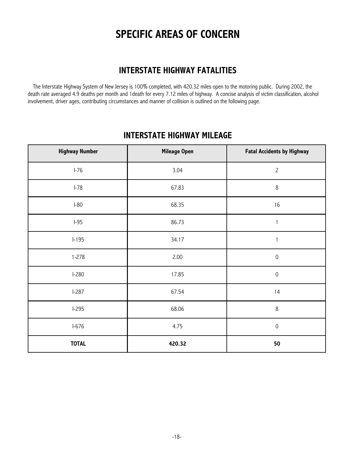# **SPECIFIC AREAS OF CONCERN**

### **INTERSTATE HIGHWAY FATALITIES**

The Interstate Highway System of New Jersey is 100% completed, with 420.32 miles open to the motoring public. During 2002, the death rate averaged 4.9 deaths per month and 1death for every 7.12 miles of highway. A concise analysis of victim classification, alcohol involvement, driver ages, contributing circumstances and manner of collision is outlined on the following page.

# **INTERSTATE HIGHWAY MILEAGE Highway Number Mileage Open Fatal Accidents by Highway** ┱

 $\mathcal{L}_{\mathcal{A}}$ 

| Highway Number | Mileage Open | <b>Fatal Accidents by Highway</b> |
|----------------|--------------|-----------------------------------|
| $I-76$         | 3.04         | $\mathsf{S}$                      |
| $I-78$         | 67.83        | $\,8\,$                           |
| $I-80$         | 68.35        | 16                                |
| $I-95$         | 86.73        | $\mathbf{1}$                      |
| $I-195$        | 34.17        |                                   |
| $1 - 278$      | 2.00         | $\mathsf{O}\xspace$               |
| $1-280$        | 17.85        | $\mathsf{O}\xspace$               |
| $I-287$        | 67.54        | 14                                |
| $I-295$        | 68.06        | $\,8\,$                           |
| $I-676$        | 4.75         | $\mathsf{O}\xspace$               |
| <b>TOTAL</b>   | 420.32       | 50                                |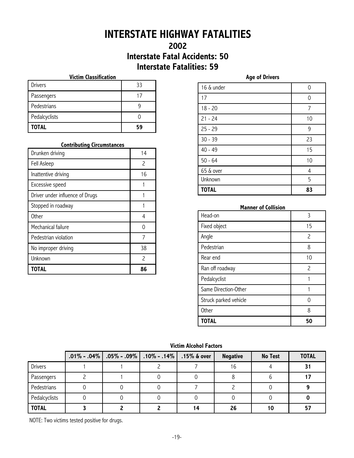# **INTERSTATE HIGHWAY FATALITIES**

### **2002 Interstate Fatal Accidents: 50 Interstate Fatalities: 59**

#### **Victim Classification**

| <b>TOTAL</b>   | 59 |
|----------------|----|
| Pedalcyclists  |    |
| Pedestrians    |    |
| Passengers     | 17 |
| <b>Drivers</b> | 33 |

#### **Contributing Circumstances**

| TOTAL                           | 86                          |
|---------------------------------|-----------------------------|
| Unknown                         | $\mathcal{P}_{\mathcal{P}}$ |
| No improper driving             | 38                          |
| Pedestrian violation            | 7                           |
| Mechanical failure              |                             |
| <b>Other</b>                    | 4                           |
| Stopped in roadway              |                             |
| Driver under influence of Drugs |                             |
| Excessive speed                 |                             |
| Inattentive driving             | 16                          |
| Fell Asleep                     | 2                           |
| Drunken driving                 | 14                          |

| 16 & under   | U  |
|--------------|----|
| 17           | 0  |
| $18 - 20$    | 7  |
| $21 - 24$    | 10 |
| $25 - 29$    | 9  |
| $30 - 39$    | 23 |
| $40 - 49$    | 15 |
| $50 - 64$    | 10 |
| 65 & over    | 4  |
| Unknown      | 5  |
| <b>TOTAL</b> | 83 |

#### **Manner of Collision**

| Head-on               | 3                        |
|-----------------------|--------------------------|
| Fixed object          | 15                       |
| Angle                 | $\overline{\phantom{0}}$ |
| Pedestrian            | 8                        |
| Rear end              | 10                       |
| Ran off roadway       | $\mathcal{P}$            |
| Pedalcyclist          |                          |
| Same Direction-Other  |                          |
| Struck parked vehicle | 0                        |
| <b>Other</b>          | 8                        |
| <b>TOTAL</b>          | 50                       |

#### **Victim Alcohol Factors**

|                |  | $.01\%$ - .04%   .05% - .09%   .10% - .14% | $.15\%$ & over | <b>Negative</b> | <b>No Test</b> | <b>TOTAL</b> |
|----------------|--|--------------------------------------------|----------------|-----------------|----------------|--------------|
| <b>Drivers</b> |  |                                            |                | 16              |                | 31           |
| Passengers     |  |                                            |                |                 |                |              |
| Pedestrians    |  |                                            |                |                 |                |              |
| Pedalcyclists  |  |                                            |                |                 |                |              |
| <b>TOTAL</b>   |  |                                            | 14             | 26              | 10             | 57           |

NOTE: Two victims tested positive for drugs.

**Age of Drivers**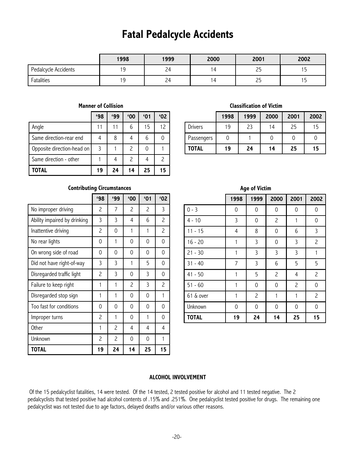# **Fatal Pedalcycle Accidents**

|                      | 1998 | 1999 | 2000           | 2001            | 2002 |
|----------------------|------|------|----------------|-----------------|------|
| Pedalcycle Accidents | 9    | 24   | $\overline{a}$ | ر ے             | . J  |
| Fatalities           | ر ا  | 24   | 14             | つに<br><u>__</u> | ر ،  |

#### **Manner of Collision**

|                            | 498 | وو، | $^{\prime}00$ | $^{\prime}01$ | '02                      |
|----------------------------|-----|-----|---------------|---------------|--------------------------|
| Angle                      |     |     | 6             | 15            | 12                       |
| Same direction-rear end    |     | 8   |               | 6             |                          |
| Opposite direction-head on | 3   |     | 2             |               |                          |
| Same direction - other     |     |     | $\mathcal{P}$ |               | $\overline{\phantom{0}}$ |
| TOTAL                      | 19  | 24  | 14            | 25            | 15                       |

#### **Classification of Victim**

|                | 1998 | 1999 | 2000 | 2001 | 2002 |
|----------------|------|------|------|------|------|
| <b>Drivers</b> | 19   | 23   | 14   | 25   | 15   |
| Passengers     |      |      |      |      |      |
| <b>TOTAL</b>   | 19   | 24   | 14   | 25   | 15   |

#### **Contributing Circumstances**

|                              | 498 | 499                      | '00            | '01 | '02            |
|------------------------------|-----|--------------------------|----------------|-----|----------------|
| No improper driving          | 2   | 7                        | 2              | 2   | 3              |
| Ability impaired by drinking | 3   | 3                        | 4              | 6   | 2              |
| Inattentive driving          | 2   | 0                        | 1              | 1   | $\overline{c}$ |
| No rear lights               | 0   | 1                        | 0              | 0   | 0              |
| On wrong side of road        | 0   | 0                        | 0              | 0   | 0              |
| Did not have right-of-way    | 3   | 3                        | 1              | 5   | 0              |
| Disregarded traffic light    | 2   | 3                        | 0              | 3   | 0              |
| Failure to keep right        | 1   | 1                        | $\overline{c}$ | 3   | 2              |
| Disregarded stop sign        | 1   | 1                        | 0              | 0   | 1              |
| Too fast for conditions      | 0   | 0                        | 0              | 0   | 0              |
| Improper turns               | 2   | 1                        | 0              | 1   | 0              |
| <b>Other</b>                 | 1   | 2                        | 4              | 4   | 4              |
| Unknown                      | 2   | $\overline{\phantom{0}}$ | 0              | 0   | 1              |
| <b>TOTAL</b>                 | 19  | 24                       | 14             | 25  | 15             |

|              | 1998         | 1999           | 2000           | 2001           | 2002           |
|--------------|--------------|----------------|----------------|----------------|----------------|
| $0 - 3$      | 0            | 0              | 0              | 0              | 0              |
| $4 - 10$     | 3            | 0              | $\overline{c}$ | 1              | 0              |
| $11 - 15$    | 4            | 8              | 0              | 6              | 3              |
| $16 - 20$    | 1            | 3              | 0              | 3              | $\overline{c}$ |
| $21 - 30$    | 1            | 3              | 3              | 3              | 1              |
| $31 - 40$    | 7            | 3              | 6              | 5              | 5              |
| 41 - 50      | $\mathbf{1}$ | 5              | $\overline{c}$ | 4              | $\overline{c}$ |
| $51 - 60$    | 1            | 0              | 0              | $\overline{c}$ | 0              |
| 61 & over    | 1            | $\overline{c}$ | 1              | 1              | $\overline{c}$ |
| Unknown      | 0            | 0              | 0              | 0              | 0              |
| <b>TOTAL</b> | 19           | 24             | 14             | 25             | 15             |

# **Age of Victim**

#### **ALCOHOL INVOLVEMENT**

Of the 15 pedalcyclist fatalities, 14 were tested. Of the 14 tested, 2 tested positive for alcohol and 11 tested negative. The 2 pedalcyclists that tested positive had alcohol contents of .15% and .251%. One pedalcyclist tested positive for drugs. The remaining one pedalcyclist was not tested due to age factors, delayed deaths and/or various other reasons.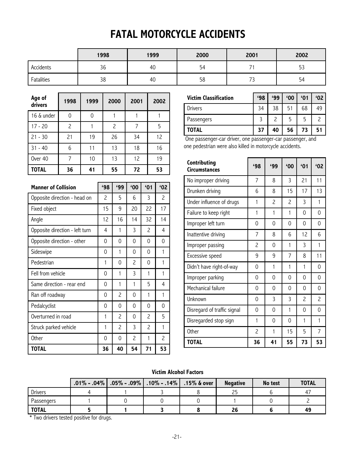# **FATAL MOTORCYCLE ACCIDENTS**

|            | 1998           | 1999 | 2000 | 2001                            | 2002                 |
|------------|----------------|------|------|---------------------------------|----------------------|
| Accidents  | $\Omega$<br>36 | 40   | 54   |                                 | $ \sim$<br>h<br>ر ر  |
| Fatalities | 38             | 40   | 58   | $\overline{\phantom{a}}$<br>ر ، | $\overline{a}$<br>54 |

| Age of<br>drivers | 1998           | 1999 | 2000 | 2001 | 2002 |
|-------------------|----------------|------|------|------|------|
| 16 & under        | 0              | 0    |      |      |      |
| $17 - 20$         | $\overline{c}$ |      | 2    | 7    | 5    |
| $21 - 30$         | 21             | 19   | 26   | 34   | 12   |
| $31 - 40$         | 6              | 11   | 13   | 18   | 16   |
| Over 40           | 7              | 10   | 13   | 12   | 19   |
| <b>TOTAL</b>      | 36             | 41   | 55   | 72   | 53   |

| <b>Manner of Collision</b>     | 498 | '99      | '00            | '01 | '02                      |
|--------------------------------|-----|----------|----------------|-----|--------------------------|
| Opposite direction - head on   | 2   | 5        | 6              | 3   | $\overline{\phantom{0}}$ |
| Fixed object                   | 15  | 9        | 20             | 22  | 17                       |
| Angle                          | 12  | 16       | 14             | 32  | 14                       |
| Opposite direction - left turn | 4   | 1        | 3              | 2   | 4                        |
| Opposite direction - other     | 0   | 0        | 0              | 0   | 0                        |
| Sideswipe                      | 0   | 1        | 0              | 0   | 1                        |
| Pedestrian                     | 1   | 0        | $\overline{c}$ | 0   | 1                        |
| Fell from vehicle              | 0   | 1        | 3              | 1   | 1                        |
| Same direction - rear end      | 0   | 1        | 1              | 5   | 4                        |
| Ran off roadway                | 0   | 2        | 0              | 1   | 1                        |
| Pedalcyclist                   | 0   | 0        | 0              | 0   | 0                        |
| Overturned in road             | 1   | 2        | 0              | 2   | 5                        |
| Struck parked vehicle          | 1   | 2        | 3              | 2   | 1                        |
| Other                          | 0   | $\Omega$ | $\overline{c}$ | 1   | 2                        |
| <b>TOTAL</b>                   | 36  | 40       | 54             | 71  | 53                       |

| <b>Victim Classification</b> | '98 | '99 | '00 | $^{\prime}01$ | '02 |
|------------------------------|-----|-----|-----|---------------|-----|
| <b>Drivers</b>               | 34  | 38  | 51  | 68            | 49  |
| Passengers                   |     |     | 5   | 5             |     |
| TOTAL                        | 37  | 40  | 56  | 73            |     |

One passenger-car driver, one passenger-car passenger, and one pedestrian were also killed in motorcycle accidents.

| Contributing<br><b>Circumstances</b> | 498                      | 499                      | '00                      | 61             | '02      |
|--------------------------------------|--------------------------|--------------------------|--------------------------|----------------|----------|
| No improper driving                  | 7                        | 8                        | 3                        | 21             | 11       |
| Drunken driving                      | 6                        | 8                        | 15                       | 17             | 13       |
| Under influence of drugs             | 1                        | $\overline{\phantom{0}}$ | $\overline{\phantom{0}}$ | 3              | 1        |
| Failure to keep right                | 1                        | 1                        | 1                        | 0              | 0        |
| Improper left turn                   | 0                        | $\Omega$                 | 0                        | 0              | 0        |
| Inattentive driving                  | 7                        | 8                        | 6                        | 12             | 6        |
| Improper passing                     | $\overline{c}$           | $\Omega$                 | 1                        | 3              | 1        |
| Excessive speed                      | 9                        | 9                        | 7                        | 8              | 11       |
| Didn't have right-of-way             | 0                        | 1                        | 1                        | 1              | $\Omega$ |
| Improper parking                     | 0                        | $\Omega$                 | 0                        | 0              | $\Omega$ |
| Mechanical failure                   | 0                        | 0                        | 0                        | 0              | 0        |
| Unknown                              | 0                        | 3                        | 3                        | $\overline{c}$ | 2        |
| Disregard of traffic signal          | 0                        | 0                        | 1                        | 0              | 0        |
| Disregarded stop sign                | 1                        | $\Omega$                 | 0                        | 1              | 1        |
| <b>Other</b>                         | $\overline{\phantom{0}}$ | 1                        | 15                       | 5              | 7        |
| <b>TOTAL</b>                         | 36                       | 41                       | 55                       | 73             | 53       |

#### **Victim Alcohol Factors**

|                | $.01\%$ - .04% $\mid .05\%$ - .09% $\mid .10\%$ - .14% $\mid$ | $.15\%$ & over | <b>Negative</b> | No test | <b>TOTAL</b> |
|----------------|---------------------------------------------------------------|----------------|-----------------|---------|--------------|
| <b>Drivers</b> |                                                               |                |                 |         | 47           |
| Passengers     |                                                               |                |                 |         |              |
| <b>TOTAL</b>   |                                                               |                | 26              |         | 49           |

\* Two drivers tested positive for drugs.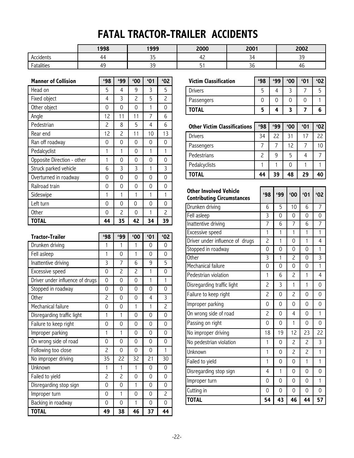# **FATAL TRACTOR-TRAILER ACCIDENTS**

|                                                        | 1998 | 1999                   | 2000 | 2001         | 2002          |
|--------------------------------------------------------|------|------------------------|------|--------------|---------------|
| Accidents                                              | 44   | $\sim$ $-$<br><u>-</u> | . .  | -<br>−د      | ~<br><u>-</u> |
| <b>11.11</b><br>$\overline{\phantom{0}}$<br>Fatalities | 45   | C.<br><u>-</u>         |      | $\sim$<br>56 | Щk            |

| <b>Manner of Collision</b>      | <b>'98</b>     | '99          | '00          | '01            | '02            |
|---------------------------------|----------------|--------------|--------------|----------------|----------------|
| Head on                         | 5              | 4            | 9            | 3              | 5              |
| Fixed object                    | 4              | 3            | 2            | 5              | $\overline{c}$ |
| Other object                    | 0              | 0            | 0            | 1              | 0              |
| Angle                           | 12             | 11           | 11           | $\overline{7}$ | 6              |
| Pedestrian                      | $\overline{c}$ | 8            | 5            | 4              | 6              |
| Rear end                        | 12             | 2            | 11           | 10             | 13             |
| Ran off roadway                 | 0              | 0            | 0            | 0              | 0              |
| Pedalcyclist                    | 1              | 1            | 0            | 1              | $\mathbf{1}$   |
| Opposite Direction - other      | 1              | 0            | 0            | 0              | 0              |
| Struck parked vehicle           | 6              | 3            | 3            | 1              | 3              |
| Overturned in roadway           | 0              | 0            | 0            | 0              | 0              |
| Railroad train                  | 0              | 0            | 0            | 0              | 0              |
| Sideswipe                       | 1              | 1            | 1            | 1              | 1              |
| Left turn                       | 0              | 0            | 0            | 0              | 0              |
| Other                           | 0              | 2            | 0            | 1              | 2              |
| <b>TOTAL</b>                    | 44             | 35           | 42           | 34             | 39             |
|                                 |                |              |              |                |                |
|                                 |                |              |              |                |                |
| <b>Tractor-Trailer</b>          | 498            | 499          | '00          | 61             | '02            |
| Drunken driving                 | 1              | 1            | 1            | 0              | 0              |
| Fell asleep                     | 1              | 0            | 1            | 0              | 0              |
| Inattentive driving             | 3              | 7            | 6            | 9              | 5              |
| Excessive speed                 | 0              | 2            | 2            | $\mathbf{1}$   | 0              |
| Driver under influence of drugs | 0              | 0            | 0            | $\mathbf{1}$   | $\mathbf{1}$   |
| Stopped in roadway              | 0              | 0            | 0            | 0              | 0              |
| Other                           | $\overline{c}$ | 0            | 0            | 4              | 3              |
| Mechanical failure              | 0              | 0            | 1            | 1              | $\overline{c}$ |
| Disregarding traffic light      | 1              | 1            | 0            | 0              | 0              |
| Failure to keep right           | 0              | 0            | 0            | 0              | 0              |
| Improper parking                | $\mathbf{1}$   | 1            | 0            | 0              | 0              |
| On wrong side of road           | 0              | 0            | 0            | 0              | 0              |
| Following too close             | $\overline{c}$ | 0            | 0            | 0              | 1              |
| No improper driving             | 35             | 22           | 32           | 21             | 30             |
| Unknown                         | 1              | $\mathbf{1}$ | $\mathbf{1}$ | 0              | 0              |

Disregarding stop sign **0** 0 0 1 0 0 0 Improper turn 0 1 0 0 2 Backing in roadway 0 0 1 0 0 **TOTAL 49 38 46 37 44**

| <b>Victim Classification</b> | '98 | '99 | $^{\circ}00$ | 01' | '02 |
|------------------------------|-----|-----|--------------|-----|-----|
| <b>Drivers</b>               |     |     |              |     | 5   |
| Passengers                   |     |     |              |     |     |
| TOTAL                        |     |     |              |     | 6   |

| <b>Other Victim Classifications</b> | <b>'98</b>    | '99 | '00 | $^{\prime}$ 01 | 62' |
|-------------------------------------|---------------|-----|-----|----------------|-----|
| Drivers                             | 34            | 22  | 31  | 17             | 22  |
| Passengers                          |               |     | 12  |                | 10  |
| Pedestrians                         | $\mathcal{P}$ | 9   | 5   | 4              |     |
| Pedalcyclists                       |               |     |     |                |     |
| TOTAL                               | 44            | 39  | 48  | 29             | 40  |

| <b>Other Involved Vehicle</b><br><b>Contributing Circumstances</b> | '98                      | 499          | '00                      | '01            | 62             |
|--------------------------------------------------------------------|--------------------------|--------------|--------------------------|----------------|----------------|
| Drunken driving                                                    | 6                        | 5            | 10                       | 6              | 7              |
| Fell asleep                                                        | 3                        | 0            | 0                        | 0              | 0              |
| Inattentive driving                                                | 7                        | 6            | 7                        | 6              | $\overline{7}$ |
| Excessive speed                                                    | 1                        | $\mathbf{1}$ | $\mathbf{1}$             | $\mathbf{1}$   | $\mathbf{1}$   |
| Driver under influence of drugs                                    | $\overline{c}$           | 1            | 0                        | 1              | 4              |
| Stopped in roadway                                                 | 0                        | 0            | $\Omega$                 | $\overline{0}$ | 1              |
| Other                                                              | 3                        | $\mathbf{1}$ | $\overline{c}$           | $\Omega$       | 3              |
| Mechanical failure                                                 | 0                        | 0            | 0                        | 0              | $\mathbf{1}$   |
| Pedestrian violation                                               | 1                        | 6            | $\overline{\phantom{0}}$ | 1              | 4              |
| Disregarding traffic light                                         | $\overline{c}$           | 3            | 1                        | 1              | 0              |
| Failure to keep right                                              | $\overline{\phantom{0}}$ | $\Omega$     | $\overline{\phantom{0}}$ | 0              | 0              |
| Improper parking                                                   | 0                        | 0            | 0                        | 0              | 0              |
| On wrong side of road                                              | $\overline{c}$           | $\Omega$     | 4                        | 0              | 1              |
| Passing on right                                                   | 0                        | 0            | 1                        | 0              | 0              |
| No improper driving                                                | 18                       | 19           | 12                       | 23             | 22             |
| No pedestrian violation                                            | 1                        | 0            | $\overline{c}$           | 2              | 3              |
| Unknown                                                            | 1                        | 0            | $\overline{c}$           | $\overline{c}$ | 1              |
| Failed to yield                                                    | 1                        | 0            | 0                        | $\mathbf{1}$   | 1              |
| Disregarding stop sign                                             | 4                        | 1            | 0                        | 0              | 0              |
| Improper turn                                                      | 0                        | 0            | 0                        | 0              | 1              |
| Cutting in                                                         | 0                        | $\Omega$     | 0                        | 0              | 0              |
| <b>TOTAL</b>                                                       | 54                       | 43           | 46                       | 44             | 57             |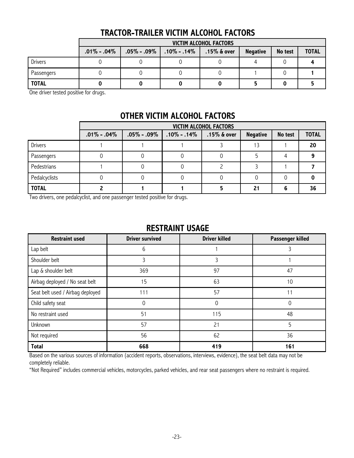| <b>TRACTOR-TRAILER VICTIM ALCOHOL FACTORS</b> |  |  |  |
|-----------------------------------------------|--|--|--|
|-----------------------------------------------|--|--|--|

|                | VICTIM ALCOHOL FACTORS |                   |                   |                |                 |         |              |
|----------------|------------------------|-------------------|-------------------|----------------|-----------------|---------|--------------|
|                | $.01\% - .04\%$        | $.05\%$ - $.09\%$ | $.10\%$ - $.14\%$ | $.15\%$ & over | <b>Negative</b> | No test | <b>TOTAL</b> |
| <b>Drivers</b> |                        |                   |                   |                |                 |         |              |
| Passengers     |                        |                   |                   |                |                 |         |              |
| <b>TOTAL</b>   |                        |                   |                   |                |                 |         |              |

One driver tested positive for drugs.

### **OTHER VICTIM ALCOHOL FACTORS**

|                | <b>VICTIM ALCOHOL FACTORS</b> |                 |                 |                |                 |         |              |
|----------------|-------------------------------|-----------------|-----------------|----------------|-----------------|---------|--------------|
|                | $.01\% - .04\%$               | $.05\% - .09\%$ | $.10\% - .14\%$ | $.15\%$ & over | <b>Negative</b> | No test | <b>TOTAL</b> |
| <b>Drivers</b> |                               |                 |                 |                | 13              |         | 20           |
| Passengers     |                               |                 |                 |                |                 |         |              |
| Pedestrians    |                               |                 |                 |                |                 |         |              |
| Pedalcyclists  |                               |                 |                 |                |                 |         |              |
| <b>TOTAL</b>   |                               |                 |                 |                | 21              |         | 36           |

Two drivers, one pedalcyclist, and one passenger tested positive for drugs.

#### **RESTRAINT USAGE**

| <b>Restraint used</b>            | <b>Driver survived</b> | <b>Driver killed</b> | Passenger killed |
|----------------------------------|------------------------|----------------------|------------------|
| Lap belt                         | 6                      |                      |                  |
| Shoulder belt                    |                        |                      |                  |
| Lap & shoulder belt              | 369                    | 97                   | 47               |
| Airbag deployed / No seat belt   | 15                     | 63                   | 10               |
| Seat belt used / Airbag deployed | 111                    | 57                   | 11               |
| Child safety seat                | 0                      | $\Omega$             | $\Omega$         |
| No restraint used                | 51                     | 115                  | 48               |
| Unknown                          | 57                     | 21                   | 5                |
| Not required                     | 56                     | 62                   | 36               |
| <b>Total</b>                     | 668                    | 419                  | 161              |

Based on the various sources of information (accident reports, observations, interviews, evidence), the seat belt data may not be completely reliable.

"Not Required" includes commercial vehicles, motorcycles, parked vehicles, and rear seat passengers where no restraint is required.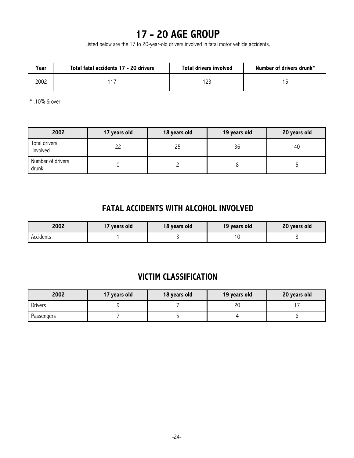# **17 - 20 AGE GROUP**

Listed below are the 17 to 20-year-old drivers involved in fatal motor vehicle accidents.

| Year | Total fatal accidents 17 - 20 drivers | Total drivers involved | Number of drivers drunk* |
|------|---------------------------------------|------------------------|--------------------------|
| 2002 |                                       |                        |                          |

\* .10% & over

| 2002                       | 17 years old | 18 years old | 19 years old | 20 years old |
|----------------------------|--------------|--------------|--------------|--------------|
| Total drivers<br>involved  | 22           | 25           | 36           | 40           |
| Number of drivers<br>drunk |              |              |              |              |

### **FATAL ACCIDENTS WITH ALCOHOL INVOLVED**

| 2002      | 17 years old | 18 years old | 19 years old | 20 years old |
|-----------|--------------|--------------|--------------|--------------|
| Accidents |              |              |              |              |

### **VICTIM CLASSIFICATION**

| 2002           | 17 years old | 18 years old | 19 years old | 20 years old |
|----------------|--------------|--------------|--------------|--------------|
| <b>Drivers</b> |              |              | ົ<br>∼       |              |
| Passengers     |              |              |              |              |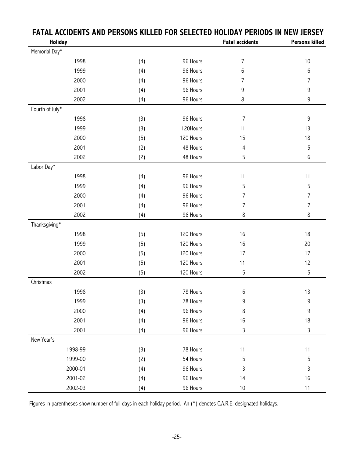|                 | <u>I AIAL ACCIDENTS AND I ENSUNS NIEEED I</u> |           |                        | JLLLUILD HULIDAI I LINUDJ IN NLW JLIJLI |
|-----------------|-----------------------------------------------|-----------|------------------------|-----------------------------------------|
| <b>Holiday</b>  |                                               |           | <b>Fatal accidents</b> | <b>Persons killed</b>                   |
| Memorial Day*   |                                               |           |                        |                                         |
| 1998            | (4)                                           | 96 Hours  | $\overline{7}$         | $10$                                    |
| 1999            | (4)                                           | 96 Hours  | 6                      | 6                                       |
| 2000            | (4)                                           | 96 Hours  | 7                      | $\overline{7}$                          |
| 2001            | (4)                                           | 96 Hours  | 9                      | 9                                       |
| 2002            | (4)                                           | 96 Hours  | 8                      | $\boldsymbol{9}$                        |
| Fourth of July* |                                               |           |                        |                                         |
| 1998            | (3)                                           | 96 Hours  | $\overline{7}$         | 9                                       |
| 1999            | (3)                                           | 120Hours  | 11                     | 13                                      |
| 2000            | (5)                                           | 120 Hours | 15                     | 18                                      |
| 2001            | (2)                                           | 48 Hours  | 4                      | $\overline{5}$                          |
| 2002            | (2)                                           | 48 Hours  | 5                      | 6                                       |
| Labor Day*      |                                               |           |                        |                                         |
| 1998            | (4)                                           | 96 Hours  | 11                     | 11                                      |
| 1999            | (4)                                           | 96 Hours  | 5                      | 5                                       |
| 2000            | (4)                                           | 96 Hours  | $\overline{7}$         | $\overline{7}$                          |
| 2001            | (4)                                           | 96 Hours  | $\overline{7}$         | $\overline{7}$                          |
| 2002            | (4)                                           | 96 Hours  | 8                      | $\,8\,$                                 |
| Thanksgiving*   |                                               |           |                        |                                         |
| 1998            | (5)                                           | 120 Hours | 16                     | 18                                      |
| 1999            | (5)                                           | 120 Hours | 16                     | 20                                      |
| 2000            | (5)                                           | 120 Hours | 17                     | 17                                      |
| 2001            | (5)                                           | 120 Hours | 11                     | 12                                      |
| 2002            | (5)                                           | 120 Hours | 5                      | $\overline{5}$                          |
| Christmas       |                                               |           |                        |                                         |
| 1998            | (3)                                           | 78 Hours  | 6                      | 13                                      |
| 1999            | (3)                                           | 78 Hours  | 9                      | 9                                       |
| 2000            | (4)                                           | 96 Hours  | 8                      | 9                                       |
| 2001            | (4)                                           | 96 Hours  | 16                     | 18                                      |
| 2001            | (4)                                           | 96 Hours  | 3                      | $\mathsf{3}$                            |
| New Year's      |                                               |           |                        |                                         |
| 1998-99         | (3)                                           | 78 Hours  | 11                     | 11                                      |
| 1999-00         | (2)                                           | 54 Hours  | 5                      | 5                                       |
| 2000-01         | (4)                                           | 96 Hours  | 3                      | 3                                       |
| 2001-02         | (4)                                           | 96 Hours  | 14                     | 16                                      |
| 2002-03         | (4)                                           | 96 Hours  | $10$                   | 11                                      |

### **FATAL ACCIDENTS AND PERSONS KILLED FOR SELECTED HOLIDAY PERIODS IN NEW JERSEY**

Figures in parentheses show number of full days in each holiday period. An (\*) denotes C.A.R.E. designated holidays.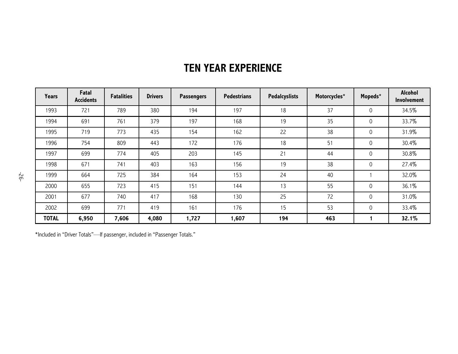| <b>Years</b> | Fatal<br><b>Accidents</b> | <b>Fatalities</b> | <b>Drivers</b> | <b>Passengers</b> | <b>Pedestrians</b> | <b>Pedalcyslists</b> | Motorcycles* | Mopeds*     | <b>Alcohol</b><br><b>Involvement</b> |
|--------------|---------------------------|-------------------|----------------|-------------------|--------------------|----------------------|--------------|-------------|--------------------------------------|
| 1993         | 721                       | 789               | 380            | 194               | 197                | 18                   | 37           | 0           | 34.5%                                |
| 1994         | 691                       | 761               | 379            | 197               | 168                | 19                   | 35           | 0           | 33.7%                                |
| 1995         | 719                       | 773               | 435            | 154               | 162                | 22                   | 38           | 0           | 31.9%                                |
| 1996         | 754                       | 809               | 443            | 172               | 176                | 18                   | 51           | 0           | 30.4%                                |
| 1997         | 699                       | 774               | 405            | 203               | 145                | 21                   | 44           | 0           | 30.8%                                |
| 1998         | 671                       | 741               | 403            | 163               | 156                | 19                   | 38           | 0           | 27.4%                                |
| 1999         | 664                       | 725               | 384            | 164               | 153                | 24                   | 40           |             | 32.0%                                |
| 2000         | 655                       | 723               | 415            | 151               | 144                | 13                   | 55           | 0           | 36.1%                                |
| 2001         | 677                       | 740               | 417            | 168               | 130                | 25                   | 72           | 0           | 31.0%                                |
| 2002         | 699                       | 771               | 419            | 161               | 176                | 15                   | 53           | $\mathbf 0$ | 33.4%                                |
| <b>TOTAL</b> | 6,950                     | 7,606             | 4,080          | 1,727             | 1,607              | 194                  | 463          |             | 32.1%                                |

# **TEN YEAR EXPERIENCE**

\*Included in "Driver Totals"—If passenger, included in "Passenger Totals."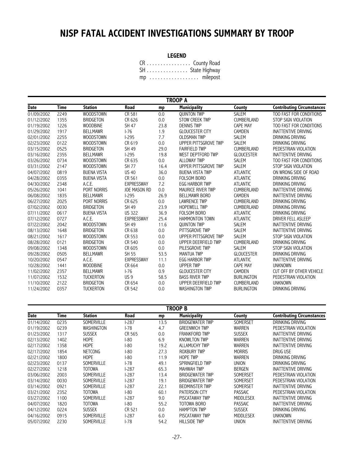# **NJSP FATAL ACCIDENT INVESTIGATIONS SUMMARY BY TROOP**

#### **LEGEND**

CR . . . . . . . . . . . . . . . . County Road SH . . . . . . . . . . . . . . . State Highway mp . . . . . . . . . . . . . . . . . . milepost

|             | <b>TROOP A</b> |                    |                     |      |                          |                   |                                   |  |  |  |  |
|-------------|----------------|--------------------|---------------------|------|--------------------------|-------------------|-----------------------------------|--|--|--|--|
| <b>Date</b> | <b>Time</b>    | <b>Station</b>     | <b>Road</b>         | mp   | <b>Municipality</b>      | County            | <b>Contributing Circumstances</b> |  |  |  |  |
| 01/09/2002  | 2249           | <b>WOODSTOWN</b>   | CR 581              | 0.0  | <b>QUINTON TWP</b>       | <b>SALEM</b>      | TOO FAST FOR CONDITIONS           |  |  |  |  |
| 01/12/2002  | 1355           | <b>BRIDGETON</b>   | CR 626              | 0.0  | <b>STOW CREEK TWP</b>    | <b>CUMBERLAND</b> | <b>STOP SIGN VIOLATION</b>        |  |  |  |  |
| 01/19/2002  | 1226           | <b>WOODBINE</b>    | <b>SH 47</b>        | 23.8 | <b>DENNIS TWP</b>        | <b>CAPE MAY</b>   | TOO FAST FOR CONDITIONS           |  |  |  |  |
| 01/29/2002  | 1917           | <b>BELLMAWR</b>    | $1-76$              | 1.9  | <b>GLOUCESTER CITY</b>   | CAMDEN            | <b>INATTENTIVE DRIVING</b>        |  |  |  |  |
| 02/01/2002  | 2255           | <b>WOODSTOWN</b>   | $1-295$             | 7.7  | <b>OLDSMAN TWP</b>       | <b>SALEM</b>      | DRINKING DRIVING                  |  |  |  |  |
| 02/23/2002  | 0122           | WOODSTOWN          | CR 619              | 0.0  | UPPER PITTSGROVE TWP     | <b>SALEM</b>      | DRINKING DRIVING                  |  |  |  |  |
| 03/15/2002  | 0525           | <b>BRIDGETON</b>   | <b>SH 49</b>        | 29.0 | <b>FAIRFIELD TWP</b>     | <b>CUMBERLAND</b> | PEDESTRIAN VIOLATION              |  |  |  |  |
| 03/16/2002  | 2355           | <b>BELLMAWR</b>    | $1-295$             | 19.8 | WEST DEPTFORD TWP        | <b>GLOUCESTER</b> | <b>INATTENTIVE DRIVING</b>        |  |  |  |  |
| 03/26/2002  | 0734           | <b>WOODSTOWN</b>   | CR 635              | 0.0  | <b>ALLOWAY TWP</b>       | SALEM             | TOO FAST FOR CONDITIONS           |  |  |  |  |
| 03/31/2002  | 2147           | <b>WOODSTOWN</b>   | <b>SH 77</b>        | 16.4 | UPPER PITTSGROVE TWP     | <b>SALEM</b>      | STOP SIGN VIOLATION               |  |  |  |  |
| 04/07/2002  | 0819           | <b>BUENA VISTA</b> | <b>US 40</b>        | 36.0 | <b>BUENA VISTA TWP</b>   | <b>ATLANTIC</b>   | ON WRONG SIDE OF ROAD             |  |  |  |  |
| 04/28/2002  | 0355           | <b>BUENA VISTA</b> | CR 561              | 0.0  | <b>FOLSOM BORO</b>       | <b>ATLANTIC</b>   | DRINKING DRIVING                  |  |  |  |  |
| 04/30/2002  | 2348           | A.C.E.             | <b>EXPRESSWAY</b>   | 7.2  | <b>EGG HARBOR TWP</b>    | <b>ATLANTIC</b>   | DRINKING DRIVING                  |  |  |  |  |
| 05/26/2002  | 1041           | PORT NORRIS        | <b>JOE MASON RD</b> | 0.0  | <b>MAURICE RIVER TWP</b> | <b>CUMBERLAND</b> | <b>INATTENTIVE DRIVING</b>        |  |  |  |  |
| 06/08/2002  | 1835           | <b>BELLMAWR</b>    | $1-295$             | 26.9 | <b>BELLMAWR BORO</b>     | CAMDEN            | <b>INATTENTIVE DRIVING</b>        |  |  |  |  |
| 06/27/2002  | 2025           | PORT NORRIS        | CR 625              | 0.0  | <b>LAWRENCE TWP</b>      | CUMBERLAND        | <b>DRINKING DRIVING</b>           |  |  |  |  |
| 07/02/2002  | 0030           | <b>BRIDGETON</b>   | <b>SH 49</b>        | 23.9 | <b>HOPEWELL TWP</b>      | <b>CUMBERLAND</b> | DRINKING DRIVING                  |  |  |  |  |
| 07/11/2002  | 0617           | <b>BUENA VISTA</b> | <b>US 322</b>       | 36.9 | <b>FOLSOM BORO</b>       | <b>ATLANTIC</b>   | DRINKING DRIVING                  |  |  |  |  |
| 07/12/2002  | 0727           | A.C.E.             | <b>EXPRESSWAY</b>   | 25.4 | <b>HAMMONTON TOWN</b>    | <b>ATLANTIC</b>   | DRIVER FELL ASLEEP                |  |  |  |  |
| 07/22/2002  | 2042           | <b>WOODSTOWN</b>   | SH 49               | 11.6 | <b>QUINTON TWP</b>       | SALEM             | <b>INATTENTIVE DRIVING</b>        |  |  |  |  |
| 08/13/2002  | 1648           | <b>BRIDGETON</b>   | CR 638              | 0.0  | PITTSGROVE TWP           | <b>SALEM</b>      | <b>INATTENTIVE DRIVING</b>        |  |  |  |  |
| 08/21/2002  | 1617           | <b>WOODSTOWN</b>   | CR 553              | 0.0  | UPPER PITTSGROVE TWP     | <b>SALEM</b>      | STOP SIGN VIOLATION               |  |  |  |  |
| 08/28/2002  | 0121           | <b>BRIDGETON</b>   | CR 540              | 0.0  | UPPER DEERFIELD TWP      | <b>CUMBERLAND</b> | DRINKING DRIVING                  |  |  |  |  |
| 09/08/2002  | 1348           | WOODSTOWN          | CR 605              | 0.0  | PILESGROVE TWP           | <b>SALEM</b>      | STOP SIGN VIOLATION               |  |  |  |  |
| 09/28/2002  | 0505           | <b>BELLMAWR</b>    | <b>SH 55</b>        | 53.5 | <b>MANTUA TWP</b>        | <b>GLOUCESTER</b> | DRINKING DRIVING                  |  |  |  |  |
| 10/20/2002  | 0547           | A.C.E.             | <b>EXPRESSWAY</b>   | 11.1 | <b>EGG HARBOR TWP</b>    | <b>ATLANTIC</b>   | <b>INATTENTIVE DRIVING</b>        |  |  |  |  |
| 10/28/2002  | 1441           | <b>WOODBINE</b>    | CR 664              | 0.0  | <b>UPPER TWP</b>         | <b>CAPE MAY</b>   | <b>UNKNOWN</b>                    |  |  |  |  |
| 11/02/2002  | 2357           | <b>BELLMAWR</b>    | $-76$               | 0.9  | <b>GLOUCESTER CITY</b>   | CAMDEN            | CUT OFF BY OTHER VEHICLE          |  |  |  |  |
| 11/07/2002  | 1532           | <b>TUCKERTON</b>   | US <sub>9</sub>     | 58.5 | <b>BASS RIVER TWP</b>    | <b>BURLINGTON</b> | PEDESTRIAN VIOLATION              |  |  |  |  |
| 11/10/2002  | 2122           | <b>BRIDGETON</b>   | CR 654              | 0.0  | UPPER DEERFIELD TWP      | <b>CUMBERLAND</b> | <b>UNKNOWN</b>                    |  |  |  |  |
| 11/24/2002  | 0357           | <b>TUCKERTON</b>   | CR 542              | 0.0  | <b>WASHINGTON TWP</b>    | <b>BURLINGTON</b> | DRINKING DRIVING                  |  |  |  |  |

**TROOP B**

| Date       | <b>Time</b> | <b>Station</b>    | Road         | mp   | <b>Municipality</b>    | County           | <b>Contributing Circumstances</b> |
|------------|-------------|-------------------|--------------|------|------------------------|------------------|-----------------------------------|
| 01/14/2002 | 0235        | <b>SOMERVILLE</b> | l-287        | 13.5 | <b>BRIDGEWATER TWP</b> | SOMERSET         | DRINKING DRIVING                  |
| 01/19/2002 | 0239        | WASHINGTON        | l-78         | 4.7  | <b>GREENWICH TWP</b>   | WARREN           | PEDESTRIAN VIOLATION              |
| 01/23/2002 | 1317        | SUSSEX            | CR 565       | 0.0  | <b>FRANKFORD TWP</b>   | SUSSEX           | INATTENTIVE DRIVING               |
| 02/13/2002 | 1402        | <b>HOPE</b>       | <b>I-80</b>  | 6.9  | <b>KNOWLTON TWP</b>    | WARREN           | INATTENTIVE DRIVING               |
| 02/17/2002 | 1358        | <b>HOPE</b>       | <b>I-80</b>  | 19.2 | <b>ALLAMUCHY TWP</b>   | <b>WARREN</b>    | INATTENTIVE DRIVING               |
| 02/17/2002 | 1854        | <b>NETCONG</b>    | l-80         | 27.3 | <b>ROXBURY TWP</b>     | <b>MORRIS</b>    | DRUG USE                          |
| 02/21/2002 | 1800        | <b>HOPE</b>       | l-80         | 11.9 | <b>HOPE TWP</b>        | WARREN           | DRINKING DRIVING                  |
| 02/23/2002 | 0137        | SOMERVILLE        | l-78         | 49.1 | SPRINGFIELD TWP        | <b>UNION</b>     | DRINKING DRIVING                  |
| 02/27/2002 | 1218        | TOTOWA            | l-287        | 65.3 | <b>MAHWAH TWP</b>      | BERGEN           | INATTENTIVE DRIVING               |
| 03/06/2002 | 2003        | <b>SOMERVILLE</b> | l-287        | 13.4 | <b>BRIDGEWATER TWP</b> | SOMERSET         | PEDESTRIAN VIOLATION              |
| 03/14/2002 | 0030        | <b>SOMERVILLE</b> | <b>I-287</b> | 19.1 | <b>BRIDGEWATER TWP</b> | SOMERSET         | PEDESTRIAN VIOLATION              |
| 03/14/2002 | 0921        | <b>SOMERVILLE</b> | <b>I-287</b> | 22.1 | <b>BEDMINSTER TWP</b>  | SOMERSET         | INATTENTIVE DRIVING               |
| 03/21/2002 | 2352        | TOTOWA            | I-80         | 60.1 | <b>PATERSON CITY</b>   | <b>PASSAIC</b>   | PEDESTRIAN VIOLATION              |
| 03/27/2002 | 1100        | <b>SOMERVILLE</b> | <b>I-287</b> | 9.0  | PISCATAWAY TWP         | <b>MIDDLESEX</b> | <b>INATTENTIVE DRIVING</b>        |
| 04/07/2002 | 1820        | <b>TOTOWA</b>     | I-80         | 55.2 | TOTOWA BORO            | <b>PASSAIC</b>   | INATTENTIVE DRIVING               |
| 04/12/2002 | 0224        | <b>SUSSEX</b>     | CR 521       | 0.0  | <b>HAMPTON TWP</b>     | <b>SUSSEX</b>    | DRINKING DRIVING                  |
| 04/16/2002 | 0915        | <b>SOMERVILLE</b> | <b>-287</b>  | 6.0  | PISCATAWAY TWP         | <b>MIDDLESEX</b> | <b>UNKNOWN</b>                    |
| 05/07/2002 | 2230        | SOMERVILLE        | l-78         | 54.2 | <b>HILLSIDE TWP</b>    | <b>UNION</b>     | INATTENTIVE DRIVING               |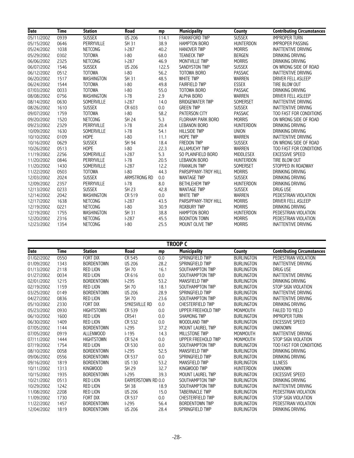| Date       | <b>Time</b> | <b>Station</b>    | Road          | mp    | <b>Municipality</b>      | County           | <b>Contributing Circumstances</b> |
|------------|-------------|-------------------|---------------|-------|--------------------------|------------------|-----------------------------------|
| 05/11/2002 | 0939        | <b>SUSSEX</b>     | <b>US 206</b> | 114.1 | <b>FRANKFORD TWP</b>     | <b>SUSSEX</b>    | <b>IMPROPER TURN</b>              |
| 05/15/2002 | 0646        | <b>PERRYVILLE</b> | <b>SH 31</b>  | 38.9  | <b>HAMPTON BORO</b>      | <b>HUNTERDON</b> | <b>IMPROPER PASSING</b>           |
| 05/24/2002 | 1038        | <b>NETCONG</b>    | $1-287$       | 40.2  | <b>HANOVER TWP</b>       | <b>MORRIS</b>    | <b>INATTENTIVE DRIVING</b>        |
| 05/29/2002 | 0302        | <b>TOTOWA</b>     | $I-80$        | 68.0  | <b>TEANECK TWP</b>       | <b>BERGEN</b>    | <b>DRINKING DRIVING</b>           |
| 06/06/2002 | 2325        | <b>NETCONG</b>    | $1-287$       | 46.9  | MONTVILLE TWP            | <b>MORRIS</b>    | DRINKING DRIVING                  |
| 06/07/2002 | 1546        | <b>SUSSEX</b>     | <b>US 206</b> | 122.5 | SANDYSTON TWP            | <b>SUSSEX</b>    | ON WRONG SIDE OF ROAD             |
| 06/12/2002 | 0512        | <b>TOTOWA</b>     | $I-80$        | 56.2  | TOTOWA BORO              | <b>PASSAIC</b>   | <b>INATTENTIVE DRIVING</b>        |
| 06/20/2002 | 1517        | WASHINGTON        | <b>SH 31</b>  | 48.5  | <b>WHITE TWP</b>         | WARREN           | DRIVER FELL ASLEEP                |
| 06/24/2002 | 1544        | <b>TOTOWA</b>     | $I-80$        | 49.8  | <b>FAIRFIELD TWP</b>     | <b>ESSEX</b>     | TIRE BLOW OUT                     |
| 07/03/2002 | 0033        | <b>TOTOWA</b>     | $ -80$        | 55.0  | TOTOWA BORO              | <b>PASSAIC</b>   | DRINKING DRIVING                  |
| 08/08/2002 | 0756        | WASHINGTON        | $I-78$        | 2.9   | <b>ALPHA BORO</b>        | <b>WARREN</b>    | DRIVER FELL ASLEEP                |
| 08/14/2002 | 0630        | SOMERVILLE        | $1-287$       | 14.0  | <b>BRIDGEWATER TWP</b>   | SOMERSET         | <b>INATTENTIVE DRIVING</b>        |
| 08/26/2002 | 1610        | <b>SUSSEX</b>     | CR 603        | 0.0   | <b>GREEN TWP</b>         | <b>SUSSEX</b>    | <b>INATTENTIVE DRIVING</b>        |
| 09/07/2002 | 1759        | <b>TOTOWA</b>     | $ -80$        | 58.2  | PATERSON CITY            | <b>PASSAIC</b>   | TOO FAST FOR CONDITIONS           |
| 09/20/2002 | 1520        | NETCONG           | <b>SH 24</b>  | 5.3   | <b>FLORHAM PARK BORO</b> | <b>MORRIS</b>    | ON WRONG SIDE OF ROAD             |
| 09/23/2002 | 2329        | <b>PERRYVILLE</b> | $1-78$        | 20.4  | <b>LEBANON BORO</b>      | <b>HUNTERDON</b> | DRINKING DRIVING                  |
| 10/09/2002 | 1630        | SOMERVILLE        | $1-78$        | 54.1  | <b>HILLSIDE TWP</b>      | <b>UNION</b>     | DRINKING DRIVING                  |
| 10/10/2002 | 0109        | <b>HOPE</b>       | $ -80$        | 11.1  | <b>HOPE TWP</b>          | <b>WARREN</b>    | <b>INATTENTIVE DRIVING</b>        |
| 10/16/2002 | 0629        | <b>SUSSEX</b>     | <b>SH 94</b>  | 18.4  | <b>FREDON TWP</b>        | <b>SUSSEX</b>    | ON WRONG SIDE OF ROAD             |
| 10/26/2002 | 0513        | <b>HOPE</b>       | $ -80$        | 22.3  | ALLAMUCHY TWP            | <b>WARREN</b>    | TOO FAST FOR CONDITIONS           |
| 11/19/2002 | 2256        | SOMERVILLE        | $1-287$       | 5.3   | SO PLAINFIELD BORO       | <b>MIDDLESEX</b> | <b>EXCESSIVE SPEED</b>            |
| 11/20/2002 | 0846        | PERRYVILLE        | $I-78$        | 20.5  | <b>LEBANON BORO</b>      | <b>HUNTERDON</b> | TIRE BLOW OUT                     |
| 11/20/2002 | 1430        | SOMERVILLE        | $1-287$       | 12.2  | <b>FRANKLIN TWP</b>      | SOMERSET         | STOPPED IN ROADWAY                |
| 11/22/2002 | 0503        | <b>TOTOWA</b>     | $I-80$        | 44.3  | PARSIPPANY-TROY HILL     | <b>MORRIS</b>    | DRINKING DRIVING                  |
| 12/03/2002 | 2024        | <b>SUSSEX</b>     | ARMSTRONG RD  | 0.0   | <b>WANTAGE TWP</b>       | <b>SUSSEX</b>    | DRINKING DRIVING                  |
| 12/09/2002 | 2357        | PERRYVILLE        | $1-78$        | 8.0   | <b>BETHLEHEM TWP</b>     | <b>HUNTERDON</b> | DRINKING DRIVING                  |
| 12/13/2002 | 0233        | <b>SUSSEX</b>     | <b>SH 23</b>  | 42.8  | <b>WANTAGE TWP</b>       | <b>SUSSEX</b>    | <b>DRUG USE</b>                   |
| 12/14/2002 | 2042        | <b>WASHINGTON</b> | CR 519        | 0.0   | <b>WHITE TWP</b>         | <b>WARREN</b>    | PEDESTRIAN VIOLATION              |
| 12/17/2002 | 1638        | NETCONG           | $1-287$       | 43.5  | PARSIPPANY-TROY HILL     | <b>MORRIS</b>    | DRIVER FELL ASLEEP                |
| 12/19/2002 | 0221        | NETCONG           | $I-80$        | 30.9  | <b>ROXBURY TWP</b>       | <b>MORRIS</b>    | DRINKING DRIVING                  |
| 12/19/2002 | 1755        | WASHINGTON        | <b>SH 31</b>  | 38.8  | <b>HAMPTON BORO</b>      | <b>HUNTERDON</b> | PEDESTRIAN VIOLATION              |
| 12/20/2002 | 2316        | <b>NETCONG</b>    | $1-287$       | 45.5  | <b>BOONTON TOWN</b>      | <b>MORRIS</b>    | PEDESTRIAN VIOLATION              |
| 12/23/2002 | 1354        | <b>NETCONG</b>    | $ -80$        | 25.5  | MOUNT OLIVE TWP          | <b>MORRIS</b>    | <b>INATTENTIVE DRIVING</b>        |

**TROOP C**

| Date       | Time | <b>Station</b>    | Road               | mp   | <b>Municipality</b>     | County            | <b>Contributing Circumstances</b> |
|------------|------|-------------------|--------------------|------|-------------------------|-------------------|-----------------------------------|
| 01/02/2002 | 0550 | FORT DIX          | CR 545             | 0.0  | SPRINGFIELD TWP         | <b>BURLINGTON</b> | PEDESTRIAN VIOLATION              |
| 01/09/2002 | 1343 | <b>BORDENTOWN</b> | <b>US 206</b>      | 28.2 | SPRINGFIELD TWP         | <b>BURLINGTON</b> | INATTENTIVE DRIVING               |
| 01/13/2002 | 2118 | <b>RED LION</b>   | SH 70              | 16.1 | SOUTHAMPTON TWP         | <b>BURLINGTON</b> | DRUG USE                          |
| 01/27/2002 | 0034 | <b>RED LION</b>   | CR 616             | 0.0  | SOUTHAMPTON TWP         | <b>BURLINGTON</b> | <b>INATTENTIVE DRIVING</b>        |
| 02/01/2002 | 1215 | <b>BORDENTOWN</b> | $1-295$            | 53.2 | MANSFIELD TWP           | <b>BURLINGTON</b> | DRINKING DRIVING                  |
| 02/19/2002 | 1159 | <b>RED LION</b>   | SH 70              | 18.1 | SOUTHAMPTON TWP         | <b>BURLINGTON</b> | STOP SIGN VIOLATION               |
| 03/25/2002 | 0149 | <b>BORDENTOWN</b> | <b>US 206</b>      | 28.9 | SPRINGFIELD TWP         | <b>BURLINGTON</b> | INATTENTIVE DRIVING               |
| 04/27/2002 | 0836 | <b>RED LION</b>   | SH 70              | 23.6 | SOUTHAMPTON TWP         | <b>BURLINGTON</b> | INATTENTIVE DRIVING               |
| 05/10/2002 | 2330 | FORT DIX          | SYKESVILLE RD      | 0.0  | <b>CHESTERFIELD TWP</b> | <b>BURLINGTON</b> | DRINKING DRIVING                  |
| 05/23/2002 | 0930 | <b>HIGHTSTOWN</b> | CR 539             | 0.0  | UPPER FREEHOLD TWP      | <b>MONMOUTH</b>   | <b>FAILED TO YIELD</b>            |
| 06/10/2002 | 1600 | <b>RED LION</b>   | CR541              | 0.0  | <b>SHAMONG TWP</b>      | <b>BURLINGTON</b> | <b>IMPROPER TURN</b>              |
| 06/30/2002 | 1409 | <b>RED LION</b>   | CR 532             | 0.0  | WOODLAND TWP            | <b>BURLINGTON</b> | <b>EXCESSIVE SPEED</b>            |
| 07/05/2002 | 1144 | <b>BORDENTOWN</b> | $1-295$            | 37.2 | <b>MOUNT LAUREL TWP</b> | <b>BURLINGTON</b> | <b>UNKNOWN</b>                    |
| 07/05/2002 | 0919 | <b>ALLENWOOD</b>  | $1-195$            | 14.3 | MILLSTONE TWP           | <b>MONMOUTH</b>   | <b>INATTENTIVE DRIVING</b>        |
| 07/11/2002 | 1444 | <b>HIGHTSTOWN</b> | CR 524             | 0.0  | UPPER FREEHOLD TWP      | <b>MONMOUTH</b>   | STOP SIGN VIOLATION               |
| 07/19/2002 | 1754 | <b>RED LION</b>   | CR 530             | 0.0  | SOUTHAMPTON TWP         | <b>BURLINGTON</b> | TOO FAST FOR CONDITIONS           |
| 08/10/2002 | 0058 | <b>BORDENTOWN</b> | $1-295$            | 52.5 | MANSFIELD TWP           | <b>BURLINGTON</b> | DRINKING DRIVING                  |
| 09/06/2002 | 0556 | <b>BORDENTOWN</b> | CR 537             | 0.0  | SPRINGFIELD TWP         | <b>BURLINGTON</b> | DRINKING DRIVING                  |
| 09/16/2002 | 1819 | <b>BORDENTOWN</b> | <b>US 130</b>      | 53.2 | MANSFIELD TWP           | <b>BURLINGTON</b> | <b>ILLNESS</b>                    |
| 10/11/2002 | 1313 | <b>KINGWOOD</b>   | SH 29              | 32.7 | KINGWOOD TWP            | <b>HUNTERDON</b>  | <b>UNKNOWN</b>                    |
| 10/15/2002 | 1935 | <b>BORDENTOWN</b> | $1-295$            | 39.3 | <b>MOUNT LAUREL TWP</b> | <b>BURLINGTON</b> | <b>EXCESSIVE SPEED</b>            |
| 10/21/2002 | 0513 | <b>RED LION</b>   | EARYERSTOWN RD 0.0 |      | SOUTHAMPTON TWP         | <b>BURLINGTON</b> | DRINKING DRIVING                  |
| 10/29/2002 | 1242 | <b>RED LION</b>   | SH 38              | 18.9 | SOUTHAMPTON TWP         | <b>BURLINGTON</b> | <b>INATTENTIVE DRIVING</b>        |
| 11/08/2002 | 2208 | <b>RED LION</b>   | <b>US 206</b>      | 15.0 | <b>TABERNACLE TWP</b>   | <b>BURLINGTON</b> | PEDESTRIAN VIOLATION              |
| 11/09/2002 | 1730 | FORT DIX          | CR 537             | 0.0  | <b>CHESTERFIELD TWP</b> | <b>BURLINGTON</b> | STOP SIGN VIOLATION               |
| 11/22/2002 | 1457 | <b>BORDENTOWN</b> | $1-295$            | 56.4 | <b>BORDENTOWN TWP</b>   | <b>BURLINGTON</b> | PEDESTRIAN VIOLATION              |
| 12/04/2002 | 1819 | <b>BORDENTOWN</b> | <b>US 206</b>      | 28.4 | SPRINGFIELD TWP         | <b>BURLINGTON</b> | DRINKING DRIVING                  |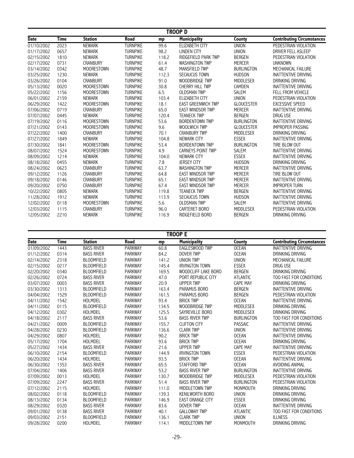|             | <b>TROOP D</b> |                   |                 |       |                           |                   |                                   |  |  |  |
|-------------|----------------|-------------------|-----------------|-------|---------------------------|-------------------|-----------------------------------|--|--|--|
| <b>Date</b> | Time           | <b>Station</b>    | Road            | mp    | <b>Municipality</b>       | County            | <b>Contributing Circumstances</b> |  |  |  |
| 01/10/2002  | 2023           | <b>NEWARK</b>     | <b>TURNPIKE</b> | 99.6  | <b>ELIZABETH CITY</b>     | <b>UNION</b>      | PEDESTRIAN VIOLATION              |  |  |  |
| 01/17/2002  | 0657           | <b>NEWARK</b>     | <b>TURNPIKE</b> | 98.2  | <b>LINDEN CITY</b>        | <b>UNION</b>      | DRIVER FELL ASLEEP                |  |  |  |
| 02/15/2002  | 1810           | <b>NEWARK</b>     | <b>TURNPIKE</b> | 118.2 | RIDGEFIELD PARK TWP       | <b>BERGEN</b>     | PEDESTRIAN VIOLATION              |  |  |  |
| 02/17/2002  | 0731           | <b>CRANBURY</b>   | <b>TURNPIKE</b> | 61.4  | <b>WASHINGTON TWP</b>     | <b>MERCER</b>     | <b>UNKNOWN</b>                    |  |  |  |
| 03/14/2002  | 0342           | MOORESTOWN        | <b>TURNPIKE</b> | 48.7  | <b>MANSFIELD TWP</b>      | <b>BURLINGTON</b> | MECHANICAL FAILURE                |  |  |  |
| 03/25/2002  | 1230           | <b>NEWARK</b>     | <b>TURNPIKE</b> | 112.3 | <b>SECAUCUS TOWN</b>      | <b>HUDSON</b>     | <b>INATTENTIVE DRIVING</b>        |  |  |  |
| 03/26/2002  | 0104           | <b>CRANBURY</b>   | <b>TURNPIKE</b> | 91.0  | <b>WOODBRIDGE TWP</b>     | <b>MIDDLESEX</b>  | DRINKING DRIVING                  |  |  |  |
| 05/13/2002  | 0020           | <b>MOORESTOWN</b> | <b>TURNPIKE</b> | 30.8  | <b>CHERRY HILL TWP</b>    | CAMDEN            | <b>INATTENTIVE DRIVING</b>        |  |  |  |
| 05/22/2002  | 1156           | <b>MOORESTOWN</b> | <b>TURNPIKE</b> | 6.5   | <b>OLDSMAN TWP</b>        | <b>SALEM</b>      | FELL FROM VEHICLE                 |  |  |  |
| 06/01/2002  | 2159           | <b>NEWARK</b>     | <b>TURNPIKE</b> | 103.4 | <b>ELIZABETH CITY</b>     | <b>UNION</b>      | PEDESTRIAN VIOLATION              |  |  |  |
| 06/29/2002  | 1422           | <b>MOORESTOWN</b> | <b>TURNPIKE</b> | 18.1  | <b>EAST GREENWICH TWP</b> | <b>GLOUCESTER</b> | <b>EXCESSIVE SPEED</b>            |  |  |  |
| 07/06/2002  | 0719           | <b>CRANBURY</b>   | <b>TURNPIKE</b> | 65.0  | <b>EAST WINDSOR TWP</b>   | <b>MERCER</b>     | <b>INATTENTIVE DRIVING</b>        |  |  |  |
| 07/07/2002  | 0445           | NEWARK            | <b>TURNPIKE</b> | 120.4 | <b>TEANECK TWP</b>        | <b>BERGEN</b>     | DRUG USE                          |  |  |  |
| 07/19/2002  | 0116           | <b>MOORESTOWN</b> | <b>TURNPIKE</b> | 53.6  | <b>BORDENTOWN TWP</b>     | <b>BURLINGTON</b> | <b>INATTENTIVE DRIVING</b>        |  |  |  |
| 07/21/2002  | 0143           | <b>MOORESTOWN</b> | <b>TURNPIKE</b> | 9.6   | WOOLWICH TWP              | <b>GLOUCESTER</b> | <b>IMPROPER PASSING</b>           |  |  |  |
| 07/22/2002  | 1400           | <b>CRANBURY</b>   | <b>TURNPIKE</b> | 70.1  | <b>CRANBURY TWP</b>       | <b>MIDDLESEX</b>  | DRINKING DRIVING                  |  |  |  |
| 07/27/2002  | 1849           | <b>NEWARK</b>     | <b>TURNPIKE</b> | 104.8 | NEWARK CITY               | <b>ESSEX</b>      | <b>INATTENTIVE DRIVING</b>        |  |  |  |
| 07/30/2002  | 1841           | <b>MOORESTOWN</b> | <b>TURNPIKE</b> | 53.4  | <b>BORDENTOWN TWP</b>     | <b>BURLINGTON</b> | TIRE BLOW OUT                     |  |  |  |
| 08/07/2002  | 1524           | <b>MOORESTOWN</b> | <b>TURNPIKE</b> | 4.9   | <b>CARNEYS POINT TWP</b>  | <b>SALEM</b>      | <b>INATTENTIVE DRIVING</b>        |  |  |  |
| 08/09/2002  | 1214           | <b>NEWARK</b>     | <b>TURNPIKE</b> | 104.0 | <b>NEWARK CITY</b>        | <b>ESSEX</b>      | <b>INATTENTIVE DRIVING</b>        |  |  |  |
| 08/18/2002  | 0455           | <b>NEWARK</b>     | <b>TURNPIKE</b> | 7.8   | <b>JERSEY CITY</b>        | <b>HUDSON</b>     | DRINKING DRIVING                  |  |  |  |
| 08/24/2002  | 0623           | <b>CRANBURY</b>   | <b>TURNPIKE</b> | 63.7  | <b>WASHINGTON TWP</b>     | <b>MERCER</b>     | <b>INATTENTIVE DRIVING</b>        |  |  |  |
| 09/12/2002  | 1126           | <b>CRANBURY</b>   | <b>TURNPIKE</b> | 64.8  | <b>EAST WINDSOR TWP</b>   | <b>MERCER</b>     | TIRE BLOW OUT                     |  |  |  |
| 09/18/2002  | 0146           | <b>CRANBURY</b>   | <b>TURNPIKE</b> | 65.1  | <b>EAST WINDSOR TWP</b>   | <b>MERCER</b>     | <b>INATTENTIVE DRIVING</b>        |  |  |  |
| 09/20/2002  | 0750           | <b>CRANBURY</b>   | <b>TURNPIKE</b> | 67.4  | <b>EAST WINDSOR TWP</b>   | <b>MERCER</b>     | <b>IMPROPER TURN</b>              |  |  |  |
| 10/22/2002  | 0805           | <b>NEWARK</b>     | <b>TURNPIKE</b> | 119.8 | <b>TEANECK TWP</b>        | <b>BERGEN</b>     | <b>INATTENTIVE DRIVING</b>        |  |  |  |
| 11/28/2002  | 1912           | <b>NEWARK</b>     | <b>TURNPIKE</b> | 113.9 | <b>SECAUCUS TOWN</b>      | <b>HUDSON</b>     | <b>INATTENTIVE DRIVING</b>        |  |  |  |
| 12/02/2002  | 0118           | <b>MOORESTOWN</b> | <b>TURNPIKE</b> | 5.6   | <b>OLDSMAN TWP</b>        | <b>SALEM</b>      | <b>INATTENTIVE DRIVING</b>        |  |  |  |
| 12/03/2002  | 1115           | <b>CRANBURY</b>   | <b>TURNPIKE</b> | 96.0  | CARTERET BORO             | <b>MIDDLESEX</b>  | PEDESTRIAN VIOLATION              |  |  |  |
| 12/05/2002  | 2210           | <b>NEWARK</b>     | <b>TURNPIKE</b> | 116.9 | RIDGEFIELD BORO           | <b>BERGEN</b>     | DRINKING DRIVING                  |  |  |  |

|             | <b>TROOP E</b> |                   |                |       |                            |                   |                                   |  |  |  |
|-------------|----------------|-------------------|----------------|-------|----------------------------|-------------------|-----------------------------------|--|--|--|
| <b>Date</b> | <b>Time</b>    | <b>Station</b>    | Road           | mp    | <b>Municipality</b>        | County            | <b>Contributing Circumstances</b> |  |  |  |
| 01/09/2002  | 1443           | <b>BASS RIVER</b> | <b>PARKWAY</b> | 60.8  | <b>EAGLESWOOD TWP</b>      | <b>OCEAN</b>      | <b>INATTENTIVE DRIVING</b>        |  |  |  |
| 01/12/2002  | 0314           | <b>BASS RIVER</b> | <b>PARKWAY</b> | 84.2  | <b>DOVER TWP</b>           | <b>OCEAN</b>      | DRINKING DRIVING                  |  |  |  |
| 02/14/2002  | 2318           | <b>BLOOMFIELD</b> | <b>PARKWAY</b> | 141.2 | <b>UNION TWP</b>           | <b>UNION</b>      | MECHANICAL FAILURE                |  |  |  |
| 02/15/2002  | 0217           | <b>BLOOMFIELD</b> | <b>PARKWAY</b> | 145.4 | <b>IRVINGTON TOWN</b>      | <b>ESSEX</b>      | DRUG USE                          |  |  |  |
| 02/20/2002  | 0340           | <b>BLOOMFIELD</b> | <b>PARKWAY</b> | 169.5 | <b>WOODCLIFF LAKE BORO</b> | <b>BERGEN</b>     | DRINKING DRIVING                  |  |  |  |
| 02/26/2002  | 0724           | <b>BASS RIVER</b> | <b>PARKWAY</b> | 47.0  | PORT REPUBLIC CITY         | <b>ATLANTIC</b>   | TOO FAST FOR CONDITIONS           |  |  |  |
| 03/07/2002  | 0003           | <b>BASS RIVER</b> | <b>PARKWAY</b> | 20.9  | <b>UPPER TWP</b>           | <b>CAPE MAY</b>   | DRINKING DRIVING                  |  |  |  |
| 03/30/2002  | 1313           | <b>BLOOMFIELD</b> | <b>PARKWAY</b> | 163.4 | PARAMUS BORO               | <b>BERGEN</b>     | <b>INATTENTIVE DRIVING</b>        |  |  |  |
| 04/04/2002  | 1529           | <b>BLOOMFIELD</b> | <b>PARKWAY</b> | 161.5 | <b>PARAMUS BORO</b>        | <b>BERGEN</b>     | PEDESTRIAN VIOLATION              |  |  |  |
| 04/11/2002  | 1542           | HOLMDEL           | <b>PARKWAY</b> | 93.4  | <b>BRICK TWP</b>           | <b>OCEAN</b>      | <b>INATTENTIVE DRIVING</b>        |  |  |  |
| 04/11/2002  | 0115           | <b>BLOOMFIELD</b> | <b>PARKWAY</b> | 134.5 | WOODBRIDGE TWP             | <b>MIDDLESEX</b>  | DRINKING DRIVING                  |  |  |  |
| 04/12/2002  | 0302           | HOLMDEL           | <b>PARKWAY</b> | 125.5 | SAYREVILLE BORO            | <b>MIDDLESEX</b>  | DRINKING DRIVING                  |  |  |  |
| 04/18/2002  | 2117           | <b>BASS RIVER</b> | <b>PARKWAY</b> | 53.6  | <b>BASS RIVER TWP</b>      | <b>BURLINGTON</b> | TOO FAST FOR CONDITIONS           |  |  |  |
| 04/21/2002  | 0009           | <b>BLOOMFIELD</b> | <b>PARKWAY</b> | 155.7 | <b>CLIFTON CITY</b>        | <b>PASSAIC</b>    | <b>INATTENTIVE DRIVING</b>        |  |  |  |
| 04/28/2002  | 0230           | <b>BLOOMFIELD</b> | <b>PARKWAY</b> | 136.6 | <b>CLARK TWP</b>           | <b>UNION</b>      | <b>INATTENTIVE DRIVING</b>        |  |  |  |
| 04/29/2002  | 0807           | <b>HOLMDEL</b>    | <b>PARKWAY</b> | 90.2  | <b>BRICK TWP</b>           | <b>OCEAN</b>      | <b>INATTENTIVE DRIVING</b>        |  |  |  |
| 05/17/2002  | 1704           | <b>HOLMDEL</b>    | <b>PARKWAY</b> | 93.6  | <b>BRICK TWP</b>           | <b>OCEAN</b>      | DRINKING DRIVING                  |  |  |  |
| 05/27/2002  | 1434           | <b>BASS RIVER</b> | <b>PARKWAY</b> | 21.6  | <b>UPPER TWP</b>           | <b>CAPE MAY</b>   | <b>INATTENTIVE DRIVING</b>        |  |  |  |
| 06/10/2002  | 2154           | <b>BLOOMFIELD</b> | <b>PARKWAY</b> | 144.9 | <b>IRVINGTON TOWN</b>      | <b>ESSEX</b>      | PEDESTRIAN VIOLATION              |  |  |  |
| 06/20/2002  | 1434           | <b>HOLMDEL</b>    | <b>PARKWAY</b> | 93.5  | <b>BRICK TWP</b>           | <b>OCEAN</b>      | <b>INATTENTIVE DRIVING</b>        |  |  |  |
| 06/30/2002  | 1353           | <b>BASS RIVER</b> | <b>PARKWAY</b> | 65.5  | <b>STAFFORD TWP</b>        | <b>OCEAN</b>      | <b>AVOIDING ANIMAL</b>            |  |  |  |
| 07/04/2002  | 1406           | <b>BASS RIVER</b> | <b>PARKWAY</b> | 53.2  | <b>BASS RIVER TWP</b>      | <b>BURLINGTON</b> | INATTENTIVE DRIVING               |  |  |  |
| 07/09/2002  | 0013           | HOLMDEL           | <b>PARKWAY</b> | 130.7 | WOODBRIDGE TWP             | <b>MIDDLESEX</b>  | PEDESTRIAN VIOLATION              |  |  |  |
| 07/09/2002  | 2247           | <b>BASS RIVER</b> | <b>PARKWAY</b> | 51.4  | <b>BASS RIVER TWP</b>      | <b>BURLINGTON</b> | PEDESTRIAN VIOLATION              |  |  |  |
| 07/12/2002  | 2115           | <b>HOLMDEL</b>    | <b>PARKWAY</b> | 111.0 | MIDDLETOWN TWP             | <b>MONMOUTH</b>   | DRINKING DRIVING                  |  |  |  |
| 08/02/2002  | 0118           | <b>BLOOMFIELD</b> | <b>PARKWAY</b> | 139.3 | <b>KENILWORTH BORO</b>     | <b>UNION</b>      | DRINKING DRIVING                  |  |  |  |
| 08/13/2002  | 0134           | <b>BLOOMFIELD</b> | <b>PARKWAY</b> | 146.9 | <b>EAST ORANGE CITY</b>    | <b>ESSEX</b>      | DRINKING DRIVING                  |  |  |  |
| 08/29/2002  | 0320           | <b>BASS RIVER</b> | <b>PARKWAY</b> | 83.6  | <b>DOVER TWP</b>           | <b>OCEAN</b>      | <b>INATTENTIVE DRIVING</b>        |  |  |  |
| 09/01/2002  | 0138           | <b>BASS RIVER</b> | <b>PARKWAY</b> | 40.1  | <b>GALLOWAY TWP</b>        | <b>ATLANTIC</b>   | TOO FAST FOR CONDITIONS           |  |  |  |
| 09/03/2002  | 2151           | <b>BLOOMFIELD</b> | <b>PARKWAY</b> | 136.1 | <b>CLARK TWP</b>           | <b>UNION</b>      | <b>ILLNESS</b>                    |  |  |  |
| 09/28/2002  | 0200           | <b>HOLMDEL</b>    | <b>PARKWAY</b> | 114.1 | MIDDLETOWN TWP             | <b>MONMOUTH</b>   | DRINKING DRIVING                  |  |  |  |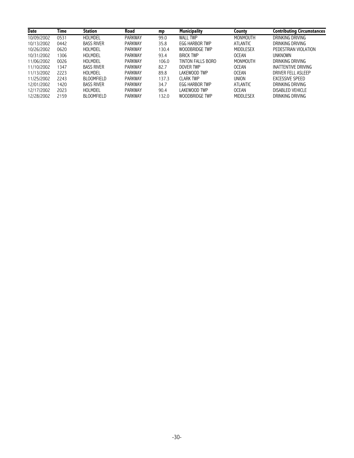| <b>Date</b> | Time | <b>Station</b>    | Road           | mp    | <b>Municipality</b>   | County          | <b>Contributing Circumstances</b> |
|-------------|------|-------------------|----------------|-------|-----------------------|-----------------|-----------------------------------|
| 10/09/2002  | 0531 | HOLMDEL           | <b>PARKWAY</b> | 99.0  | <b>WALL TWP</b>       | <b>MONMOUTH</b> | DRINKING DRIVING                  |
| 10/13/2002  | 0442 | <b>BASS RIVER</b> | <b>PARKWAY</b> | 35.8  | <b>EGG HARBOR TWP</b> | <b>ATLANTIC</b> | DRINKING DRIVING                  |
| 10/26/2002  | 0620 | HOLMDEL           | <b>PARKWAY</b> | 130.4 | WOODBRIDGE TWP        | MIDDLESEX       | PEDESTRIAN VIOLATION              |
| 10/31/2002  | 1306 | HOLMDEL           | <b>PARKWAY</b> | 93.4  | <b>BRICK TWP</b>      | <b>OCEAN</b>    | <b>UNKNOWN</b>                    |
| 11/06/2002  | 0026 | HOLMDEL           | <b>PARKWAY</b> | 106.0 | TINTON FALLS BORO     | MONMOUTH        | DRINKING DRIVING                  |
| 11/10/2002  | 1347 | <b>BASS RIVER</b> | <b>PARKWAY</b> | 82.7  | DOVER TWP             | <b>OCEAN</b>    | INATTENTIVE DRIVING               |
| 11/13/2002  | 2223 | HOLMDEL           | <b>PARKWAY</b> | 89.8  | LAKEWOOD TWP          | <b>OCEAN</b>    | DRIVER FELL ASLEEP                |
| 11/25/2002  | 2243 | <b>BLOOMFIELD</b> | <b>PARKWAY</b> | 137.3 | CLARK TWP             | <b>UNION</b>    | <b>EXCESSIVE SPEED</b>            |
| 12/01/2002  | 1420 | <b>BASS RIVER</b> | <b>PARKWAY</b> | 34.7  | <b>EGG HARBOR TWP</b> | <b>ATLANTIC</b> | DRINKING DRIVING                  |
| 12/17/2002  | 2023 | HOLMDEL           | <b>PARKWAY</b> | 90.4  | LAKEWOOD TWP          | <b>OCEAN</b>    | DISABLED VEHICLE                  |
| 12/28/2002  | 2159 | <b>BLOOMFIELD</b> | <b>PARKWAY</b> | 132.0 | WOODBRIDGE TWP        | MIDDLESEX       | DRINKING DRIVING                  |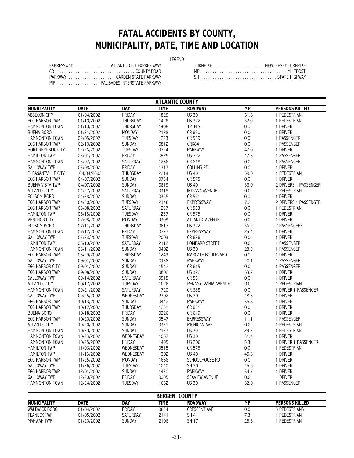# **FATAL ACCIDENTS BY COUNTY, MUNICIPALITY, DATE, TIME AND LOCATION**

#### LEGEND

| EXPRESSWAY  ATLANTIC CITY EXPRESSWAY |
|--------------------------------------|
|                                      |
| PARKWAY  GARDEN STATE PARKWAY        |
| PIP PALISADES INTERSTATE PARKWAY     |

|         | EXPRESSWAY<br>ATI ANTIC CITY FXPRESSWAY | , URNPIKE | NEW JERSEY TURNPIKE |
|---------|-----------------------------------------|-----------|---------------------|
|         | COUNTY ROAD                             |           | MII FPOS            |
| PARKWAY | GARDEN STATE PARKWAY                    |           |                     |

|                        |             |                 | <b>ATLANTIC COUNTY</b> |                        |           |                        |
|------------------------|-------------|-----------------|------------------------|------------------------|-----------|------------------------|
| <b>MUNICIPALITY</b>    | <b>DATE</b> | <b>DAY</b>      | <b>TIME</b>            | <b>ROADWAY</b>         | <b>MP</b> | <b>PERSONS KILLED</b>  |
| <b>ABSECON CITY</b>    | 01/04/2002  | FRIDAY          | 1829                   | <b>US 30</b>           | 51.8      | 1 PEDESTRIAN           |
| <b>EGG HARBOR TWP</b>  | 01/10/2002  | <b>THURSDAY</b> | 1428                   | <b>US 322</b>          | 32.0      | 1 PEDESTRIAN           |
| <b>HAMMONTON TOWN</b>  | 01/10/2002  | <b>THURSDAY</b> | 1406                   | 12TH ST                | 0.0       | 1 DRIVER               |
| <b>BUENA BORO</b>      | 01/21/2002  | <b>MONDAY</b>   | 2128                   | CR 690                 | 0.0       | 1 DRIVER               |
| HAMMONTON TOWN         | 02/05/2002  | <b>TUESDAY</b>  | 1223                   | CR 559                 | 0.0       | 1 PASSENGER            |
| <b>EGG HARBOR TWP</b>  | 02/10/2002  | SUNDAY1         | 0812                   | CR684                  | 0.0       | 1 PASSENGER            |
| PORT REPUBLIC CITY     | 02/26/2002  | <b>TUESDAY</b>  | 0724                   | <b>PARKWAY</b>         | 47.0      | 1 DRIVER               |
| <b>HAMILTON TWP</b>    | 03/01/2002  | FRIDAY          | 0925                   | <b>US 322</b>          | 47.8      | 1 PASSENGER            |
| <b>HAMMONTON TOWN</b>  | 03/02/2002  | SATURDAY        | 1256                   | CR 618                 | 0.0       | 1 PASSENGER            |
| <b>GALLOWAY TWP</b>    | 03/08/2002  | FRIDAY          | 1317                   | <b>COLLINS RD</b>      | 0.0       | 1 DRIVER               |
| PLEASANTVILLE CITY     | 04/04/2002  | THURSDAY        | 2214                   | <b>US 40</b>           | 59.0      | 1 PEDESTRIAN           |
| <b>EGG HARBOR TWP</b>  | 04/07/2002  | <b>SUNDAY</b>   | 0734                   | CR 575                 | 0.0       | 1 DRIVER               |
| <b>BUENA VISTA TWP</b> | 04/07/2002  | <b>SUNDAY</b>   | 0819                   | <b>US 40</b>           | 36.0      | 2 DRIVERS, 1 PASSENGER |
| ATLANTIC CITY          | 04/27/2002  | SATURDAY        | 0318                   | <b>INDIANA AVENUE</b>  | 0.0       | 1 PEDESTRIAN           |
| <b>FOLSOM BORO</b>     | 04/28/2002  | <b>SUNDAY</b>   | 0355                   | CR 561                 | 0.0       | 1 DRIVER               |
| <b>EGG HARBOR TWP</b>  | 04/30/2002  | TUESDAY         | 2348                   | <b>EXPRESSWAY</b>      | 7.2       | 2 DRIVERS, 1 PASSENGER |
| EGG HARBOR TWP         | 06/08/2002  | SATURDAY        | 1237                   | CR 563                 | 0.0       | 1 PEDESTRIAN           |
| <b>HAMILTON TWP</b>    | 06/18/2002  | <b>TUESDAY</b>  | 1237                   | CR 575                 | 0.0       | 1 DRIVER               |
| <b>VENTNOR CITY</b>    | 07/08/2002  | MONDAY          | 0308                   | <b>ATLANTIC AVENUE</b> | 0.0       | 1 DRIVER               |
| FOLSOM BORO            | 07/11/2002  | THURSDAY        | 0617                   | <b>US 322</b>          | 36.9      | 2 PASSENGERS           |
| HAMMONTON TOWN         | 07/12/2002  | FRIDAY          | 0727                   | <b>EXPRESSWAY</b>      | 25.4      | 1 DRIVER               |
| <b>GALLOWAY TWP</b>    | 07/23/2002  | <b>TUESDAY</b>  | 2003                   | CR 686                 | 0.0       | 1 DRIVER               |
| <b>HAMILTON TWP</b>    | 08/10/2002  | <b>SATURDAY</b> | 2112                   | <b>LOMBARD STREET</b>  | 0.0       | 1 PASSENGER            |
| <b>HAMMONTON TOWN</b>  | 08/11/2002  | <b>SUNDAY</b>   | 0402                   | <b>US 30</b>           | 28.9      | 1 PASSENGER            |
| EGG HARBOR TWP         | 08/29/2002  | THURSDAY        | 1249                   | MARGATE BOULEVARD      | 0.0       | 1 DRIVER               |
| <b>GALLOWAY TWP</b>    | 09/01/2002  | <b>SUNDAY</b>   | 0138                   | <b>PARKWAY</b>         | 40.1      | 1 PASSENGER            |
| EGG HARBOR CITY        | 09/01/2002  | <b>SUNDAY</b>   | 1542                   | CR 615                 | 0.0       | 1 PASSENGER            |
| <b>EGG HARBOR TWP</b>  | 09/08/2002  | <b>SUNDAY</b>   | 0802                   | <b>US 322</b>          | 53.7      | 1 DRIVER               |
| <b>GALLOWAY TWP</b>    | 09/14/2002  | SATURDAY        | 0915                   | CR 561                 | 0.0       | 1 DRIVER               |
| ATLANTIC CITY          | 09/17/2002  | <b>TUESDAY</b>  | 1026                   | PENNSYLVANIA AVENUE    | 0.0       | 1 PEDESTRIAN           |
| <b>HAMMONTON TOWN</b>  | 09/21/2002  | SATURDAY        | 1720                   | CR 688                 | 0.0       | 1 DRIVER, 1 PASSENGER  |
| <b>GALLOWAY TWP</b>    | 09/25/2002  | WEDNESDAY       | 2302                   | <b>US 30</b>           | 48.6      | 1 DRIVER               |
| <b>EGG HARBOR TWP</b>  | 10/13/2002  | <b>SUNDAY</b>   | 0442                   | <b>PARKWAY</b>         | 35.8      | 1 DRIVER               |
| <b>EGG HARBOR TWP</b>  | 10/17/2002  | <b>THURSDAY</b> | 1251                   | CR 651                 | 0.0       | 1 DRIVER               |
| <b>BUENA BORO</b>      | 10/18/2002  | FRIDAY          | 0226                   | CR 619                 | 0.0       | 1 DRIVER               |
| <b>EGG HARBOR TWP</b>  | 10/20/2002  | <b>SUNDAY</b>   | 0547                   | <b>EXPRESSWAY</b>      | 11.1      | 1 PASSENGER            |
| <b>ATLANTIC CITY</b>   | 10/20/2002  | <b>SUNDAY</b>   | 0331                   | MICHIGAN AVE           | 0.0       | 1 PEDESTRIAN           |
| <b>HAMMONTON TOWN</b>  | 10/20/2002  | SUNDAY          | 2137                   | <b>US 30</b>           | 29.7      | 1 PEDESTRIAN           |
| <b>HAMMONTON TOWN</b>  | 10/23/2002  | WEDNESDAY       | 1057                   | <b>US 30</b>           | 31.4      | 1 DRIVER               |
| HAMMONTON TOWN         | 10/25/2002  | FRIDAY          | 1405                   | <b>US 206</b>          | 5.3       | 1 DRIVER, 1 PASSENGER  |
| <b>HAMILTON TWP</b>    | 11/06/2002  | WEDNESDAY       | 0515                   | CR 575                 | 0.0       | 1 PEDESTRIAN           |
| <b>HAMILTON TWP</b>    | 11/13/2002  | WEDNESDAY       | 1302                   | <b>US 40</b>           | 45.8      | 1 DRIVER               |
| <b>EGG HARBOR TWP</b>  | 11/25/2002  | MONDAY          | 1656                   | SCHOOLHOUSE RD         | 0.0       | 1 DRIVER               |
| <b>GALLOWAY TWP</b>    | 11/26/2002  | <b>TUESDAY</b>  | 1040                   | SH 30                  | 45.6      | 1 DRIVER               |
| <b>EGG HARBOR TWP</b>  | 12/01/2002  | SUNDAY          | 1420                   | <b>PARKWAY</b>         | 34.7      | 1 DRIVER               |
| <b>GALLOWAY TWP</b>    | 12/20/2002  | FRIDAY          | 0005                   | <b>SEAVIEW AVENUE</b>  | 0.0       | 1 DRIVER               |
| HAMMONTON TOWN         | 12/24/2002  | <b>TUESDAY</b>  | 1652                   | <b>US 30</b>           | 32.0      | 1 PASSENGER            |
|                        |             |                 |                        |                        |           |                        |

| <b>BERGEN</b><br>COUNTY |            |          |      |                     |      |                       |  |  |  |
|-------------------------|------------|----------|------|---------------------|------|-----------------------|--|--|--|
| <b>MUNICIPALITY</b>     | DATE       | DAY      | TIME | <b>ROADWAY</b>      | МP   | <b>PERSONS KILLED</b> |  |  |  |
| WALDWICK BORO           | 01/04/2002 | FRIDAY   | 0834 | <b>CRESCENT AVE</b> | 0.0  | 3 PEDESTRIANS         |  |  |  |
| <b>TEANECK TWP</b>      | 01/05/2002 | SATURDAY | 2141 | SH <sub>4</sub>     | - 11 | PEDESTRIAN            |  |  |  |
| MAHWAH TWP              | 01/20/2002 | SUNDAY   | 2106 | <b>SH</b><br>-17    | 25.8 | PEDESTRIAN            |  |  |  |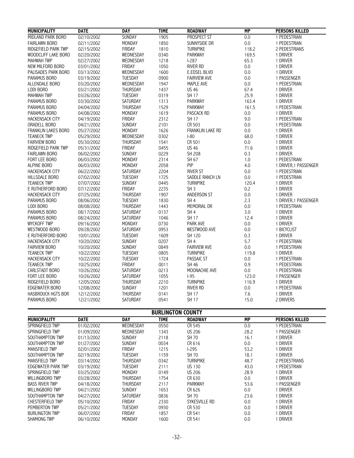| <b>MUNICIPALITY</b>        | <b>DATE</b> | <b>DAY</b>      | <b>TIME</b> | <b>ROADWAY</b>          | <b>MP</b> | <b>PERSONS KILLED</b> |
|----------------------------|-------------|-----------------|-------------|-------------------------|-----------|-----------------------|
| <b>MIDLAND PARK BORO</b>   | 02/10/2002  | <b>SUNDAY</b>   | 1905        | <b>PROSPECT ST</b>      | 0.0       | 1 PEDESTRIAN          |
| <b>FAIRLAWN BORO</b>       | 02/11/2002  | MONDAY          | 1850        | SUNNYSIDE DR            | 0.0       | 1 PEDESTRIAN          |
| RIDGEFIELD PARK TWP        | 02/15/2002  | <b>FRIDAY</b>   | 1810        | <b>TURNPIKE</b>         | 118.2     | 2 PEDESTRIANS         |
| <b>WOODCLIFF LAKE BORO</b> | 02/20/2002  | WEDNESDAY       | 0340        | PARKWAY                 | 169.5     | 1 DRIVER              |
| <b>MAHWAH TWP</b>          | 02/27/2002  | WEDNESDAY       | 1218        | $1-287$                 | 65.3      | 1 DRIVER              |
| NEW MILFORD BORO           | 03/01/2002  | <b>FRIDAY</b>   | 1050        | <b>RIVER RD</b>         | 0.0       | 1 DRIVER              |
| PALISADES PARK BORO        | 03/13/2002  | WEDNESDAY       | 1600        | E.EDSEL BLVD            | 0.0       | 1 DRIVER              |
| PARAMUS BORO               | 03/19/2002  | TUESDAY         | 0900        | <b>FAIRVIEW AVE</b>     | 0.0       | 1 PASSENGER           |
| ALLENDALE BORO             | 03/20/2002  | WEDNESDAY       | 1947        | MAPLE AVE               | 0.0       | 1 PEDESTRIAN          |
| LODI BORO                  | 03/21/2002  | THURSDAY        | 1437        | <b>US 46</b>            | 67.4      | 1 DRIVER              |
| <b>MAHWAH TWP</b>          |             | <b>TUESDAY</b>  | 0319        | SH 17                   | 25.9      | 1 DRIVER              |
|                            | 03/26/2002  | SATURDAY        |             | PARKWAY                 | 163.4     | 1 DRIVER              |
| PARAMUS BORO               | 03/30/2002  |                 | 1313        |                         |           |                       |
| PARAMUS BORO               | 04/04/2002  | THURSDAY        | 1529        | <b>PARKWAY</b>          | 161.5     | 1 PEDESTRIAN          |
| <b>PARAMUS BORO</b>        | 04/08/2002  | <b>MONDAY</b>   | 1619        | <b>PASCACK RD</b>       | 0.0       | 1 DRIVER              |
| <b>HACKENSACK CITY</b>     | 04/19/2002  | FRIDAY          | 2312        | <b>SH 17</b>            | 9.0       | 1 PEDESTRIAN          |
| ORADELL BORO               | 04/21/2002  | SUNDAY          | 2101        | CR 503                  | 0.0       | 1 PEDESTRIAN          |
| <b>FRANKLIN LAKES BORO</b> | 05/27/2002  | <b>MONDAY</b>   | 1626        | <b>FRANKLIN LAKE RD</b> | 0.0       | 1 DRIVER              |
| <b>TEANECK TWP</b>         | 05/29/2002  | WEDNESDAY       | 0302        | $ -80$                  | 68.0      | 1 DRIVER              |
| <b>FAIRVIEW BORO</b>       | 05/30/2002  | THURSDAY        | 1541        | CR 501                  | 0.0       | 1 DRIVER              |
| RIDGEFIELD PARK TWP        | 05/31/2002  | FRIDAY          | 0455        | <b>US 46</b>            | 71.6      | 1 DRIVER              |
| <b>FAIRLAWN BORO</b>       | 06/02/2002  | SUNDAY          | 0229        | <b>SH 208</b>           | 0.3       | 1 DRIVER              |
| FORT LEE BORO              | 06/03/2002  | MONDAY          | 2314        | SH 67                   | 1.0       | 1 PEDESTRIAN          |
| <b>ALPINE BORO</b>         | 06/03/2002  | MONDAY          | 2058        | PIP                     | 4.0       | 1 DRIVER, 1 PASSENGER |
| <b>HACKENSACK CITY</b>     | 06/22/2002  | SATURDAY        | 2204        | <b>RIVER ST</b>         | 0.0       | 1 PEDESTRIAN          |
| <b>HILLSDALE BORO</b>      | 07/02/2002  | TUESDAY         | 1725        | SADDLE RANCH LN         | 0.0       | 1 PEDESTRIAN          |
| <b>TEANECK TWP</b>         | 07/07/2002  | SUNDAY          | 0445        | <b>TURNPIKE</b>         | 120.4     | 1 DRIVER              |
| E RUTHERFORD BORO          | 07/12/2002  | FRIDAY          | 2235        | SH <sub>3</sub>         | 0.2       | 1 DRIVER              |
| <b>HACKENSACK CITY</b>     | 07/25/2002  | <b>THURSDAY</b> | 1907        | ANDERSON ST             | 0.0       | 1 DRIVER              |
| PARAMUS BORO               | 08/06/2002  | TUESDAY         | 1830        | SH <sub>4</sub>         | 2.3       | 1 DRIVER, 1 PASSENGER |
| LODI BORO                  | 08/08/2002  | THURSDAY        | 1443        | MEMORIAL DR             | 0.0       | 1 PEDESTRIAN          |
| PARAMUS BORO               | 08/17/2002  | <b>SATURDAY</b> | 0137        | SH <sub>4</sub>         | 3.0       | 1 DRIVER              |
| PARAMUS BORO               | 08/24/2002  | SATURDAY        | 1046        | <b>SH 17</b>            | 12.4      | 1 DRIVER              |
| <b>WYCKOFF TWP</b>         | 09/16/2002  | <b>MONDAY</b>   | 0730        | PARK AVE                | 0.0       | 1 DRIVER              |
| WESTWOOD BORO              | 09/28/2002  | SATURDAY        | 0953        | WESTWOOD AVE            | 0.0       | 1 BICYCLIST           |
| E RUTHERFORD BORO          | 10/01/2002  | <b>TUESDAY</b>  | 1609        | SH 120                  | 0.3       | 1 DRIVER              |
| <b>HACKENSACK CITY</b>     | 10/20/2002  | SUNDAY          | 0207        | SH <sub>4</sub>         | 5.7       | 1 PEDESTRIAN          |
| <b>FAIRVIEW BORO</b>       | 10/20/2002  | <b>SUNDAY</b>   | 0849        | <b>FAIRVIEW AVE</b>     | 0.0       | 1 PEDESTRIAN          |
| <b>TEANECK TWP</b>         | 10/22/2002  | <b>TUESDAY</b>  | 0805        | <b>TURNPIKE</b>         | 119.8     | 1 DRIVER              |
| <b>HACKENSACK CITY</b>     | 10/22/2002  | TUESDAY         | 1724        | <b>PASSAIC ST</b>       | 0.0       | 1 PEDESTRIAN          |
| <b>TEANECK TWP</b>         | 10/25/2002  | FRIDAY          | 0011        | SH 46                   | 0.9       | 1 PEDESTRIAN          |
| CARLSTADT BORO             | 10/26/2002  | SATURDAY        | 0213        | MOONACHIE AVE           | 0.0       | 1 PEDESTRIAN          |
|                            |             |                 |             |                         |           |                       |
| FORT LEE BORO              | 10/26/2002  | SATURDAY        | 1055        | $ -95$                  | 123.0     | 1 PASSENGER           |
| RIDGEFIELD BORO            | 12/05/2002  | THURSDAY        | 2210        | <b>TURNPIKE</b>         | 116.9     | 1 DRIVER              |
| <b>EDGEWATER BORO</b>      | 12/08/2002  | <b>SUNDAY</b>   | 1201        | <b>RIVER RD</b>         | 0.0       | 1 PEDESTRIAN          |
| <b>HASBROUCK HGTS BOR</b>  | 12/12/2002  | THURSDAY        | 0141        | SH 17                   | 7.6       | 1 DRIVER              |
| PARAMUS BORO               | 12/21/2002  | SATURDAY        | 0541        | SH 17                   | 15.0      | 2 DRIVERS             |

|                         |             |                 | <b>BURLINGTON COUNTY</b> |                 |           |                       |
|-------------------------|-------------|-----------------|--------------------------|-----------------|-----------|-----------------------|
| <b>MUNICIPALITY</b>     | <b>DATE</b> | DAY             | TIME                     | <b>ROADWAY</b>  | <b>MP</b> | <b>PERSONS KILLED</b> |
| SPRINGFIELD TWP         | 01/02/2002  | WEDNESDAY       | 0550                     | CR 545          | 0.0       | PEDESTRIAN            |
| SPRINGFIELD TWP         | 01/09/2002  | WEDNESDAY       | 1343                     | <b>US 206</b>   | 28.2      | PASSENGER             |
| SOUTHAMPTON TWP         | 01/13/2002  | <b>SUNDAY</b>   | 2118                     | SH 70           | 16.1      | i driver              |
| SOUTHAMPTON TWP         | 01/27/2002  | <b>SUNDAY</b>   | 0034                     | CR 616          | 0.0       | 1 Driver              |
| MANSFIELD TWP           | 02/01/2002  | FRIDAY          | 1215                     | <b>I-295</b>    | 53.2      | 1 Driver              |
| SOUTHAMPTON TWP         | 02/19/2002  | TUESDAY         | 1159                     | SH 70           | 18.1      | i driver              |
| MANSFIELD TWP           | 03/14/2002  | <b>THURSDAY</b> | 0342                     | <b>TURNPIKE</b> | 48.7      | 2 PEDESTRIANS         |
| EDGEWATER PARK TWP      | 03/19/2002  | <b>TUESDAY</b>  | 2111                     | <b>US 130</b>   | 43.0      | PEDESTRIAN            |
| SPRINGFIELD TWP         | 03/25/2002  | <b>MONDAY</b>   | 0149                     | <b>US 206</b>   | 28.9      | 1 Driver              |
| WILLINGBORO TWP         | 03/28/2002  | <b>THURSDAY</b> | 1754                     | CR 630          | 0.0       | 1 Driver              |
| <b>BASS RIVER TWP</b>   | 04/18/2002  | THURSDAY        | 2117                     | <b>PARKWAY</b>  | 53.6      | i Passenger           |
| WILLINGBORO TWP         | 04/21/2002  | <b>SUNDAY</b>   | 1653                     | CR 626          | 0.0       | i driver              |
| SOUTHAMPTON TWP         | 04/27/2002  | <b>SATURDAY</b> | 0836                     | SH 70           | 23.6      | DRIVER                |
| <b>CHESTERFIELD TWP</b> | 05/10/2002  | FRIDAY          | 2330                     | SYKESVILLE RD   | 0.0       | 1 Driver              |
| PEMBERTON TWP           | 05/21/2002  | <b>TUESDAY</b>  | 0930                     | CR 530          | 0.0       | DRIVER                |
| <b>BURLINGTON TWP</b>   | 06/07/2002  | FRIDAY          | 1857                     | CR 541          | 0.0       | Driver                |
| <b>SHAMONG TWP</b>      | 06/10/2002  | <b>MONDAY</b>   | 1600                     | CR 541          | 0.0       | driver                |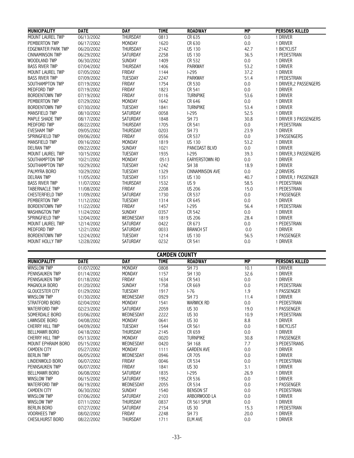| <b>MUNICIPALITY</b>     | <b>DATE</b>              | <b>DAY</b>      | <b>TIME</b>          | <b>ROADWAY</b>         | <b>MP</b> | <b>PERSONS KILLED</b>  |
|-------------------------|--------------------------|-----------------|----------------------|------------------------|-----------|------------------------|
| <b>MOUNT LAUREL TWP</b> | 06/13/2002               | <b>THURSDAY</b> | 0813                 | CR 635                 | 0.0       | 1 DRIVER               |
| PEMBERTON TWP           | 06/17/2002               | <b>MONDAY</b>   | 1620                 | CR 630                 | 0.0       | 1 DRIVER               |
| EDGEWATER PARK TWP      | 06/20/2002               | THURSDAY        | 2142                 | <b>US 130</b>          | 42.7      | 1 BICYCLIST            |
| <b>CINNAMINSON TWP</b>  | 06/29/2002               | SATURDAY        | 2258                 | <b>US 130</b>          | 36.5      | 1 PEDESTRIAN           |
| WOODLAND TWP            | 06/30/2002               | SUNDAY          | 1409                 | CR 532                 | 0.0       | 1 DRIVER               |
| <b>BASS RIVER TWP</b>   | 07/04/2002               | <b>THURSDAY</b> | 1406                 | <b>PARKWAY</b>         | 53.2      | 1 DRIVER               |
| MOUNT LAUREL TWP        | 07/05/2002               | FRIDAY          | 1144                 | $1-295$                | 37.2      | 1 DRIVER               |
| <b>BASS RIVER TWP</b>   | 07/09/2002               | TUESDAY         | 2247                 | PARKWAY                | 51.4      | 1 PEDESTRIAN           |
| SOUTHAMPTON TWP         | 07/19/2002               | <b>FRIDAY</b>   | 1754                 | CR 530                 | 0.0       | 1 DRIVER, 2 PASSENGERS |
| <b>MEDFORD TWP</b>      | 07/19/2002               | FRIDAY          | 1823                 | CR 541                 | 0.0       | 1 DRIVER               |
| <b>BORDENTOWN TWP</b>   | 07/19/2002               | FRIDAY          | 0116                 | <b>TURNPIKE</b>        | 53.6      | 1 DRIVER               |
| PEMBERTON TWP           | 07/29/2002               | MONDAY          | 1642                 | CR 646                 | 0.0       | 1 DRIVER               |
| <b>BORDENTOWN TWP</b>   | 07/30/2002               | TUESDAY         | 1841                 | <b>TURNPIKE</b>        | 53.4      | 1 DRIVER               |
| <b>MANSFIELD TWP</b>    | 08/10/2002               | <b>SATURDAY</b> | 0058                 | $1-295$                | 52.5      | 1 DRIVER               |
| MAPLE SHADE TWP         | 08/17/2002               | SATURDAY        | 1848                 | SH 73                  | 30.8      | 1 DRIVER 3 PASSENGERS  |
| MEDFORD TWP             | 08/22/2002               | <b>THURSDAY</b> | 1705                 | CR 541                 | 0.0       | 1 PEDESTRIAN           |
| <b>EVESHAM TWP</b>      | 09/05/2002               | THURSDAY        | 0203                 | SH 73                  | 23.9      | 1 DRIVER               |
| SPRINGFIELD TWP         | 09/06/2002               | FRIDAY          | 0556                 | CR 537                 | 0.0       | 3 PASSENGERS           |
| MANSFIELD TWP           | 09/16/2002               | <b>MONDAY</b>   | 1819                 | <b>US 130</b>          | 53.2      | 1 DRIVER               |
| <b>DELRAN TWP</b>       | 09/22/2002               | <b>SUNDAY</b>   | 1021                 | PANCOAST BLVD          | 0.0       | 1 DRIVER               |
| MOUNT LAUREL TWP        | 10/15/2002               | <b>TUESDAY</b>  | 1935                 | $1-295$                | 39.3      | 1 DRIVER, 3 PASSENGERS |
| SOUTHAMPTON TWP         | 10/21/2002               | MONDAY          | 0513                 | <b>EARYERSTOWN RD</b>  | 0.0       | 1 DRIVER               |
| SOUTHAMPTON TWP         | 10/29/2002               | TUESDAY         | 1242                 | <b>SH 38</b>           | 18.9      | 1 DRIVER               |
| PALMYRA BORO            | 10/29/2002               | <b>TUESDAY</b>  | 1329                 | <b>CINNAMINSON AVE</b> | 0.0       | 2 DRIVERS              |
| <b>DELRAN TWP</b>       | 11/05/2002               | TUESDAY         | 1351                 | <b>US 130</b>          | 40.7      | 1 DRIVER, 1 PASSENGER  |
| <b>BASS RIVER TWP</b>   | 11/07/2002               | THURSDAY        | 1532                 | US <sub>9</sub>        | 58.5      | 1 PEDESTRIAN           |
| <b>TABERNACLE TWP</b>   | 11/08/2002               | FRIDAY          | 2208                 | <b>US 206</b>          | 15.0      | 1 PEDESTRIAN           |
| <b>CHESTERFIELD TWP</b> | 11/09/2002               | <b>SATURDAY</b> | 1730                 | CR 537                 | 0.0       | 1 PASSENGER            |
| PEMBERTON TWP           | 11/12/2002               | TUESDAY         | 1314                 | CR 645                 | 0.0       | 1 DRIVER               |
| <b>BORDENTOWN TWP</b>   | 11/22/2002               | FRIDAY          | 1457                 | $1-295$                | 56.4      | 1 PEDESTRIAN           |
| <b>WASHINGTON TWP</b>   | 11/24/2002               | <b>SUNDAY</b>   | 0357                 | CR 542                 | 0.0       | 1 DRIVER               |
| SPRINGFIELD TWP         | 12/04/2002               | WEDNESDAY       | 1819                 | <b>US 206</b>          | 28.4      | 1 DRIVER               |
| MOUNT LAUREL TWP        | 12/14/2002               | SATURDAY        | 0422                 | CR 673                 | 0.0       | 1 PEDESTRIAN           |
| MEDFORD TWP             |                          | SATURDAY        | 0033                 | <b>BRANCH ST</b>       | 0.0       | 1 DRIVER               |
| <b>BORDENTOWN TWP</b>   | 12/21/2002<br>12/24/2002 | <b>TUESDAY</b>  | 1214                 | <b>US 130</b>          | 56.5      | 1 PASSENGER            |
|                         |                          |                 |                      |                        |           |                        |
| MOUNT HOLLY TWP         | 12/28/2002               | SATURDAY        | 0232                 | CR 541                 | 0.0       | 1 DRIVER               |
|                         |                          |                 | <b>CAMDEN COUNTY</b> |                        |           |                        |
| <b>MUNICIPALITY</b>     | <b>DATE</b>              | <b>DAY</b>      | <b>TIME</b>          | <b>ROADWAY</b>         | <b>MP</b> | <b>PERSONS KILLED</b>  |
| <b>WINSLOW TWP</b>      | 01/07/2002               | MONDAY          | 0808                 | SH 73                  | 10.1      | 1 DRIVER               |
| PENNSAUKEN TWP          | 01/14/2002               | MONDAY          | 1157                 | SH 130                 | 32.6      | 1 DRIVER               |
| PENNSAUKEN TWP          | 01/18/2002               | FRIDAY          | 1634                 | CR 543                 | 0.0       | 1 DRIVER               |
| MAGNOLIA BORO           | 01/20/2002               | SUNDAY          | 1758                 | CR 669                 | 0.0       | 1 PEDESTRIAN           |
| <b>GLOUCESTER CITY</b>  | 01/29/2002               | <b>TUESDAY</b>  | 1917                 | $I-76$                 | 1.9       | 1 PASSENGER            |
| <b>WINSLOW TWP</b>      | 01/30/2002               | WEDNESDAY       | 0929                 | SH 73                  | 11.4      | 1 DRIVER               |
| STRATFORD BORO          | 02/04/2002               | MONDAY          | 1541                 | <b>WARWICK RD</b>      | 0.0       | 1 PEDESTRIAN           |
| WATERFORD TWP           | 02/23/2002               | SATURDAY        | 2059                 | <b>US 30</b>           | 19.0      | 1 PASSENGER            |
| SOMERDALE BORO          | 03/06/2002               | WEDNESDAY       | 2222                 | <b>US 30</b>           | 10.9      | 1 PEDESTRIAN           |
| <b>LAWNSIDE BORO</b>    | 04/08/2002               | MONDAY          | 0641                 | <b>US 30</b>           | 8.8       | 1 DRIVER               |
| <b>CHERRY HILL TWP</b>  | 04/09/2002               | TUESDAY         | 1544                 | CR 561                 | 0.0       | 1 BICYCLIST            |
| <b>BELLMAWR BORO</b>    | 04/18/2002               | THURSDAY        | 2145                 | CR 659                 | 0.0       | 1 DRIVER               |
| <b>CHERRY HILL TWP</b>  | 05/13/2002               | MONDAY          | 0020                 | <b>TURNPIKE</b>        | 30.8      | 1 PASSENGER            |
| MOUNT EPHRAIM BORO      | 05/15/2002               | WEDNESDAY       | 0420                 | SH 168                 | 7.7       | 3 PEDESTRIANS          |
| <b>CAMDEN CITY</b>      | 05/27/2002               | <b>MONDAY</b>   | 1111                 | <b>GARDEN AVE</b>      | 0.0       | 1 DRIVER               |
| <b>BERLIN TWP</b>       | 06/05/2002               | WEDNESDAY       | 0946                 | CR 705                 | 0.0       | 1 DRIVER               |
| LINDENWOLD BORO         | 06/07/2002               | FRIDAY          | 0046                 | CR 534                 | 0.0       | 1 PEDESTRIAN           |
| PENNSAUKEN TWP          | 06/07/2002               | FRIDAY          | 1841                 | <b>US 30</b>           | 3.1       | 1 DRIVER               |

PENNSAUKEN TWP 06/07/2002 FRIDAY 1841 US 30 3.1 1 DRIVER BELLMAWR BORO 06/08/2002 SATURDAY 1835 I-295 26.9 1 DRIVER WINSLOW TWP 06/15/2002 SATURDAY 1952 CR 536 0.0 1 DRIVER WATERFORD TWP 06/19/2002 WEDNESDAY 2055 CR 534 0.0 1 PASSENGER CAMDEN CITY 06/30/2002 SUNDAY 1540 BENSON ST 0.0 1 PEDESTRIAN WINSLOW TWP 07/06/2002 SATURDAY 2103 ARBORWOOD LA 0.0 1 DRIVER WINSLOW TWP 07/11/2002 THURSDAY 0837 CR 561 SPUR 0.0 1 DRIVER BERLIN BORO 07/27/2002 SATURDAY 2154 US 30 15.3 1 PEDESTRIAN VOORHEES TWP 08/02/2002 FRIDAY 2248 SH 73 20.0 1 DRIVER CHESILHURST BORO 08/22/2002 THURSDAY 1711 ELM AVE 0.0 1 DRIVER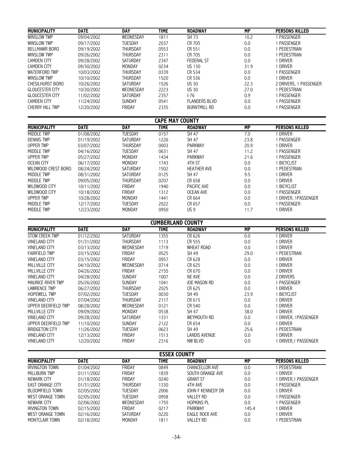| <b>MUNICIPALITY</b>     | <b>DATE</b> | <b>DAY</b>      | <b>TIME</b>            | <b>ROADWAY</b>       | MP   | <b>PERSONS KILLED</b>  |
|-------------------------|-------------|-----------------|------------------------|----------------------|------|------------------------|
| <b>WINSLOW TWP</b>      | 09/04/2002  | WEDNESDAY       | 1811                   | SH 73                | 10.2 | PASSENGER              |
| <b>WINSLOW TWP</b>      | 09/17/2002  | <b>TUESDAY</b>  | 2037                   | CR 705               | 0.0  | PASSENGER              |
| <b>BELLMAWR BORO</b>    | 09/19/2002  | <b>THURSDAY</b> | 0553                   | CR 551               | 0.0  | PEDESTRIAN             |
| <b>WINSLOW TWP</b>      | 09/26/2002  | <b>THURSDAY</b> | 2311                   | CR 705               | 0.0  | PEDESTRIAN             |
| <b>CAMDEN CITY</b>      | 09/28/2002  | <b>SATURDAY</b> | 2347                   | <b>FEDERAL ST</b>    | 0.0  | DRIVER                 |
| <b>CAMDEN CITY</b>      | 09/30/2002  | MONDAY          | 0234                   | <b>US 130</b>        | 31.9 | driver                 |
| <b>WATERFORD TWP</b>    | 10/03/2002  | <b>THURSDAY</b> | 0339                   | CR 534               | 0.0  | PASSENGER              |
| <b>WINSLOW TWP</b>      | 10/10/2002  | <b>THURSDAY</b> | 1520                   | CR 536               | 0.0  | <b>DRIVER</b>          |
| <b>CHESILHURST BORO</b> | 10/26/2002  | <b>SATURDAY</b> | 1526                   | <b>US 30</b>         | 22.3 | 2 DRIVERS, 1 PASSENGER |
| <b>GLOUCESTER CITY</b>  | 10/30/2002  | WEDNESDAY       | 2223                   | <b>US 30</b>         | 27.0 | PEDESTRIAN             |
| <b>GLOUCESTER CITY</b>  | 11/02/2002  | <b>SATURDAY</b> | 2357                   | $1-76$               | 0.9  | PASSENGER              |
| <b>CAMDEN CITY</b>      | 11/24/2002  | <b>SUNDAY</b>   | 0541                   | <b>FLANDERS BLVD</b> | 0.0  | PASSENGER              |
| <b>CHERRY HILL TWP</b>  | 12/20/2002  | FRIDAY          | 2335                   | <b>BURNTMILL RD</b>  | 0.0  | PASSENGER              |
|                         |             |                 | <b>CAPE MAY COUNTY</b> |                      |      |                        |
| <b>MUNICIPALITY</b>     | <b>DATE</b> | <b>DAY</b>      | TIME                   | <b>ROADWAY</b>       | MP   | <b>PERSONS KILLED</b>  |
| MIDDI F TWP             | 01/08/2002  | TUESDAY         | 0157                   | SH 47                | 7.0  | DRIVER                 |
| <b>DENNIS TWP</b>       | 01/19/2002  | <b>SATURDAY</b> | 1226                   | SH 47                | 23.8 | PASSENGER              |
| UPPER TWP               | 03/07/2002  | <b>THURSDAY</b> | 0003                   | <b>PARKWAY</b>       | 20.9 | DRIVER                 |
| MIDDLE TWP              | 04/16/2002  | <b>TUESDAY</b>  | 0631                   | SH 47                | 11.2 | PASSENGER              |

| MIDDLE TWP          | 04/16/2002 | TUESDAY         | 0631 | SH 47              | 11.2 | PASSENGER          |
|---------------------|------------|-----------------|------|--------------------|------|--------------------|
| UPPER TWP           | 05/27/2002 | MONDAY          | 1434 | <b>PARKWAY</b>     | 21.6 | PASSENGER          |
| OCEAN CITY          | 06/17/2002 | MONDAY          | 1743 | 4TH ST             | 0.0  | <b>BICYCLIST</b>   |
| WILDWOOD CREST BORO | 08/24/2002 | <b>SATURDAY</b> | 1502 | <b>HEATHER AVE</b> | 0.0  | PEDESTRIAN         |
| MIDDLE TWP          | 08/31/2002 | <b>SATURDAY</b> | 0125 | SH 47              | 9.5  | Driver             |
| MIDDLE TWP          | 09/05/2002 | THURSDAY        | 0207 | CR 658             | 0.0  | driver             |
| WILDWOOD CITY       | 10/11/2002 | FRIDAY          | 1940 | <b>PACIFIC AVE</b> | 0.0  | <b>BICYCLIST</b>   |
| WILDWOOD CITY       | 10/18/2002 | FRIDAY          | 1312 | OCEAN AVE          | 0.0  | PASSENGER          |
| UPPER TWP           | 10/28/2002 | MONDAY          | 1441 | CR 664             | 0.0  | DRIVER, 1PASSENGER |
| MIDDLE TWP          | 12/17/2002 | <b>TUESDAY</b>  | 2022 | CR 657             | 0.0  | i passenger        |
| MIDDLE TWP          | 12/23/2002 | MONDAY          | 0950 | US 9               | 11.7 | DRIVER             |

|                          | <b>CUMBERLAND COUNTY</b> |                 |             |                     |      |                       |  |  |  |
|--------------------------|--------------------------|-----------------|-------------|---------------------|------|-----------------------|--|--|--|
| <b>MUNICIPALITY</b>      | <b>DATE</b>              | <b>DAY</b>      | <b>TIME</b> | <b>ROADWAY</b>      | MP   | <b>PERSONS KILLED</b> |  |  |  |
| <b>STOW CREEK TWP</b>    | 01/12/2002               | <b>SATURDAY</b> | 1355        | CR 626              | 0.0  | <b>DRIVER</b>         |  |  |  |
| <b>VINELAND CITY</b>     | 01/31/2002               | THURSDAY        | 1113        | CR 555              | 0.0  | <b>DRIVER</b>         |  |  |  |
| <b>VINELAND CITY</b>     | 03/13/2002               | WEDNESDAY       | 1719        | <b>WHEAT ROAD</b>   | 0.0  | <b>DRIVER</b>         |  |  |  |
| <b>FAIRFIELD TWP</b>     | 03/15/2002               | FRIDAY          | 0525        | SH 49               | 29.0 | PEDESTRIAN            |  |  |  |
| <b>VINELAND CITY</b>     | 03/15/2002               | FRIDAY          | 0957        | CR 628              | 0.0  | <b>DRIVER</b>         |  |  |  |
| <b>MILLVILLE CITY</b>    | 04/10/2002               | WEDNESDAY       | 0714        | CR 625              | 0.0  | <b>DRIVER</b>         |  |  |  |
| MILLVILLE CITY           | 04/26/2002               | FRIDAY          | 2155        | CR 670              | 0.0  | <b>DRIVER</b>         |  |  |  |
| <b>VINELAND CITY</b>     | 04/28/2002               | <b>SUNDAY</b>   | 1007        | NE AVE              | 0.0  | 2 DRIVERS             |  |  |  |
| <b>MAURICE RIVER TWP</b> | 05/26/2002               | <b>SUNDAY</b>   | 1041        | <b>JOE MASON RD</b> | 0.0  | PASSENGER             |  |  |  |
| <b>LAWRENCE TWP</b>      | 06/27/2002               | <b>THURSDAY</b> | 2025        | CR 625              | 0.0  | <b>DRIVER</b>         |  |  |  |
| <b>HOPEWELL TWP</b>      | 07/02/2002               | <b>TUESDAY</b>  | 0030        | SH 49               | 23.9 | <b>BICYCLIST</b>      |  |  |  |
| <b>VINELAND CITY</b>     | 07/04/2002               | THURSDAY        | 2117        | CR 615              | 0.0  | driver                |  |  |  |
| UPPER DEERFIELD TWP      | 08/28/2002               | WEDNESDAY       | 0121        | CR 540              | 0.0  | <b>DRIVER</b>         |  |  |  |
| <b>MILLVILLE CITY</b>    | 09/09/2002               | <b>MONDAY</b>   | 0538        | <b>SH 47</b>        | 38.0 | driver                |  |  |  |
| <b>VINELAND CITY</b>     | 09/28/2002               | SATURDAY        | 1331        | WEYMOUTH RD         | 0.0  | DRIVER, 1PASSENGER    |  |  |  |
| UPPER DEERFIELD TWP      | 11/10/2002               | <b>SUNDAY</b>   | 2122        | CR 654              | 0.0  | <b>DRIVER</b>         |  |  |  |
| <b>BRIDGETON CITY</b>    | 11/26/2002               | <b>TUESDAY</b>  | 0623        | SH 49               | 25.6 | PEDESTRIAN            |  |  |  |
| <b>VINELAND CITY</b>     | 12/13/2002               | FRIDAY          | 1513        | LANDIS AVENUE       | 0.0  | <b>DRIVER</b>         |  |  |  |
| <b>VINELAND CITY</b>     | 12/20/2002               | FRIDAY          | 2316        | NW BLVD             | 0.0  | DRIVER.1 PASSENGER    |  |  |  |

|                        | <b>ESSEX COUNTY</b> |               |             |                          |       |                       |  |  |  |
|------------------------|---------------------|---------------|-------------|--------------------------|-------|-----------------------|--|--|--|
| <b>MUNICIPALITY</b>    | <b>DATE</b>         | DAY           | <b>TIME</b> | <b>ROADWAY</b>           | MP    | <b>PERSONS KILLED</b> |  |  |  |
| <b>IRVINGTON TOWN</b>  | 01/04/2002          | FRIDAY        | 0849        | <b>CHANCELLOR AVE</b>    | 0.0   | PEDESTRIAN            |  |  |  |
| MILL BURN TWP          | 01/11/2002          | <b>FRIDAY</b> | 1839        | SOUTH ORANGE AVE         | 0.0   | Driver                |  |  |  |
| NEWARK CITY            | 01/18/2002          | FRIDAY        | 0240        | <b>GRANT ST</b>          | 0.0   | DRIVER,1 PASSENGER    |  |  |  |
| EAST ORANGE CITY       | 01/31/2002          | THURSDAY      | 1330        | 4TH AVE                  | 0.0   | PASSENGER             |  |  |  |
| <b>BLOOMFIELD TOWN</b> | 02/05/2002          | TUESDAY       | 2006        | <b>IOHN F KENNEDY DR</b> | 0.0   | Driver                |  |  |  |
| WEST ORANGE TOWN       | 02/05/2002          | TUESDAY       | 0958        | <b>VALLEY RD</b>         | 0.0   | PASSENGER             |  |  |  |
| NEWARK CITY            | 02/06/2002          | WEDNESDAY     | 1755        | <b>HOPKINS PL</b>        | 0.0   | PASSENGER             |  |  |  |
| <b>IRVINGTON TOWN</b>  | 02/15/2002          | FRIDAY        | 0217        | <b>PARKWAY</b>           | 145.4 | driver                |  |  |  |
| WEST ORANGE TOWN       | 02/16/2002          | SATURDAY      | 0220        | EAGLE ROCK AVE           | 0.0   | DRIVER                |  |  |  |
| MONTCLAIR TOWN         | 02/18/2002          | MONDAY        | 1811        | VALLEY RD                | 0.0   | PEDESTRIAN            |  |  |  |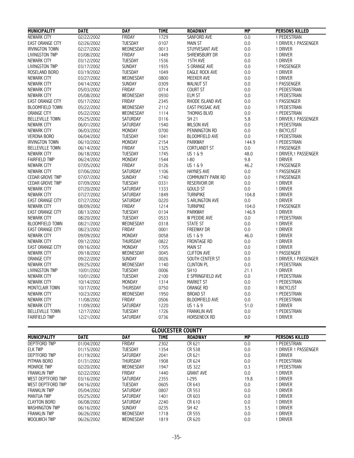| <b>MUNICIPALITY</b>     | <b>DATE</b> | <b>DAY</b>      | <b>TIME</b> | <b>ROADWAY</b>        | <b>MP</b> | <b>PERSONS KILLED</b> |
|-------------------------|-------------|-----------------|-------------|-----------------------|-----------|-----------------------|
| NEWARK CITY             | 02/22/2002  | FRIDAY          | 1729        | SANFORD AVE           | 0.0       | 1 PEDESTRIAN          |
| <b>EAST ORANGE CITY</b> | 02/26/2002  | TUESDAY         | 0107        | <b>MAIN ST</b>        | 0.0       | 1 DRIVER, 1 PASSENGER |
| <b>IRVINGTON TOWN</b>   | 02/27/2002  | WEDNESDAY       | 0013        | STUYVESANT AVE        | 0.0       | 1 DRIVER              |
| <b>LIVINGSTON TWP</b>   | 03/08/2002  | <b>FRIDAY</b>   | 1449        | SHREWSBURY DR         | 0.0       | 1 DRIVER              |
| NEWARK CITY             | 03/12/2002  | TUESDAY         | 1536        | 15TH AVE              | 0.0       | 1 DRIVER              |
| <b>LIVINGSTON TWP</b>   | 03/17/2002  | <b>SUNDAY</b>   | 1935        | S ORANGE AVE          | 0.0       | 1 PASSENGER           |
| ROSELAND BORO           | 03/19/2002  | TUESDAY         | 1049        | <b>EAGLE ROCK AVE</b> | 0.0       | 1 DRIVER              |
| NEWARK CITY             | 03/27/2002  | WEDNESDAY       | 0800        | MEEKER AVE            | 0.0       | 1 DRIVER              |
| NEWARK CITY             | 04/14/2002  | SUNDAY          | 0309        | <b>WALNUT ST</b>      | 0.0       | 1 PASSENGER           |
| NEWARK CITY             | 05/03/2002  | FRIDAY          | 0714        | <b>COURT ST</b>       | 0.0       | 1 PEDESTRIAN          |
| NEWARK CITY             | 05/08/2002  | WEDNESDAY       | 0930        | ELM ST                | 0.0       | 1 PEDESTRIAN          |
| <b>EAST ORANGE CITY</b> | 05/17/2002  | <b>FRIDAY</b>   | 2345        | RHODE ISLAND AVE      | 0.0       | 1 PASSENGER           |
| <b>BLOOMFIELD TOWN</b>  | 05/22/2002  | WEDNESDAY       | 2112        | EAST PASSAIC AVE      | 0.0       | 1 PEDESTRIAN          |
| <b>ORANGE CITY</b>      | 05/22/2002  | WEDNESDAY       | 1114        | <b>THOMAS BLVD</b>    | 0.0       | 1 PEDESTRIAN          |
| <b>BELLEVILLE TOWN</b>  | 05/25/2002  | SATURDAY        | 0116        | <b>SH 21</b>          | 5.8       | 1 DRIVER, 1 PASSENGER |
| NEWARK CITY             | 06/01/2002  | SATURDAY        | 1540        | <b>WILSON AVE</b>     | 0.0       | 1 PEDESTRIAN          |
| NEWARK CITY             | 06/03/2002  | MONDAY          | 0700        | PENNINGTON RD         | 0.0       | 1 BICYCLIST           |
| <b>VERONA BORO</b>      | 06/04/2002  | <b>TUESDAY</b>  | 1041        | <b>BLOOMFIELD AVE</b> | 0.0       | 1 PEDESTRIAN          |
| <b>IRVINGTON TOWN</b>   |             | MONDAY          | 2154        | <b>PARKWAY</b>        | 144.9     | 1 PEDESTRIAN          |
|                         | 06/10/2002  |                 |             |                       |           |                       |
| <b>BELLEVILLE TOWN</b>  | 06/14/2002  | FRIDAY          | 1325        | CORTLANDT ST          | $0.0\,$   | 1 PASSENGER           |
| NEWARK CITY             | 06/18/2002  | <b>TUESDAY</b>  | 1745        | US 1 & 9              | 48.0      | 1 DRIVER, 1 PASSENGER |
| <b>FAIRFIELD TWP</b>    | 06/24/2002  | MONDAY          | 1544        | $I-80$                | 9.8       | 1 DRIVER              |
| NEWARK CITY             | 07/05/2002  | <b>FRIDAY</b>   | 0126        | US 1 & 9              | 46.2      | 1 PASSENGER           |
| NEWARK CITY             | 07/06/2002  | SATURDAY        | 1106        | <b>HAYNES AVE</b>     | 0.0       | 1 PASSENGER           |
| <b>CEDAR GROVE TWP</b>  | 07/07/2002  | <b>SUNDAY</b>   | 1740        | COMMUNITY PARK RD     | 0.0       | 1 PASSENGER           |
| <b>CEDAR GROVE TWP</b>  | 07/09/2002  | TUESDAY         | 0331        | <b>RESERVOIR DR</b>   | 0.0       | 1 DRIVER              |
| NEWARK CITY             | 07/20/2002  | SATURDAY        | 1333        | <b>GOULD ST</b>       | 0.0       | 1 DRIVER              |
| <b>NEWARK CITY</b>      | 07/27/2002  | SATURDAY        | 1849        | <b>TURNPIKE</b>       | 104.8     | 1 DRIVER              |
| <b>EAST ORANGE CITY</b> | 07/27/2002  | <b>SATURDAY</b> | 0220        | S ARLINGTON AVE       | 0.0       | 1 DRIVER              |
| NEWARK CITY             | 08/09/2002  | FRIDAY          | 1214        | <b>TURNPIKE</b>       | 104.0     | 1 PASSENGER           |
| <b>EAST ORANGE CITY</b> | 08/13/2002  | <b>TUESDAY</b>  | 0134        | <b>PARKWAY</b>        | 146.9     | 1 DRIVER              |
| NEWARK CITY             | 08/20/2002  | TUESDAY         | 0533        | W PEDDIE AVE          | 0.0       | 1 PEDESTRIAN          |
| <b>BLOOMFIELD TOWN</b>  | 08/21/2002  | WEDNESDAY       | 0318        | <b>STATE ST</b>       | 0.0       | 1 DRIVER              |
| <b>EAST ORANGE CITY</b> | 08/23/2002  | <b>FRIDAY</b>   | 0001        | <b>FREEWAY DR</b>     | 0.0       | 1 DRIVER              |
| NEWARK CITY             | 09/09/2002  | <b>MONDAY</b>   | 0058        | US 1 & 9              | 46.0      | 1 DRIVER              |
| NEWARK CITY             | 09/12/2002  | <b>THURSDAY</b> | 0822        | FRONTAGE RD           | 0.0       | 1 DRIVER              |
| <b>EAST ORANGE CITY</b> | 09/16/2002  | <b>MONDAY</b>   | 1705        | <b>MAIN ST</b>        | 0.0       | 1 DRIVER              |
| NEWARK CITY             | 09/18/2002  | WEDNESDAY       | 0045        | <b>CLIFTON AVE</b>    | 0.0       | 1 PASSENGER           |
| <b>ORANGE CITY</b>      | 09/22/2002  | <b>SUNDAY</b>   | 0026        | SOUTH CENTER ST       | 0.0       | 1 DRIVER, 1 PASSENGER |
| NEWARK CITY             | 09/25/2002  | WEDNESDAY       | 1140        | <b>CLINTON PL</b>     | 0.0       | 1 PEDESTRIAN          |
| <b>LIVINGSTON TWP</b>   | 10/01/2002  | <b>TUESDAY</b>  | 0006        | <b>SH10</b>           | 21.1      | 1 DRIVER              |
| NEWARK CITY             | 10/01/2002  | TUESDAY         | 2100        | E SPRINGFIELD AVE     | 0.0       | 1 PEDESTRIAN          |
| NEWARK CITY             | 10/14/2002  | MONDAY          | 1314        | <b>MARKET ST</b>      | 0.0       | 1 PEDESTRIAN          |
| MONTCLAIR TOWN          | 10/17/2002  | THURSDAY        | 0750        | ORANGE RD             | 0.0       | 1 BICYCLIST           |
| NEWARK CITY             | 10/23/2002  | WEDNESDAY       | 1950        | <b>BROAD ST</b>       | 0.0       | 1 PEDESTRIAN          |
| NEWARK CITY             | 11/08/2002  | <b>FRIDAY</b>   | 0506        | <b>BLOOMFIELD AVE</b> | 0.0       | 1 PEDESTRIAN          |
| NEWARK CITY             | 11/09/2002  | SATURDAY        | 1220        | US 1 & 9              | 51.0      | 1 DRIVER              |
| <b>BELLEVILLE TOWN</b>  | 12/17/2002  | <b>TUESDAY</b>  | 1726        | <b>FRANKLIN AVE</b>   | 0.0       | 1 PEDESTRIAN          |
| <b>FAIRFIELD TWP</b>    | 12/21/2002  | SATURDAY        | 0736        | <b>HORSENECK RD</b>   | 0.0       | 1 DRIVER              |
|                         |             |                 |             |                       |           |                       |

|                       | <b>GLOUCESTER COUNTY</b> |                 |             |                  |           |                       |  |  |  |
|-----------------------|--------------------------|-----------------|-------------|------------------|-----------|-----------------------|--|--|--|
| <b>MUNICIPALITY</b>   | <b>DATE</b>              | DAY             | <b>TIME</b> | <b>ROADWAY</b>   | <b>MP</b> | <b>PERSONS KILLED</b> |  |  |  |
| <b>DEPTFORD TWP</b>   | 01/04/2002               | <b>FRIDAY</b>   | 2302        | CR 621           | 0.0       | PEDESTRIAN            |  |  |  |
| <b>ELK TWP</b>        | 01/15/2002               | <b>TUESDAY</b>  | 1354        | CR 538           | 0.0       | DRIVER 1 PASSENGER    |  |  |  |
| <b>DEPTFORD TWP</b>   | 01/19/2002               | SATURDAY        | 2041        | CR 621           | 0.0       | <b>DRIVER</b>         |  |  |  |
| PITMAN BORO           | 01/31/2002               | <b>THURSDAY</b> | 1908        | CR 624           | 0.0       | PEDESTRIAN            |  |  |  |
| MONROE TWP            | 02/20/2002               | WEDNESDAY       | 1947        | <b>US 322</b>    | 0.3       | PEDESTRIAN            |  |  |  |
| <b>FRANKLIN TWP</b>   | 02/22/2002               | FRIDAY          | 1440        | <b>GRANT AVE</b> | 0.0       | driver                |  |  |  |
| WEST DEPTFORD TWP     | 03/16/2002               | SATURDAY        | 2355        | $1-295$          | 19.8      | DRIVER                |  |  |  |
| WEST DEPTFORD TWP     | 04/16/2002               | TUESDAY         | 0605        | CR 643           | 0.0       | Driver                |  |  |  |
| <b>FRANKLIN TWP</b>   | 05/04/2002               | SATURDAY        | 0807        | CR 553           | 0.0       | <b>DRIVER</b>         |  |  |  |
| <b>MANTUA TWP</b>     | 05/25/2002               | SATURDAY        | 1401        | CR 603           | 0.0       | <b>DRIVER</b>         |  |  |  |
| <b>CLAYTON BORO</b>   | 06/08/2002               | SATURDAY        | 2240        | CR 610           | 0.0       | Driver                |  |  |  |
| <b>WASHINGTON TWP</b> | 06/16/2002               | <b>SUNDAY</b>   | 0235        | SH 42            | 3.5       | <b>DRIVER</b>         |  |  |  |
| <b>FRANKLIN TWP</b>   | 06/26/2002               | WEDNESDAY       | 1718        | CR 555           | 0.0       | driver                |  |  |  |
| <b>WOOLWICH TWP</b>   | 06/26/2002               | WEDNESDAY       | 1819        | CR 620           | 0.0       | DRIVER                |  |  |  |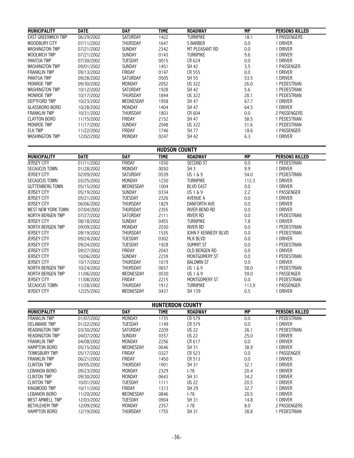| <b>MUNICIPALITY</b>       | <b>DATE</b> | DAY             | <b>TIME</b> | <b>ROADWAY</b>  | MP   | <b>PERSONS KILLED</b> |
|---------------------------|-------------|-----------------|-------------|-----------------|------|-----------------------|
| <b>EAST GREENWICH TWP</b> | 06/29/2002  | <b>SATURDAY</b> | 1422        | <b>TURNPIKE</b> | 18.1 | 3 PASSENGERS          |
| WOODBURY CITY             | 07/11/2002  | THURSDAY        | 1647        | S BARBER        | 0.0  | DRIVER                |
| <b>WASHINGTON TWP</b>     | 07/21/2002  | <b>SUNDAY</b>   | 2342        | MT PLEASANT RD  | 0.0  | driver                |
| <b>WOOLWICH TWP</b>       | 07/21/2002  | <b>SUNDAY</b>   | 0143        | <b>TURNPIKE</b> | 9.6  | <b>DRIVER</b>         |
| <b>MANTUA TWP</b>         | 07/30/2002  | TUESDAY         | 0015        | CR 624          | 0.0  | driver                |
| <b>WASHINGTON TWP</b>     | 09/01/2002  | <b>SUNDAY</b>   | 1451        | SH 42           | 3.5  | PASSENGER             |
| <b>FRANKLIN TWP</b>       | 09/13/2002  | FRIDAY          | 0147        | CR 555          | 0.0  | <b>DRIVER</b>         |
| <b>MANTUA TWP</b>         | 09/28/2002  | <b>SATURDAY</b> | 0505        | SH 55           | 53.5 | <b>DRIVER</b>         |
| MONROE TWP                | 09/30/2002  | <b>MONDAY</b>   | 2052        | <b>US 322</b>   | 26.0 | PEDESTRIAN            |
| <b>WASHINGTON TWP</b>     | 10/12/2002  | <b>SATURDAY</b> | 1928        | SH 42           | 5.6  | PEDESTRIAN            |
| MONROE TWP                | 10/17/2002  | THURSDAY        | 1844        | <b>US 322</b>   | 28.1 | PEDESTRIAN            |
| DEPTFORD TWP              | 10/23/2002  | WEDNESDAY       | 1958        | SH 47           | 67.7 | <b>DRIVER</b>         |
| GLASSBORO BORO            | 10/28/2002  | <b>MONDAY</b>   | 1404        | <b>SH 47</b>    | 64.5 | 1 DRIVER              |
| <b>FRANKLIN TWP</b>       | 10/31/2002  | <b>THURSDAY</b> | 1803        | CR 604          | 0.0  | 2 PASSENGERS          |
| <b>CLAYTON BORO</b>       | 11/15/2002  | <b>FRIDAY</b>   | 2152        | SH 47           | 58.5 | PEDESTRIAN            |
| MONROE TWP                | 11/17/2002  | <b>SUNDAY</b>   | 2048        | <b>US 322</b>   | 31.6 | PEDESTRIAN            |
| <b>ELK TWP</b>            | 11/22/2002  | <b>FRIDAY</b>   | 1746        | <b>SH 77</b>    | 18.6 | PASSENGER             |
| <b>WASHINGTON TWP</b>     | 12/02/2002  | <b>MONDAY</b>   | 0247        | SH 42           | 6.3  | Driver                |

| <b>HUDSON COUNTY</b>   |                         |                 |             |                     |           |                       |  |  |  |
|------------------------|-------------------------|-----------------|-------------|---------------------|-----------|-----------------------|--|--|--|
| <b>MUNICIPALITY</b>    | <b>DATE</b>             | <b>DAY</b>      | <b>TIME</b> | <b>ROADWAY</b>      | <b>MP</b> | <b>PERSONS KILLED</b> |  |  |  |
| <b>JERSEY CITY</b>     | $\overline{01}/11/2002$ | <b>FRIDAY</b>   | 1030        | <b>SECOND ST</b>    | 0.0       | 1 PEDESTRIAN          |  |  |  |
| SECAUCUS TOWN          | 01/28/2002              | <b>MONDAY</b>   | 0050        | SH <sub>3</sub>     | 9.9       | 1 Driver              |  |  |  |
| <b>JERSEY CITY</b>     | 02/09/2002              | <b>SATURDAY</b> | 0539        | US 1 & 9            | 54.0      | 1 PEDESTRIAN          |  |  |  |
| <b>SECAUCUS TOWN</b>   | 03/25/2002              | <b>MONDAY</b>   | 1230        | <b>TURNPIKE</b>     | 112.3     | 1 DRIVER              |  |  |  |
| <b>GUTTENBERG TOWN</b> | 05/15/2002              | WEDNESDAY       | 1004        | <b>BLVD EAST</b>    | 0.0       | 1 DRIVER              |  |  |  |
| <b>JERSEY CITY</b>     | 05/19/2002              | <b>SUNDAY</b>   | 0334        | US 1 & 9            | 2.2       | 1 PASSENGER           |  |  |  |
| <b>JERSEY CITY</b>     | 05/21/2002              | <b>TUESDAY</b>  | 2326        | AVENUE A            | 0.0       | 1 DRIVER              |  |  |  |
| <b>JERSEY CITY</b>     | 06/06/2002              | <b>THURSDAY</b> | 1829        | DANFORTH AVE        | 0.0       | 1 DRIVER              |  |  |  |
| WEST NEW YORK TOWN     | 07/04/2002              | <b>THURSDAY</b> | 2355        | RIVER BEND RD       | 0.0       | 1 DRIVER              |  |  |  |
| NORTH BERGEN TWP       | 07/27/2002              | <b>SATURDAY</b> | 2111        | RIVER RD            | 0.0       | 1 PEDESTRIAN          |  |  |  |
| <b>JERSEY CITY</b>     | 08/18/2002              | <b>SUNDAY</b>   | 0455        | <b>TURNPIKE</b>     | 7.8       | 1 DRIVER              |  |  |  |
| NORTH BERGEN TWP       | 09/09/2002              | <b>MONDAY</b>   | 2030        | RIVER RD            | 0.0       | 1 PEDESTRIAN          |  |  |  |
| <b>JERSEY CITY</b>     | 09/19/2002              | <b>THURSDAY</b> | 1535        | JOHN F KENNEDY BLVD | 0.0       | 1 PEDESTRIAN          |  |  |  |
| <b>JERSEY CITY</b>     | 09/24/2002              | <b>TUESDAY</b>  | 0302        | MLK BLVD            | 0.0       | 1 DRIVER              |  |  |  |
| <b>JERSEY CITY</b>     | 09/24/2002              | <b>TUESDAY</b>  | 1928        | <b>SUMMIT ST</b>    | 0.0       | 1 PEDESTRIAN          |  |  |  |
| <b>JERSEY CITY</b>     | 09/27/2002              | FRIDAY          | 2043        | OLD BERGEN RD       | $0.0\,$   | 1 DRIVER              |  |  |  |
| <b>JERSEY CITY</b>     | 10/06/2002              | SUNDAY          | 2239        | MONTGOMERY ST       | 0.0       | 1 PEDESTRIAN          |  |  |  |
| <b>JERSEY CITY</b>     | 10/17/2002              | <b>THURSDAY</b> | 1019        | <b>BALDWIN ST</b>   | 0.0       | 1 DRIVER              |  |  |  |
| NORTH BERGEN TWP       | 10/24/2002              | <b>THURSDAY</b> | 0657        | US 1 & 9            | 58.0      | 1 PEDESTRIAN          |  |  |  |
| NORTH BERGEN TWP       | 11/06/2002              | WEDNESDAY       | 0530        | US 1 & 9            | 59.0      | 1 PASSENGER           |  |  |  |
| <b>JERSEY CITY</b>     | 11/08/2002              | FRIDAY          | 2215        | MONTGOMERY ST       | 0.0       | 1 PEDESTRIAN          |  |  |  |
| SECAUCUS TOWN          | 11/28/2002              | <b>THURSDAY</b> | 1912        | <b>TURNPIKE</b>     | 113.9     | 1 PASSENGER           |  |  |  |
| <b>JERSEY CITY</b>     | 12/25/2002              | WEDNESDAY       | 0437        | SH 139              | 0.5       | 1 DRIVER              |  |  |  |

|                        | <b>HUNTERDON COUNTY</b> |                |             |                |           |                       |  |  |  |
|------------------------|-------------------------|----------------|-------------|----------------|-----------|-----------------------|--|--|--|
| <b>MUNICIPALITY</b>    | <b>DATE</b>             | <b>DAY</b>     | <b>TIME</b> | <b>ROADWAY</b> | <b>MP</b> | <b>PERSONS KILLED</b> |  |  |  |
| <b>FRANKLIN TWP</b>    | 01/07/2002              | <b>MONDAY</b>  | 1735        | CR 579         | 0.0       | PEDESTRIAN            |  |  |  |
| <b>DELAWARE TWP</b>    | 01/22/2002              | TUESDAY        | 1149        | CR 579         | 0.0       | driver                |  |  |  |
| <b>READINGTON TWP</b>  | 03/30/2002              | SATURDAY       | 2209        | <b>US 22</b>   | 26.1      | PEDESTRIAN            |  |  |  |
| <b>READINGTON TWP</b>  | 04/07/2002              | <b>SUNDAY</b>  | 0357        | <b>US 22</b>   | 25.0      | <b>DRIVER</b>         |  |  |  |
| <b>FRANKLIN TWP</b>    | 04/08/2002              | <b>MONDAY</b>  | 2256        | CR 617         | 0.0       | <b>DRIVER</b>         |  |  |  |
| <b>HAMPTON BORO</b>    | 05/15/2002              | WEDNESDAY      | 0646        | <b>SH 31</b>   | 38.9      | DRIVER                |  |  |  |
| TEWKSBURY TWP          | 05/17/2002              | FRIDAY         | 0327        | CR 523         | 0.0       | PASSENGER             |  |  |  |
| <b>FRANKLIN TWP</b>    | 06/21/2002              | FRIDAY         | 1450        | CR 513         | 0.0       | 1 DRIVER              |  |  |  |
| <b>CLINTON TWP</b>     | 09/05/2002              | THURSDAY       | 1901        | SH 31          | 32.1      | i driver              |  |  |  |
| <b>LEBANON BORO</b>    | 09/23/2002              | <b>MONDAY</b>  | 2329        | $-78$          | 20.4      | DRIVER                |  |  |  |
| <b>CLINTON TWP</b>     | 09/30/2002              | <b>MONDAY</b>  | 0643        | SH 31          | 34.2      | DRIVER                |  |  |  |
| <b>CLINTON TWP</b>     | 10/01/2002              | TUESDAY        | 1111        | <b>US 22</b>   | 20.5      | i driver              |  |  |  |
| KINGWOOD TWP           | 10/11/2002              | FRIDAY         | 1313        | SH 29          | 32.7      | 1 Driver              |  |  |  |
| <b>LEBANON BORO</b>    | 11/20/2002              | WEDNESDAY      | 0846        | $-78$          | 20.5      | Driver                |  |  |  |
| <b>WEST AMWELL TWP</b> | 12/03/2002              | <b>TUESDAY</b> | 0904        | SH 31          | 14.8      | 1 Driver              |  |  |  |
| <b>BETHLEHEM TWP</b>   | 12/09/2002              | MONDAY         | 2357        | l-78           | 8.0       | 2 PASSENGERS          |  |  |  |
| <b>HAMPTON BORO</b>    | 12/19/2002              | THURSDAY       | 1755        | SH 31          | 38.8      | PEDESTRIAN            |  |  |  |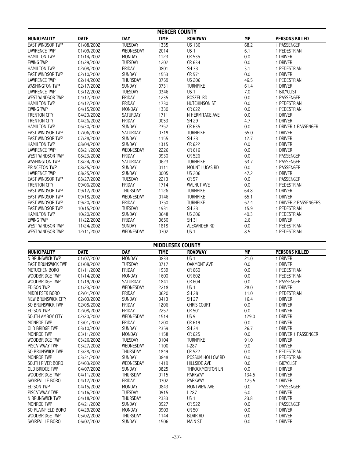| <b>MERCER COUNTY</b>    |             |                 |                         |                       |                 |                        |  |
|-------------------------|-------------|-----------------|-------------------------|-----------------------|-----------------|------------------------|--|
| <b>MUNICIPALITY</b>     | <b>DATE</b> | <b>DAY</b>      | <b>TIME</b>             | <b>ROADWAY</b>        | $\overline{MP}$ | <b>PERSONS KILLED</b>  |  |
| <b>EAST WINDSOR TWP</b> | 01/08/2002  | <b>TUESDAY</b>  | 1335                    | <b>US 130</b>         | 68.2            | 1 PASSENGER            |  |
| <b>LAWRENCE TWP</b>     | 01/09/2002  | WEDNESDAY       | 2014                    | US <sub>1</sub>       | 6.1             | 1 PEDESTRIAN           |  |
| <b>HAMILTON TWP</b>     | 01/14/2002  | <b>MONDAY</b>   | 1123                    | CR 535                | 0.0             | 1 DRIVER               |  |
| <b>EWING TWP</b>        | 01/29/2002  | <b>TUESDAY</b>  | 1202                    | CR 634                | 0.0             | 1 DRIVER               |  |
| <b>HAMILTON TWP</b>     | 02/08/2002  | <b>FRIDAY</b>   | 0801                    | SH 33                 | 3.1             | 1 PEDESTRIAN           |  |
| <b>EAST WINDSOR TWP</b> | 02/10/2002  | SUNDAY          | 1553                    | CR 571                | 0.0             | 1 DRIVER               |  |
| <b>LAWRENCE TWP</b>     | 02/14/2002  | <b>THURSDAY</b> | 0759                    | <b>US 206</b>         | 46.5            | 1 PEDESTRIAN           |  |
| <b>WASHINGTON TWP</b>   | 02/17/2002  | SUNDAY          | 0731                    | <b>TURNPIKE</b>       | 61.4            | 1 DRIVER               |  |
| <b>LAWRENCE TWP</b>     | 03/12/2002  | <b>TUESDAY</b>  | 0346                    | US <sub>1</sub>       | $7.0\,$         | 1 BICYCLIST            |  |
| <b>WEST WINDSOR TWP</b> | 04/12/2002  | FRIDAY          | 1235                    | ROSZEL RD             | 0.0             | 1 PASSENGER            |  |
| <b>HAMILTON TWP</b>     | 04/12/2002  | <b>FRIDAY</b>   | 1730                    | <b>HUTCHINSON ST</b>  | 0.0             | 1 PEDESTRIAN           |  |
| <b>EWING TWP</b>        | 04/15/2002  | <b>MONDAY</b>   | 1330                    | CR 622                | 0.0             | 1 PEDESTRIAN           |  |
| <b>TRENTON CITY</b>     | 04/20/2002  | SATURDAY        | 1711                    | N HERMITAGE AVE       | 0.0             | 1 DRIVER               |  |
| <b>TRENTON CITY</b>     | 04/26/2002  | <b>FRIDAY</b>   | 0053                    | SH 29                 | 4.7             | 1 DRIVER               |  |
| <b>HAMILTON TWP</b>     | 06/30/2002  | SUNDAY          | 2352                    | CR 635                | 0.0             | 1 DRIVER, 1 PASSENGER  |  |
| <b>EAST WINDSOR TWP</b> | 07/06/2002  | SATURDAY        | 0719                    | <b>TURNPIKE</b>       | 65.0            | 1 DRIVER               |  |
| <b>EAST WINDSOR TWP</b> | 07/28/2002  | SUNDAY          | 1155                    | <b>SH 33</b>          | 12.7            | 1 DRIVER               |  |
| <b>HAMILTON TWP</b>     | 08/04/2002  | <b>SUNDAY</b>   | 1315                    | CR 622                | 0.0             | 1 DRIVER               |  |
| <b>LAWRENCE TWP</b>     | 08/21/2002  | WEDNESDAY       | 2226                    | CR 616                | 0.0             | 1 DRIVER               |  |
| <b>WEST WINDSOR TWP</b> | 08/23/2002  | <b>FRIDAY</b>   | 0930                    | CR 526                | 0.0             | 1 PASSENGER            |  |
| <b>WASHINGTON TWP</b>   | 08/24/2002  | <b>SATURDAY</b> | 0623                    | <b>TURNPIKE</b>       | 63.7            | 1 PASSENGER            |  |
| PRINCETON TWP           | 08/25/2002  | <b>SUNDAY</b>   | 0111                    | <b>MOUNT LUCAS RD</b> | 0.0             | 1 PASSENGER            |  |
| <b>LAWRENCE TWP</b>     | 08/25/2002  | <b>SUNDAY</b>   | 0005                    | <b>US 206</b>         | 47.2            | 1 DRIVER               |  |
| <b>EAST WINDSOR TWP</b> | 08/27/2002  | <b>TUESDAY</b>  | 2213                    | CR 571                | 0.0             | 1 PASSENGER            |  |
| <b>TRENTON CITY</b>     | 09/06/2002  | FRIDAY          | 1714                    | <b>WALNUT AVE</b>     | 0.0             | 1 PEDESTRIAN           |  |
| <b>EAST WINDSOR TWP</b> | 09/12/2002  | THURSDAY        | 1126                    | <b>TURNPIKE</b>       | 64.8            | 1 DRIVER               |  |
| <b>EAST WINDSOR TWP</b> | 09/18/2002  | WEDNESDAY       | 0146                    | <b>TURNPIKE</b>       | 65.1            | 1 DRIVER               |  |
| <b>EAST WINDSOR TWP</b> | 09/20/2002  | FRIDAY          | 0750                    | <b>TURNPIKE</b>       | 67.4            | 1 DRIVER, 2 PASSENGERS |  |
| <b>EAST WINDSOR TWP</b> | 10/15/2002  | <b>TUESDAY</b>  | 1931                    | <b>SH 33</b>          | 15.9            | 1 PEDESTRIAN           |  |
| <b>HAMILTON TWP</b>     | 10/20/2002  | <b>SUNDAY</b>   | 0648                    | <b>US 206</b>         | 40.3            | 1 PEDESTRIAN           |  |
| <b>EWING TWP</b>        | 11/22/2002  | <b>FRIDAY</b>   | 0650                    | SH 31                 | 2.6             | 1 DRIVER               |  |
| <b>WEST WINDSOR TWP</b> | 11/24/2002  | <b>SUNDAY</b>   | 1818                    | ALEXANDER RD          | 0.0             | 1 PEDESTRIAN           |  |
| <b>WEST WINDSOR TWP</b> | 12/11/2002  | WEDNESDAY       | 0702                    | US <sub>1</sub>       | 8.5             | 1 PEDESTRIAN           |  |
|                         |             |                 | <b>MIDDLESEX COUNTY</b> |                       |                 |                        |  |
| <b>MIINICIPALITY</b>    | <b>DATF</b> | <b>DAY</b>      | <b>TIMF</b>             | <b>ROADWAY</b>        | <b>MP</b>       | <b>PERSONS KILLED</b>  |  |

|                           |             |                 | IIIDDLLJLA JOUN I |                     |                 |                       |
|---------------------------|-------------|-----------------|-------------------|---------------------|-----------------|-----------------------|
| <b>MUNICIPALITY</b>       | <b>DATE</b> | <b>DAY</b>      | <b>TIME</b>       | <b>ROADWAY</b>      | $\overline{MP}$ | <b>PERSONS KILLED</b> |
| N BRUNSWICK TWP           | 01/07/2002  | <b>MONDAY</b>   | 0833              | US <sub>1</sub>     | 21.0            | <b>DRIVER</b>         |
| <b>EAST BRUNSWICK TWP</b> | 01/08/2002  | <b>TUESDAY</b>  | 0717              | <b>OAKMONT AVE</b>  | 0.0             | 1 DRIVER              |
| METUCHEN BORO             | 01/11/2002  | FRIDAY          | 1939              | CR 660              | 0.0             | 1 PEDESTRIAN          |
| WOODBRIDGE TWP            | 01/14/2002  | <b>MONDAY</b>   | 1600              | CR 602              | 0.0             | 1 PEDESTRIAN          |
| WOODBRIDGE TWP            | 01/19/2002  | <b>SATURDAY</b> | 1841              | CR 604              | 0.0             | 1 PASSENGER           |
| <b>EDISON TWP</b>         | 01/23/2002  | WEDNESDAY       | 2218              | US <sub>1</sub>     | 28.0            | 1 DRIVER              |
| MIDDLESEX BORO            | 02/01/2002  | <b>FRIDAY</b>   | 0620              | <b>SH 28</b>        | 11.0            | 1 PEDESTRIAN          |
| NEW BRUNSWICK CITY        | 02/03/2002  | <b>SUNDAY</b>   | 0413              | SH 27               | 16.4            | 1 DRIVER              |
| SO BRUNSWICK TWP          | 02/08/2002  | <b>FRIDAY</b>   | 1206              | <b>CHRIS COURT</b>  | 0.0             | 1 DRIVER              |
| <b>EDISON TWP</b>         | 02/08/2002  | FRIDAY          | 2257              | CR 501              | 0.0             | 1 DRIVER              |
| SOUTH AMBOY CITY          | 02/20/2002  | WEDNESDAY       | 1514              | US <sub>9</sub>     | 129.0           | 1 DRIVER              |
| <b>MONROE TWP</b>         | 03/01/2002  | <b>FRIDAY</b>   | 1200              | CR 619              | 0.0             | 1 DRIVER              |
| <b>OLD BRIDGE TWP</b>     | 03/10/2002  | <b>SUNDAY</b>   | 2359              | SH 34               | 26.7            | <b>DRIVER</b>         |
| MONROE TWP                | 03/11/2002  | <b>MONDAY</b>   | 1158              | CR 625              | 0.0             | DRIVER,1 PASSENGER    |
| WOODBRIDGE TWP            | 03/26/2002  | <b>TUESDAY</b>  | 0104              | <b>TURNPIKE</b>     | 91.0            | <b>DRIVER</b>         |
| <b>PISCATAWAY TWP</b>     | 03/27/2002  | WEDNESDAY       | 1100              | $-287$              | 9.0             | 1 DRIVER              |
| SO BRUNSWICK TWP          | 03/28/2002  | <b>THURSDAY</b> | 1849              | CR 522              | 0.0             | 1 PEDESTRIAN          |
| MONROE TWP                | 03/31/2002  | <b>SUNDAY</b>   | 0848              | POSSUM HOLLOW RD    | 0.0             | 1 PEDESTRIAN          |
| SOUTH RIVER BORO          | 04/03/2002  | WEDNESDAY       | 1419              | <b>HILLSIDE AVE</b> | 0.0             | <b>BICYCLIST</b>      |
| <b>OLD BRIDGE TWP</b>     | 04/07/2002  | <b>SUNDAY</b>   | 0825              | THROCKMORTON LN     | 0.0             | 1 DRIVER              |
| WOODBRIDGE TWP            | 04/11/2002  | <b>THURSDAY</b> | 0115              | <b>PARKWAY</b>      | 134.5           | 1 DRIVER              |
| SAYREVILLE BORO           | 04/12/2002  | <b>FRIDAY</b>   | 0302              | <b>PARKWAY</b>      | 125.5           | <b>DRIVER</b>         |
| <b>EDISON TWP</b>         | 04/15/2002  | <b>MONDAY</b>   | 0843              | <b>MONTVIEW AVE</b> | 0.0             | 1 PASSENGER           |
| <b>PISCATAWAY TWP</b>     | 04/16/2002  | <b>TUESDAY</b>  | 0915              | $1-287$             | 6.0             | 1 DRIVER              |
| N BRUNSWICK TWP           | 04/18/2002  | <b>THURSDAY</b> | 2333              | US <sub>1</sub>     | 23.8            | 1 DRIVER              |
| MONROE TWP                | 04/21/2002  | <b>SUNDAY</b>   | 0927              | CR 522              | 0.0             | 1 PASSENGER           |
| SO PLAINFIELD BORO        | 04/29/2002  | <b>MONDAY</b>   | 0903              | CR 501              | 0.0             | 1 DRIVER              |
| WOODBRIDGE TWP            | 05/02/2002  | <b>THURSDAY</b> | 1144              | <b>BLAIR RD</b>     | 0.0             | <b>DRIVER</b>         |
| SAYREVILLE BORO           | 06/02/2002  | <b>SUNDAY</b>   | 1506              | <b>MAIN ST</b>      | 0.0             | 1 DRIVER              |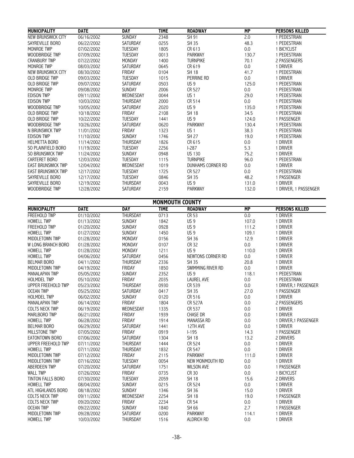| <b>MUNICIPALITY</b>       | <b>DATE</b> | <b>DAY</b>      | <b>TIME</b>            | <b>ROADWAY</b>    | <b>MP</b> | <b>PERSONS KILLED</b> |
|---------------------------|-------------|-----------------|------------------------|-------------------|-----------|-----------------------|
| <b>NEW BRUNSWICK CITY</b> | 06/16/2002  | <b>SUNDAY</b>   | 2348                   | SH 91             | 2.0       | 1 PEDESTRIAN          |
| SAYREVILLE BORO           | 06/22/2002  | SATURDAY        | 0255                   | SH 35             | 48.3      | 1 PEDESTRIAN          |
| <b>MONROE TWP</b>         | 07/02/2002  | <b>TUESDAY</b>  | 1805                   | CR 613            | 0.0       | 1 BICYCLIST           |
| WOODBRIDGE TWP            | 07/09/2002  | <b>TUESDAY</b>  | 0013                   | <b>PARKWAY</b>    | 130.7     | 1 PEDESTRIAN          |
| <b>CRANBURY TWP</b>       | 07/22/2002  | <b>MONDAY</b>   | 1400                   | <b>TURNPIKE</b>   | 70.1      | 2 PASSENGERS          |
| MONROE TWP                | 08/03/2002  | SATURDAY        | 0645                   | CR 619            | 0.0       | 1 DRIVER              |
| NEW BRUNSWICK CITY        | 08/30/2002  | FRIDAY          | 0104                   | <b>SH 18</b>      | 41.7      | 1 PEDESTRIAN          |
| <b>OLD BRIDGE TWP</b>     | 09/03/2002  | <b>TUESDAY</b>  | 1015                   | <b>PERRINE RD</b> | 0.0       | 1 DRIVER              |
| OLD BRIDGE TWP            | 09/07/2002  | SATURDAY        | 0503                   | US <sub>9</sub>   | 125.0     | 1 PEDESTRIAN          |
| MONROE TWP                | 09/08/2002  | <b>SUNDAY</b>   | 2006                   | CR 527            | 0.0       | 1 PEDESTRIAN          |
| <b>EDISON TWP</b>         | 09/11/2002  | WEDNESDAY       | 0044                   | US <sub>1</sub>   | 29.0      | 1 PEDESTRIAN          |
| <b>EDISON TWP</b>         | 10/03/2002  | <b>THURSDAY</b> | 2000                   | CR 514            | 0.0       | 1 PEDESTRIAN          |
| WOODBRIDGE TWP            | 10/05/2002  | <b>SATURDAY</b> | 2020                   | US <sub>9</sub>   | 135.0     | 1 PEDESTRIAN          |
| <b>OLD BRIDGE TWP</b>     | 10/18/2002  | <b>FRIDAY</b>   | 2108                   | <b>SH 18</b>      | 34.5      | 1 PEDESTRIAN          |
| OLD BRIDGE TWP            | 10/22/2002  | <b>TUESDAY</b>  | 1441                   | US <sub>9</sub>   | 124.0     | 1 PASSENGER           |
| <b>WOODBRIDGE TWP</b>     | 10/26/2002  | SATURDAY        | 0620                   | <b>PARKWAY</b>    | 130.4     | 1 PEDESTRIAN          |
| N BRUNSWICK TWP           | 11/01/2002  | FRIDAY          | 1323                   | US <sub>1</sub>   | 38.3      | 1 PEDESTRIAN          |
| <b>EDISON TWP</b>         | 11/10/2002  | SUNDAY          | 1746                   | <b>SH 27</b>      | 19.0      | 1 PEDESTRIAN          |
| <b>HELMETTA BORO</b>      | 11/14/2002  | <b>THURSDAY</b> | 1826                   | CR 615            | 0.0       | 1 DRIVER              |
| SO PLAINFIELD BORO        | 11/19/2002  | <b>TUESDAY</b>  | 2256                   | $1-287$           | 5.3       | 1 DRIVER              |
| SO BRUNSWICK TWP          | 11/24/2002  | <b>SUNDAY</b>   | 0948                   | <b>US 130</b>     | 75.2      | 1 DRIVER              |
| CARTERET BORO             | 12/03/2002  | <b>TUESDAY</b>  | 1115                   | <b>TURNPIKE</b>   | 96.0      | 1 PEDESTRIAN          |
| <b>EAST BRUNSWICK TWP</b> | 12/04/2002  | WEDNESDAY       | 1019                   | DUNHAMS CORNER RD | 0.0       | 1 DRIVER              |
| <b>EAST BRUNSWICK TWP</b> | 12/17/2002  | <b>TUESDAY</b>  | 1725                   | CR 527            | 0.0       | 1 PEDESTRIAN          |
| SAYREVILLE BORO           | 12/17/2002  | <b>TUESDAY</b>  | 0846                   | <b>SH 35</b>      | 48.2      | 1 PASSENGER           |
| SAYREVILLE BORO           | 12/19/2002  | <b>THURSDAY</b> | 0043                   | <b>US9</b>        | 131.0     | 1 DRIVER              |
| WOODBRIDGE TWP            | 12/28/2002  | SATURDAY        | 2159                   | <b>PARKWAY</b>    | 132.0     | 1 DRIVER, 1 PASSENGER |
|                           |             |                 | <b>MONMOUTH COUNTY</b> |                   |           |                       |
| <b>MUNICIPALITY</b>       | <b>DATE</b> | <b>DAY</b>      | <b>TIME</b>            | <b>ROADWAY</b>    | <b>MP</b> | <b>PERSONS KILLED</b> |
| <b>FREEHOLD TWP</b>       | 01/10/2002  | <b>THURSDAY</b> | 0713                   | CR 53             | 0.0       | 1 DRIVER              |
| <b>HOWELL TWP</b>         | 01/13/2002  | SUNDAY          | 1842                   | US <sub>9</sub>   | 107.0     | 1 DRIVER              |
| <b>FREEHOLD TWP</b>       | 01/20/2002  | <b>SUNDAY</b>   | 0928                   | US <sub>9</sub>   | 111.2     | 1 DRIVER              |

| <b>HOWELL IWP</b>     | 01/13/2002 | <b>SUNDAY</b>   | 1842 | บว ฯ              | 107.0 | I DRIVER              |
|-----------------------|------------|-----------------|------|-------------------|-------|-----------------------|
| FREEHOLD TWP          | 01/20/2002 | <b>SUNDAY</b>   | 0928 | US <sub>9</sub>   | 111.2 | 1 DRIVER              |
| <b>HOWELL TWP</b>     | 01/27/2002 | <b>SUNDAY</b>   | 1450 | US <sub>9</sub>   | 109.1 | 1 DRIVER              |
| MIDDLETOWN TWP        | 01/28/2002 | <b>MONDAY</b>   | 0156 | SH 36             | 12.9  | 1 DRIVER              |
| W LONG BRANCH BORO    | 01/28/2002 | <b>MONDAY</b>   | 0107 | CR 32             | 0.0   | 1 DRIVER              |
| <b>HOWELL TWP</b>     | 01/28/2002 | MONDAY          | 1211 | US <sub>9</sub>   | 110.0 | 1 DRIVER              |
| <b>HOWELL TWP</b>     | 04/06/2002 | <b>SATURDAY</b> | 0456 | NEWTONS CORNER RD | 0.0   | 1 DRIVER              |
| <b>BELMAR BORO</b>    | 04/11/2002 | <b>THURSDAY</b> | 2336 | <b>SH 35</b>      | 20.8  | 1 DRIVER              |
| MIDDLETOWN TWP        | 04/19/2002 | <b>FRIDAY</b>   | 1850 | SWIMMING RIVER RD | 0.0   | 1 DRIVER              |
| <b>MANALAPAN TWP</b>  | 05/05/2002 | <b>SUNDAY</b>   | 2352 | US <sub>9</sub>   | 118.1 | 1 PEDESTRIAN          |
| <b>HOLMDEL TWP</b>    | 05/10/2002 | FRIDAY          | 2035 | <b>LAUREL AVE</b> | 0.0   | 1 PEDESTRIAN          |
| UPPER FREEHOLD TWP    | 05/23/2002 | <b>THURSDAY</b> | 0930 | CR 539            | 0.0   | 1 DRIVER, 1 PASSENGER |
| <b>OCEAN TWP</b>      | 05/25/2002 | SATURDAY        | 0417 | SH 35             | 27.0  | 1 PASSENGER           |
| <b>HOLMDEL TWP</b>    | 06/02/2002 | SUNDAY          | 0120 | CR 516            | 0.0   | 1 DRIVER              |
| <b>MANALAPAN TWP</b>  | 06/14/2002 | FRIDAY          | 1804 | <b>CR 527A</b>    | 0.0   | 2 PASSENGERS          |
| COLTS NECK TWP        | 06/19/2002 | WEDNESDAY       | 1335 | CR 537            | 0.0   | 1 DRIVER              |
| <b>MARLBORO TWP</b>   | 06/21/2002 | <b>FRIDAY</b>   | 1939 | <b>CHASE DR</b>   | 0.0   | 1 DRIVER              |
| <b>HOWELL TWP</b>     | 06/28/2002 | FRIDAY          | 1914 | <b>MANASSA RD</b> | 0.0   | 1 DRIVER, 1 PASSENGER |
| <b>BELMAR BORO</b>    | 06/29/2002 | <b>SATURDAY</b> | 1441 | 12TH AVE          | 0.0   | 1 DRIVER              |
| <b>MILLSTONE TWP</b>  | 07/05/2002 | <b>FRIDAY</b>   | 0919 | $1-195$           | 14.3  | 1 PASSENGER           |
| EATONTOWN BORO        | 07/06/2002 | <b>SATURDAY</b> | 1304 | <b>SH 18</b>      | 13.2  | 2 DRIVERS             |
| UPPER FREEHOLD TWP    | 07/11/2002 | <b>THURSDAY</b> | 1444 | CR 524            | 0.0   | 1 DRIVER              |
| <b>HOWELL TWP</b>     | 07/11/2002 | <b>THURSDAY</b> | 1832 | CR 547            | 0.0   | 1 DRIVER              |
| MIDDLETOWN TWP        | 07/12/2002 | FRIDAY          | 2115 | <b>PARKWAY</b>    | 111.0 | 1 DRIVER              |
| MIDDLETOWN TWP        | 07/16/2002 | <b>TUESDAY</b>  | 0054 | NEW MONMOUTH RD   | 0.0   | 1 DRIVER              |
| ABERDEEN TWP          | 07/20/2002 | <b>SATURDAY</b> | 1751 | <b>WILSON AVE</b> | 0.0   | 1 PASSENGER           |
| <b>WALL TWP</b>       | 07/26/2002 | FRIDAY          | 0735 | CR 30             | 0.0   | 1 BICYCLIST           |
| TINTON FALLS BORO     | 07/30/2002 | <b>TUESDAY</b>  | 2059 | <b>SH 18</b>      | 15.6  | 2 DRIVERS             |
| <b>HOWELL TWP</b>     | 08/04/2002 | <b>SUNDAY</b>   | 0215 | CR 524            | 0.0   | 1 DRIVER              |
| ATL HIGHLANDS BORO    | 08/18/2002 | <b>SUNDAY</b>   | 1346 | SH 36             | 15.0  | 1 DRIVER              |
| <b>COLTS NECK TWP</b> | 09/11/2002 | WEDNESDAY       | 2254 | <b>SH 18</b>      | 19.0  | 1 PASSENGER           |
| <b>COLTS NECK TWP</b> | 09/20/2002 | <b>FRIDAY</b>   | 2234 | <b>CR 54</b>      | 0.0   | 1 DRIVER              |
| <b>OCEAN TWP</b>      | 09/22/2002 | <b>SUNDAY</b>   | 1840 | SH 66             | 2.7   | 1 PASSENGER           |
| MIDDLETOWN TWP        | 09/28/2002 | <b>SATURDAY</b> | 0200 | <b>PARKWAY</b>    | 114.1 | 1 DRIVER              |
| <b>HOWELL TWP</b>     | 10/03/2002 | <b>THURSDAY</b> | 1516 | <b>ALDRICH RD</b> | 0.0   | 1 DRIVER              |
|                       |            |                 |      |                   |       |                       |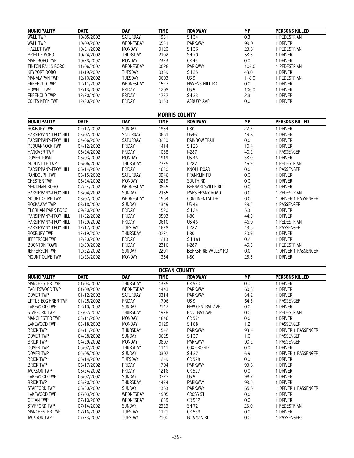| <b>MUNICIPALITY</b>   | <b>DATE</b>              | <b>DAY</b>      | <b>TIME</b>          | <b>ROADWAY</b>          | <b>MP</b>       | <b>PERSONS KILLED</b>             |
|-----------------------|--------------------------|-----------------|----------------------|-------------------------|-----------------|-----------------------------------|
| <b>WALL TWP</b>       | 10/05/2002               | <b>SATURDAY</b> | 1931                 | SH 34                   | 0.3             | 1 PEDESTRIAN                      |
| <b>WALL TWP</b>       | 10/09/2002               | WEDNESDAY       | 0531                 | PARKWAY                 | 99.0            | 1 DRIVER                          |
| <b>HAZLET TWP</b>     | 10/21/2002               | MONDAY          | 0120                 | SH 36                   | 23.6            | 1 PEDESTRIAN                      |
| <b>BRIELLE BORO</b>   | 10/24/2002               | THURSDAY        | 2102                 | SH 70                   | 58.6            | 1 DRIVER                          |
| MARLBORO TWP          | 10/28/2002               | MONDAY          | 2333                 | CR 46                   | 0.0             | 1 DRIVER                          |
| TINTON FALLS BORO     | 11/06/2002               | WEDNESDAY       | 0026                 | PARKWAY                 | 106.0           | 1 PEDESTRIAN                      |
| <b>KEYPORT BORO</b>   | 11/19/2002               | TUESDAY         | 0359                 | SH 35                   | 43.0            | 1 DRIVER                          |
| <b>MANALAPAN TWP</b>  | 12/10/2002               | <b>TUESDAY</b>  | 0603                 | US <sub>9</sub>         | 118.0           | 1 PEDESTRIAN                      |
| <b>FREEHOLD TWP</b>   | 12/11/2002               | WEDNESDAY       | 1527                 | HAVENS MILL RD          | 0.0             | 1 DRIVER                          |
| <b>HOWELL TWP</b>     | 12/13/2002               | FRIDAY          | 1208                 | US <sub>9</sub>         | 106.0           | 1 DRIVER                          |
| FREEHOLD TWP          | 12/20/2002               | FRIDAY          | 1737                 | SH 33                   | 2.3             | 1 DRIVER                          |
| COLTS NECK TWP        | 12/20/2002               | <b>FRIDAY</b>   | 0153                 | <b>ASBURY AVE</b>       | 0.0             | 1 DRIVER                          |
|                       |                          |                 |                      |                         |                 |                                   |
|                       |                          |                 | <b>MORRIS COUNTY</b> |                         |                 |                                   |
| <b>MUNICIPALITY</b>   | <b>DATE</b>              | <b>DAY</b>      | <b>TIME</b>          | <b>ROADWAY</b>          | <b>MP</b>       | <b>PERSONS KILLED</b>             |
| <b>ROXBURY TWP</b>    | 02/17/2002               | <b>SUNDAY</b>   | 1854                 | $I-80$                  | 27.3            | 1 DRIVER                          |
| PARSIPPANY-TROY HILL  | 03/02/2002               | <b>SATURDAY</b> | 0651                 | <b>US46</b>             | 49.8            | 1 DRIVER                          |
| PARSIPPANY-TROY HILL  | 04/06/2002               | SATURDAY        | 0230                 | <b>RAINBOW TRAIL</b>    | 0.0             | 1 DRIVER                          |
|                       |                          | FRIDAY          | 1414                 |                         | 10.4            | 1 DRIVER                          |
| PEQUANNOCK TWP        | 04/12/2002<br>05/24/2002 |                 |                      | SH 23                   |                 |                                   |
| <b>HANOVER TWP</b>    |                          | FRIDAY          | 1038                 | $1-287$                 | 40.2            | 1 PASSENGER<br>1 DRIVER           |
| <b>DOVER TOWN</b>     | 06/03/2002               | MONDAY          | 1919                 | <b>US 46</b>            | 38.0            |                                   |
| MONTVILLE TWP         | 06/06/2002               | THURSDAY        | 2325                 | $1-287$                 | 46.9            | 1 PEDESTRIAN                      |
| PARSIPPANY-TROY HILL  | 06/14/2002               | FRIDAY          | 1630                 | <b>KNOLL ROAD</b>       | 0.0             | 1 PASSENGER                       |
| RANDOLPH TWP          | 06/15/2002               | SATURDAY        | 0946                 | <b>FRANKLIN RD</b>      | 0.0             | 1 DRIVER                          |
| <b>CHESTER TWP</b>    | 06/24/2002               | MONDAY          | 0219                 | SOUTH RD                | 0.0             | 1 DRIVER                          |
| MENDHAM BORO          | 07/24/2002               | WEDNESDAY       | 0825                 | <b>BERNARDSVILLE RD</b> | 0.0             | 1 DRIVER                          |
| PARSIPPANY-TROY HILL  | 08/04/2002               | <b>SUNDAY</b>   | 2155                 | PARSIPPANY ROAD         | 0.0             | 1 PEDESTRIAN                      |
| MOUNT OLIVE TWP       | 08/07/2002               | WEDNESDAY       | 1554                 | CONTINENTAL DR          | 0.0             | 1 DRIVER, 1 PASSENGER             |
| <b>ROCKAWAY TWP</b>   | 08/18/2002               | SUNDAY          | 1349                 | <b>US 46</b>            | 39.5            | 1 PASSENGER                       |
| FLORHAM PARK BORO     | 09/20/2002               | FRIDAY          | 1520                 | <b>SH 24</b>            | 5.3             | 1 DRIVER                          |
| PARSIPPANY-TROY HILL  | 11/22/2002               | FRIDAY          | 0503                 | $ -80$                  | 44.3            | 1 DRIVER                          |
| PARSIPPANY-TROY HILL  | 11/29/2002               | FRIDAY          | 0610                 | <b>US 46</b>            | 46.0            | 1 PEDESTRIAN                      |
| PARSIPPANY-TROY HILL  | 12/17/2002               | TUESDAY         | 1638                 | $1-287$                 | 43.5            | 1 PASSENGER                       |
| <b>ROXBURY TWP</b>    | 12/19/2002               | THURSDAY        | 0221                 | $ -80$                  | 30.9            | 1 DRIVER                          |
| <b>JEFFERSON TWP</b>  | 12/20/2002               | FRIDAY          | 1213                 | SH 181                  | 0.2             | 1 DRIVER                          |
| <b>BOONTON TOWN</b>   | 12/20/2002               | FRIDAY          | 2316                 | $1-287$                 | 45.5            | 1 PEDESTRIAN                      |
| <b>JEFFERSON TWP</b>  | 12/22/2002               | SUNDAY          | 2201                 | BERKSHIRE VALLEY RD     | 0.0             | 1 DRIVER, 1 PASSENGER             |
| MOUNT OLIVE TWP       | 12/23/2002               | MONDAY          | 1354                 | $ -80$                  | 25.5            | 1 DRIVER                          |
|                       |                          |                 |                      |                         |                 |                                   |
|                       |                          |                 | <b>OCEAN COUNTY</b>  |                         |                 |                                   |
| <b>MUNICIPALITY</b>   | <b>DATE</b>              | <b>DAY</b>      | <b>TIME</b>          | <b>ROADWAY</b>          | $\overline{MP}$ | <b>PERSONS KILLED</b>             |
| <b>MANCHESTER TWP</b> | 01/03/2002               | <b>THURSDAY</b> | 1325                 | CR 530                  | 0.0             | 1 DRIVER                          |
| EAGLESWOOD TWP        | 01/09/2002               | WEDNESDAY       | 1443                 | <b>PARKWAY</b>          | 60.8            | 1 DRIVER                          |
| <b>DOVER TWP</b>      | 01/12/2002               | <b>SATURDAY</b> | 0314                 | <b>PARKWAY</b>          | 84.2            | 1 DRIVER                          |
| LITTLE EGG HRBR TWP   | 01/25/2002               | FRIDAY          | 1706                 | US <sub>9</sub>         | 64.3            | 1 PASSENGER                       |
| LAKEWOOD TWP          | 02/10/2002               | SUNDAY          | 2147                 | NEW CENTRAL AVE         | 0.0             | 1 DRIVER                          |
| STAFFORD TWP          | 03/07/2002               | THURSDAY        | 1926                 | <b>EAST BAY AVE</b>     | 0.0             | 1 PEDESTRIAN                      |
| <b>MANCHESTER TWP</b> | 03/11/2002               | MONDAY          | 1846                 | CR 571                  | 0.0             | 1 DRIVER                          |
| LAKEWOOD TWP          | 03/18/2002               | MONDAY          | 0129                 | <b>SH 88</b>            | 1.2             | 1 PASSENGER                       |
| <b>BRICK TWP</b>      | 04/11/2002               | THURSDAY        | 1542                 | <b>PARKWAY</b>          | 93.4            | 1 DRIVER, 1 PASSENGER             |
| <b>DOVER TWP</b>      | 04/28/2002               | <b>SUNDAY</b>   | 0625                 | SH 37                   | 1.0             | 1 PASSENGER                       |
| <b>BRICK TWP</b>      | 04/29/2002               | MONDAY          | 0807                 | PARKWAY                 | 90.2            | 1 PASSENGER                       |
| DOVER TWP             | 05/02/2002               | THURSDAY        | 1141                 | COX CRO RD              | 0.0             | 1 DRIVER                          |
| <b>DOVER TWP</b>      | 05/05/2002               | SUNDAY          | 0307                 | SH 37                   | 6.9             | 1 DRIVER, 1 PASSENGER             |
| <b>BRICK TWP</b>      | 05/14/2002               | <b>TUESDAY</b>  | 1249                 | CR 528                  | 0.0             | 1 DRIVER                          |
| <b>BRICK TWP</b>      | 05/17/2002               | FRIDAY          | 1704                 | <b>PARKWAY</b>          | 93.6            | 1 DRIVER                          |
| <b>JACKSON TWP</b>    | 05/24/2002               | <b>FRIDAY</b>   | 1216                 | CR 527                  | 0.0             | 1 DRIVER                          |
| LAKEWOOD TWP          | 06/02/2002               | <b>SUNDAY</b>   | 0727                 | US <sub>9</sub>         | 98.7            | 1 DRIVER                          |
| <b>BRICK TWP</b>      | 06/20/2002               | <b>THURSDAY</b> |                      | <b>PARKWAY</b>          | 93.5            | 1 DRIVER                          |
| <b>STAFFORD TWP</b>   |                          | <b>SUNDAY</b>   | 1434<br>1353         | <b>PARKWAY</b>          | 65.5            |                                   |
| LAKEWOOD TWP          | 06/30/2002<br>07/03/2002 | WEDNESDAY       |                      | CROSS ST                |                 | 1 DRIVER, 1 PASSENGER<br>1 DRIVER |
|                       |                          |                 | 1905                 |                         | 0.0             |                                   |
| <b>OCEAN TWP</b>      | 07/10/2002               | WEDNESDAY       | 1639                 | CR 532                  | 0.0             | 1 DRIVER                          |
| STAFFORD TWP          | 07/14/2002               | SUNDAY          | 2323                 | SH 72                   | 23.0            | 1 PEDESTRIAN                      |
| MANCHESTER TWP        | 07/16/2002               | TUESDAY         | 1121                 | CR 539                  | 0.0             | 1 DRIVER                          |
| <b>JACKSON TWP</b>    | 07/23/2002               | TUESDAY         | 2100                 | <b>BOWMAN RD</b>        | 0.0             | 4 PASSENGERS                      |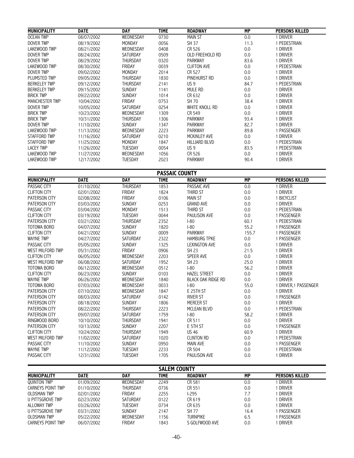| <b>MUNICIPALITY</b>     | <b>DATE</b>              | <b>DAY</b>       | <b>TIME</b>           | <b>ROADWAY</b>               | <b>MP</b>       | <b>PERSONS KILLED</b>    |
|-------------------------|--------------------------|------------------|-----------------------|------------------------------|-----------------|--------------------------|
| <b>OCEAN TWP</b>        | 08/07/2002               | WEDNESDAY        | 0730                  | <b>MAIN ST</b>               | 0.0             | 1 DRIVER                 |
| <b>DOVER TWP</b>        | 08/19/2002               | MONDAY           | 0056                  | SH 37                        | 11.3            | 1 PEDESTRIAN             |
| LAKEWOOD TWP            | 08/21/2002               | WEDNESDAY        | 0408                  | CR 526                       | 0.0             | 1 DRIVER                 |
| <b>DOVER TWP</b>        | 08/24/2002               | SATURDAY         | 0509                  | OLD FREEHOLD RD              | 0.0             | 1 DRIVER                 |
| <b>DOVER TWP</b>        | 08/29/2002               | THURSDAY         | 0320                  | <b>PARKWAY</b>               | 83.6            | 1 DRIVER                 |
| <b>LAKEWOOD TWP</b>     |                          |                  |                       |                              |                 |                          |
| <b>DOVER TWP</b>        | 08/30/2002<br>09/02/2002 | FRIDAY<br>MONDAY | 0039<br>2014          | <b>CLIFTON AVE</b><br>CR 527 | 0.0             | 1 PEDESTRIAN<br>1 DRIVER |
|                         |                          |                  |                       |                              | 0.0             |                          |
| PLUMSTED TWP            | 09/05/2002               | THURSDAY         | 1830                  | PINEHURST RD                 | 0.0             | 1 DRIVER                 |
| <b>BERKELEY TWP</b>     | 09/12/2002               | THURSDAY         | 2141                  | US <sub>9</sub>              | 84.7            | 1 PEDESTRIAN             |
| <b>BERKELEY TWP</b>     | 09/15/2002               | <b>SUNDAY</b>    | 1141                  | MULE RD                      | 0.0             | 1 DRIVER                 |
| <b>BRICK TWP</b>        | 09/22/2002               | SUNDAY           | 1014                  | CR 632                       | 0.0             | 1 DRIVER                 |
| <b>MANCHESTER TWP</b>   | 10/04/2002               | FRIDAY           | 0753                  | SH 70                        | 38.4            | 1 DRIVER                 |
| <b>DOVER TWP</b>        | 10/05/2002               | SATURDAY         | 0254                  | WHITE KNOLL RD               | 0.0             | 1 DRIVER                 |
| <b>BRICK TWP</b>        | 10/23/2002               | WEDNESDAY        | 1309                  | CR 549                       | 0.0             | 1 DRIVER                 |
| <b>BRICK TWP</b>        | 10/31/2002               | THURSDAY         | 1306                  | PARKWAY                      | 93.4            | 1 DRIVER                 |
| DOVER TWP               | 11/10/2002               | SUNDAY           | 1347                  | PARKWAY                      | 82.7            | 1 DRIVER                 |
| LAKEWOOD TWP            | 11/13/2002               | WEDNESDAY        | 2223                  | <b>PARKWAY</b>               | 89.8            | 1 PASSENGER              |
| <b>STAFFORD TWP</b>     | 11/16/2002               | SATURDAY         | 0210                  | MCKINLEY AVE                 | 0.0             | 1 DRIVER                 |
| <b>STAFFORD TWP</b>     | 11/25/2002               | MONDAY           | 1847                  | <b>HILLIARD BLVD</b>         | 0.0             | 1 PEDESTRIAN             |
| <b>LACEY TWP</b>        | 11/26/2002               | TUESDAY          | 0054                  | US <sub>9</sub>              | 83.5            | 1 PEDESTRIAN             |
| LAKEWOOD TWP            | 11/27/2002               | WEDNESDAY        | 1056                  | CR 526                       | 0.0             | 1 DRIVER                 |
| LAKEWOOD TWP            | 12/17/2002               | <b>TUESDAY</b>   | 2023                  | <b>PARKWAY</b>               | 90.4            | 1 DRIVER                 |
|                         |                          |                  |                       |                              |                 |                          |
|                         |                          |                  | <b>PASSAIC COUNTY</b> |                              |                 |                          |
| <b>MUNICIPALITY</b>     | <b>DATE</b>              | <b>DAY</b>       | <b>TIME</b>           | <b>ROADWAY</b>               | $\overline{MP}$ | <b>PERSONS KILLED</b>    |
| PASSAIC CITY            | 01/10/2002               | THURSDAY         | 1853                  | PASSAIC AVE                  | 0.0             | 1 DRIVER                 |
| <b>CLIFTON CITY</b>     | 02/01/2002               | FRIDAY           | 1824                  | THIRD ST                     | $0.0\,$         | 1 DRIVER                 |
| <b>PATERSON CITY</b>    | 02/08/2002               | FRIDAY           | 0106                  | <b>MAIN ST</b>               | 0.0             | 1 BICYCLIST              |
| PATERSON CITY           | 03/03/2002               | SUNDAY           | 0253                  | <b>GRAND AVE</b>             | 0.0             | 1 DRIVER                 |
| PASSAIC CITY            | 03/04/2002               | MONDAY           | 1513                  | THIRD ST                     | 0.0             | 1 PEDESTRIAN             |
| <b>CLIFTON CITY</b>     | 03/19/2002               | TUESDAY          | 0044                  | PAULISON AVE                 | 0.0             | 1 PASSENGER              |
| PATERSON CITY           | 03/21/2002               | THURSDAY         | 2352                  | $ -80$                       | 60.1            | 1 PEDESTRIAN             |
| <b>TOTOWA BORO</b>      | 04/07/2002               | SUNDAY           | 1820                  | $I-80$                       | 55.2            | 1 PASSENGER              |
| <b>CLIFTON CITY</b>     | 04/21/2002               | SUNDAY           | 0009                  | PARKWAY                      | 155.7           | 1 PASSENGER              |
| <b>WAYNE TWP</b>        | 04/27/2002               | SATURDAY         | 2322                  | <b>HAMBURG TPKE</b>          | 0.0             | 1 PASSENGER              |
| <b>PASSAIC CITY</b>     | 05/05/2002               | SUNDAY           | 1325                  | <b>LEXINGTON AVE</b>         | 0.0             | 1 DRIVER                 |
| <b>WEST MILFORD TWP</b> | 05/31/2002               | FRIDAY           | 0906                  | <b>SH 23</b>                 | 21.5            | 1 DRIVER                 |
| <b>CLIFTON CITY</b>     | 06/05/2002               | WEDNESDAY        | 2203                  | SPEER AVE                    | 0.0             | 1 DRIVER                 |
| <b>WEST MILFORD TWP</b> | 06/08/2002               | SATURDAY         | 1952                  | <b>SH 23</b>                 | 25.0            | 1 DRIVER                 |
| <b>TOTOWA BORO</b>      | 06/12/2002               | WEDNESDAY        | 0512                  | $ -80$                       | 56.2            | 1 DRIVER                 |
| <b>CLIFTON CITY</b>     | 06/23/2002               | SUNDAY           | 0103                  | <b>HAZEL STREET</b>          | 0.0             | 1 DRIVER                 |
|                         |                          |                  |                       | <b>BLACK OAK RIDGE RD</b>    |                 |                          |
| <b>WAYNE TWP</b>        | 06/26/2002               | WEDNESDAY        | 1840                  |                              | 0.0             | 1 DRIVER                 |
| TOTOWA BORO             | 07/03/2002               | WEDNESDAY        | 0033                  | $I-80$                       | 55.0            | 1 DRIVER, 1 PASSENGER    |
| PATERSON CITY           | 07/10/2002               | WEDNESDAY        | 1847                  | E 25TH ST                    | 0.0             | 1 DRIVER                 |
| PATERSON CITY           | 08/03/2002               | SATURDAY         | 0142                  | <b>RIVER ST</b>              | 0.0             | 1 PASSENGER              |
| PATERSON CITY           | 08/18/2002               | SUNDAY           | 1806                  | <b>MERCER ST</b>             | 0.0             | 1 DRIVER                 |
| PATERSON CITY           | 08/22/2002               | THURSDAY         | 2223                  | MCLEAN BLVD                  | 0.0             | 1 PEDESTRIAN             |
| PATERSON CITY           | 09/07/2002               | SATURDAY         | 1759                  | $I-80$                       | 58.2            | 1 DRIVER                 |
| RINGWOOD BORO           | 10/10/2002               | THURSDAY         | 1941                  | CR 511                       | 0.0             | 1 DRIVER                 |
| PATERSON CITY           | 10/13/2002               | SUNDAY           | 2207                  | E 5TH ST                     | 0.0             | 1 PASSENGER              |
| <b>CLIFTON CITY</b>     | 10/24/2002               | THURSDAY         | 1949                  | <b>US 46</b>                 | 60.9            | 1 DRIVER                 |
| <b>WEST MILFORD TWP</b> | 11/02/2002               | SATURDAY         | 1020                  | <b>CLINTON RD</b>            | 0.0             | 1 PEDESTRIAN             |
| PASSAIC CITY            | 11/10/2002               | SUNDAY           | 0950                  | <b>MAIN AVE</b>              | 0.0             | 1 PASSENGER              |
| <b>WAYNE TWP</b>        | 11/12/2002               | <b>TUESDAY</b>   | 2233                  | CR 504                       | 0.0             | 1 PEDESTRIAN             |
| PASSAIC CITY            | 12/31/2002               | TUESDAY          | 1705                  | PAULISON AVE                 | 0.0             | 1 DRIVER                 |
|                         |                          |                  |                       |                              |                 |                          |
|                         |                          |                  | <b>SALEM COUNTY</b>   |                              |                 |                          |
| <b>MUNICIPALITY</b>     | <b>DATE</b>              | <b>DAY</b>       | <b>TIME</b>           | <b>ROADWAY</b>               | MP              | <b>PERSONS KILLED</b>    |
| <b>QUINTON TWP</b>      | 01/09/2002               | WEDNESDAY        | 2249                  | CR 581                       | 0.0             | 1 DRIVER                 |
| CARNEYS POINT TWP       | 01/10/2002               | THURSDAY         | 0736                  | CR 551                       | 0.0             | 1 DRIVER                 |
| <b>OLDSMAN TWP</b>      | 02/01/2002               | FRIDAY           | 2255                  | $1-295$                      | 7.7             | 1 DRIVER                 |
| <b>U PITTSGROVE TWP</b> | 02/23/2002               | SATURDAY         | 0122                  | CR 619                       | 0.0             | 1 DRIVER                 |
| <b>ALLOWAY TWP</b>      | 03/26/2002               | <b>TUESDAY</b>   | 0734                  | CR 635                       | 0.0             | 1 DRIVER                 |
| <b>U PITTSGROVE TWP</b> | 03/31/2002               | SUNDAY           | 2147                  | SH 77                        | 16.4            | 1 PASSENGER              |
| <b>OLDSMAN TWP</b>      | 05/22/2002               | WEDNESDAY        | 1156                  | <b>TURNPIKE</b>              | 6.5             | 1 PASSENGER              |
| CARNEYS POINT TWP       | 06/07/2002               | FRIDAY           | 1843                  | S GOLFWOOD AVE               | 0.0             | 1 DRIVER                 |
|                         |                          |                  |                       |                              |                 |                          |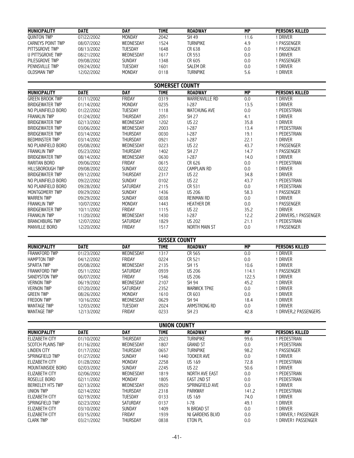| <b>MUNICIPALITY</b>   | <b>DATE</b> | DAY            | <b>TIME</b>     | <b>ROADWAY</b>  | МP        | <b>PERSONS KILLED</b> |
|-----------------------|-------------|----------------|-----------------|-----------------|-----------|-----------------------|
| <b>QUINTON TWP</b>    | 07/22/2002  | MONDAY         | 2042            | SH 49           | 11.6      | <b>DRIVER</b>         |
| CARNEYS POINT TWP     | 08/07/2002  | WEDNESDAY      | 1524            | TURNPIKE        | 4.9       | PASSENGER             |
| PITTSGROVE TWP        | 08/13/2002  | TUESDAY        | 1648            | CR 638          | 0.0       | PASSENGER             |
| U PITTSGROVE TWP      | 08/21/2002  | WEDNESDAY      | 1617            | CR 553          | 0.0       | DRIVER                |
| PILESGROVE TWP        | 09/08/2002  | <b>SUNDAY</b>  | 1348            | CR 605          | 0.0       | PASSENGER             |
| <b>PENNSVILLE TWP</b> | 09/24/2002  | <b>TUESDAY</b> | 1601            | SALEM DR        | 0.0       | DRIVER                |
| <b>OLDSMAN TWP</b>    | 12/02/2002  | <b>MONDAY</b>  | 0118            | <b>TURNPIKE</b> | 5.6       | driver                |
|                       |             |                | SOMERSET COUNTY |                 |           |                       |
| <b>MUBILITY</b>       | <b>DATE</b> | <b>DAV</b>     | <b>TIME</b>     | <b>BOARHIAM</b> | <b>MD</b> | BEBCAUS VILLEB        |

| <b>MUNICIPALITY</b>    | <b>DATE</b> | <b>DAY</b>      | TIME. | <b>ROADWAY</b>      | МP      | <b>PERSONS KILLED</b>  |
|------------------------|-------------|-----------------|-------|---------------------|---------|------------------------|
| <b>GREEN BROOK TWP</b> | 01/11/2002  | FRIDAY          | 0319  | WARRENVILLE RD      | 0.0     | 1 DRIVER               |
| <b>BRIDGEWATER TWP</b> | 01/14/2002  | MONDAY          | 0235  | $1-287$             | 13.5    | 1 DRIVER               |
| NO PLAINFIELD BORO     | 01/22/2002  | <b>TUESDAY</b>  | 1118  | <b>WATCHUNG AVE</b> | 0.0     | 1 PEDESTRIAN           |
| <b>FRANKLIN TWP</b>    | 01/24/2002  | <b>THURSDAY</b> | 2051  | SH 27               | 4.1     | 1 DRIVER               |
| <b>BRIDGEWATER TWP</b> | 02/13/2002  | WEDNESDAY       | 1202  | <b>US 22</b>        | 35.8    | 1 DRIVER               |
| <b>BRIDGEWATER TWP</b> | 03/06/2002  | WEDNESDAY       | 2003  | $1-287$             | 13.4    | 1 PEDESTRIAN           |
| <b>BRIDGEWATER TWP</b> | 03/14/2002  | <b>THURSDAY</b> | 0030  | $1-287$             | 19.1    | 1 PEDESTRIAN           |
| <b>BEDMINSTER TWP</b>  | 03/14/2002  | <b>THURSDAY</b> | 0921  | $1-287$             | 22.1    | 1 DRIVER               |
| NO PLAINFIELD BORO     | 05/08/2002  | WEDNESDAY       | 0223  | <b>US 22</b>        | 43.7    | 1 PASSENGER            |
| <b>FRANKLIN TWP</b>    | 05/23/2002  | <b>THURSDAY</b> | 1402  | <b>SH 27</b>        | 14.7    | 1 PASSENGER            |
| <b>BRIDGEWATER TWP</b> | 08/14/2002  | WEDNESDAY       | 0630  | $1-287$             | 14.0    | 1 DRIVER               |
| RARITAN BORO           | 09/06/2002  | FRIDAY          | 0615  | CR 626              | 0.0     | I PEDESTRIAN           |
| HILLSBOROUGH TWP       | 09/08/2002  | <b>SUNDAY</b>   | 0222  | CAMPLAIN RD         | $0.0\,$ | 1 DRIVER               |
| <b>BRIDGEWATER TWP</b> | 09/12/2002  | <b>THURSDAY</b> | 2317  | <b>US 22</b>        | 34.8    | 1 DRIVER               |
| NO PLAINFIELD BORO     | 09/22/2002  | <b>SUNDAY</b>   | 0102  | <b>US 22</b>        | 43.7    | 1 PEDESTRIAN           |
| NO PLAINFIELD BORO     | 09/28/2002  | <b>SATURDAY</b> | 2115  | CR 531              | 0.0     | 1 PEDESTRIAN           |
| MONTGOMERY TWP         | 09/29/2002  | <b>SUNDAY</b>   | 1436  | <b>US 206</b>       | 58.3    | 1 PASSENGER            |
| <b>WARREN TWP</b>      | 09/29/2002  | SUNDAY          | 0038  | REINMAN RD          | 0.0     | 1 DRIVER               |
| <b>FRANKLIN TWP</b>    | 10/07/2002  | <b>MONDAY</b>   | 1443  | <b>HEATHER DR</b>   | 0.0     | 1 PASSENGER            |
| <b>BRIDGEWATER TWP</b> | 10/11/2002  | FRIDAY          | 1115  | <b>US 22</b>        | 35.2    | 1 DRIVER               |
| <b>FRANKLIN TWP</b>    | 11/20/2002  | WEDNESDAY       | 1430  | $1 - 287$           | 12.2    | 2 DRIVERS, 1 PASSENGER |
| <b>BRANCHBURG TWP</b>  | 12/07/2002  | <b>SATURDAY</b> | 1829  | <b>US 202</b>       | 21.1    | 1 PEDESTRIAN           |
| <b>MANVILLE BORO</b>   | 12/20/2002  | FRIDAY          | 1517  | NORTH MAIN ST       | 0.0     | 1 PASSENGER            |

**SUSSEX COUNTY**

| <b>MUNICIPALITY</b>  | <b>DATE</b> | DAY           | <b>TIME</b> | <b>ROADWAY</b>      | МP    | <b>PERSONS KILLED</b> |  |  |  |
|----------------------|-------------|---------------|-------------|---------------------|-------|-----------------------|--|--|--|
| <b>FRANKFORD TWP</b> | 01/23/2002  | WEDNESDAY     | 1317        | CR 565              | 0.0   | <b>DRIVER</b>         |  |  |  |
| <b>HAMPTON TWP</b>   | 04/12/2002  | FRIDAY        | 0224        | CR 521              | 0.0   | DRIVER                |  |  |  |
| SPARTA TWP           | 05/08/2002  | WEDNESDAY     | 2135        | SH 15               | 10.6  | DRIVER                |  |  |  |
| FRANKFORD TWP        | 05/11/2002  | SATURDAY      | 0939        | US 206              | 114.1 | PASSENGER             |  |  |  |
| SANDYSTON TWP        | 06/07/2002  | FRIDAY        | 1546        | <b>US 206</b>       | 122.5 | DRIVER                |  |  |  |
| <b>VERNON TWP</b>    | 06/19/2002  | WEDNESDAY     | 2107        | SH 94               | 45.2  | driver                |  |  |  |
| <b>VERNON TWP</b>    | 07/20/2002  | SATURDAY      | 2352        | <b>WARWICK TPKE</b> | 0.0   | driver                |  |  |  |
| <b>GREEN TWP</b>     | 08/26/2002  | <b>MONDAY</b> | 1610        | CR 603              | 0.0   | DRIVER                |  |  |  |
| <b>FREDON TWP</b>    | 10/16/2002  | WEDNESDAY     | 0629        | SH 94               | 18.4  | driver                |  |  |  |
| <b>WANTAGE TWP</b>   | 12/03/2002  | TUESDAY       | 2024        | ARMSTRONG RD        | 0.0   | DRIVER                |  |  |  |
| <b>WANTAGE TWP</b>   | 12/13/2002  | FRIDAY        | 0233        | SH 23               | 42.8  | DRIVER.2 PASSENGERS   |  |  |  |

**UNION COUNTY MUNICIPALITY DATE DAY TIME ROADWAY MP PERSONS KILLED** ELIZABETH CITY 01/10/2002 THURSDAY 2023 TURNPIKE 99.6 1 PEDESTRIAN SCOTCH PLAINS TWP 01/16/2002 WEDNESDAY 1807 GRAND ST 0.0 1 PEDESTRIAN<br>CINDEN CITY 01/17/2002 THURSDAY 0657 TURNPIKE 98.2 1 PASSENGER LINDEN CITY 01/17/2002 THURSDAY 0657 TURNPIKE 98.2 1 PASSENGER SPRINGFIELD TWP 01/27/2002 SUNDAY 1440 TOOKER AVE 0.0 1 DRIVER<br>
ELIZABETH CITY 01/28/2002 MONDAY 2258 US 1&9 72.8 1 PEDESTRIAN ELIZABETH CITY 01/28/2002 MONDAY 2258 US 1&9 72.8 1 PEDESTRIAN MOUNTAINSIDE BORO 02/03/2002 SUNDAY 2245 US 22 50.6 1 DRIVER ELIZABETH CITY 02/06/2002 WEDNESDAY 1819 NORTH AVE EAST 0.0 1 PEDESTRIAN ROSELLE BORO 02/11/2002 MONDAY 1805 EAST 2ND ST 0.0 1 PEDESTRIAN BERKELEY HTS TWP 02/13/2002 WEDNESDAY 0920 SPRINGFIELD AVE 0.0 1 DRIVER UNION TWP 02/14/2002 THURSDAY 2318 PARKWAY 141.2 1 PEDESTRIAN ELIZABETH CITY 02/19/2002 TUESDAY 0133 US 1&9 74.0 1 DRIVER SPRINGFIELD TWP 02/23/2002 SATURDAY 0137 I-78 49.1 1 DRIVER ELIZABETH CITY 03/10/2002 SUNDAY 1409 N BROAD ST 0.0 1 DRIVER ELIZABETH CITY 03/15/2002 FRIDAY 1939 NJ GARDENS BLVD 0.0 1 DRIVER,1 PASSENGER 1 DRIVER1 PASSENGER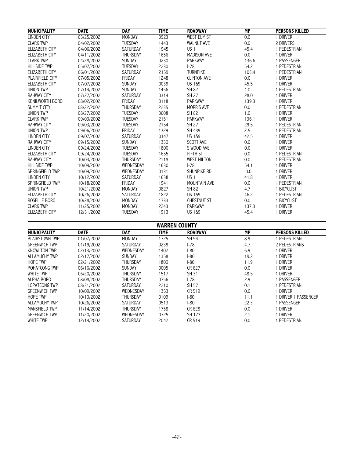| <b>MUNICIPALITY</b>    | <b>DATE</b> | <b>DAY</b>      | <b>TIME</b> | <b>ROADWAY</b>     | <b>MP</b> | <b>PERSONS KILLED</b> |
|------------------------|-------------|-----------------|-------------|--------------------|-----------|-----------------------|
| <b>LINDEN CITY</b>     | 03/25/2002  | <b>MONDAY</b>   | 0923        | <b>WEST ELM ST</b> | 0.0       | 1 DRIVER              |
| <b>CLARK TWP</b>       | 04/02/2002  | <b>TUESDAY</b>  | 1443        | <b>WALNUT AVE</b>  | 0.0       | 2 DRIVERS             |
| <b>ELIZABETH CITY</b>  | 04/06/2002  | <b>SATURDAY</b> | 1945        | US <sub>1</sub>    | 45.4      | 1 PEDESTRIAN          |
| <b>ELIZABETH CITY</b>  | 04/11/2002  | <b>THURSDAY</b> | 1656        | <b>MADISON AVE</b> | 0.0       | 1 DRIVER              |
| <b>CLARK TWP</b>       | 04/28/2002  | <b>SUNDAY</b>   | 0230        | <b>PARKWAY</b>     | 136.6     | 1 PASSENGER           |
| <b>HILLSIDE TWP</b>    | 05/07/2002  | <b>TUESDAY</b>  | 2230        | $-78$              | 54.2      | 1 PEDESTRIAN          |
| <b>ELIZABETH CITY</b>  | 06/01/2002  | <b>SATURDAY</b> | 2159        | <b>TURNPIKE</b>    | 103.4     | 1 PEDESTRIAN          |
| PLAINFIELD CITY        | 07/05/2002  | <b>FRIDAY</b>   | 1248        | <b>CLINTON AVE</b> | 0.0       | 1 DRIVER              |
| <b>ELIZABETH CITY</b>  | 07/07/2002  | <b>SUNDAY</b>   | 0039        | US 1&9             | 45.5      | 1 DRIVER              |
| <b>UNION TWP</b>       | 07/14/2002  | <b>SUNDAY</b>   | 1456        | <b>SH 82</b>       | 4.0       | 1 PEDESTRIAN          |
| <b>RAHWAY CITY</b>     | 07/27/2002  | <b>SATURDAY</b> | 0314        | SH 27              | 28.0      | 1 DRIVER              |
| <b>KENILWORTH BORO</b> | 08/02/2002  | FRIDAY          | 0118        | <b>PARKWAY</b>     | 139.3     | 1 DRIVER              |
| <b>SUMMIT CITY</b>     | 08/22/2002  | <b>THURSDAY</b> | 2235        | <b>MORRIS AVE</b>  | 0.0       | 1 PEDESTRIAN          |
| <b>UNION TWP</b>       | 08/27/2002  | <b>TUESDAY</b>  | 0608        | <b>SH 82</b>       | 1.0       | 1 DRIVER              |
| <b>CLARK TWP</b>       | 09/03/2002  | <b>TUESDAY</b>  | 2151        | <b>PARKWAY</b>     | 136.1     | 1 DRIVER              |
| <b>RAHWAY CITY</b>     | 09/03/2002  | <b>TUESDAY</b>  | 2154        | SH 27              | 29.5      | 1 PEDESTRIAN          |
| <b>UNION TWP</b>       | 09/06/2002  | <b>FRIDAY</b>   | 1329        | SH 439             | 2.5       | 1 PEDESTRIAN          |
| <b>LINDEN CITY</b>     | 09/07/2002  | <b>SATURDAY</b> | 0147        | <b>US 1&amp;9</b>  | 42.5      | 1 DRIVER              |
| <b>RAHWAY CITY</b>     | 09/15/2002  | <b>SUNDAY</b>   | 1330        | <b>SCOTT AVE</b>   | 0.0       | 1 DRIVER              |
| <b>LINDEN CITY</b>     | 09/24/2002  | <b>TUESDAY</b>  | 1800        | S WOOD AVE         | 0.0       | 1 DRIVER              |
| <b>ELIZABETH CITY</b>  | 09/24/2002  | <b>TUESDAY</b>  | 1655        | FIFTH ST           | 0.0       | 1 PEDESTRIAN          |
| <b>RAHWAY CITY</b>     | 10/03/2002  | <b>THURSDAY</b> | 2118        | <b>WEST MILTON</b> | 0.0       | 1 PEDESTRIAN          |
| <b>HILLSIDE TWP</b>    | 10/09/2002  | WEDNESDAY       | 1630        | $1-78$             | 54.1      | 1 DRIVER              |
| SPRINGFIELD TWP        | 10/09/2002  | WEDNESDAY       | 0131        | SHUNPIKE RD        | 0.0       | 1 DRIVER              |
| <b>LINDEN CITY</b>     | 10/12/2002  | <b>SATURDAY</b> | 1638        | US <sub>1</sub>    | 41.8      | 1 DRIVER              |
| SPRINGFIELD TWP        | 10/18/2002  | <b>FRIDAY</b>   | 1941        | MOUNTAIN AVE       | 0.0       | 1 PEDESTRIAN          |
| <b>UNION TWP</b>       | 10/21/2002  | <b>MONDAY</b>   | 0827        | <b>SH 82</b>       | 4.7       | 1 BICYCLIST           |
| <b>ELIZABETH CITY</b>  | 10/26/2002  | <b>SATURDAY</b> | 1822        | <b>US 1&amp;9</b>  | 46.2      | 1 PEDESTRIAN          |
| ROSELLE BORO           | 10/28/2002  | <b>MONDAY</b>   | 1733        | <b>CHESTNUT ST</b> | 0.0       | 1 BICYCLIST           |
| <b>CLARK TWP</b>       | 11/25/2002  | <b>MONDAY</b>   | 2243        | <b>PARKWAY</b>     | 137.3     | 1 DRIVER              |
| <b>ELIZABETH CITY</b>  | 12/31/2002  | <b>TUESDAY</b>  | 1913        | US 1&9             | 45.4      | 1 DRIVER              |

| <b>WARREN COUNTY</b>                                                                                      |            |                 |      |              |      |                    |  |  |  |
|-----------------------------------------------------------------------------------------------------------|------------|-----------------|------|--------------|------|--------------------|--|--|--|
| <b>MUNICIPALITY</b><br><b>DATE</b><br><b>ROADWAY</b><br>МP<br><b>PERSONS KILLED</b><br>DAY<br><b>TIME</b> |            |                 |      |              |      |                    |  |  |  |
| <b>BLAIRSTOWN TWP</b>                                                                                     | 01/07/2002 | <b>MONDAY</b>   | 1725 | SH 94        | 8.9  | PEDESTRIAN         |  |  |  |
| <b>GREENWICH TWP</b>                                                                                      | 01/19/2002 | SATURDAY        | 0239 | $1-78$       | 4.7  | 2 PEDESTRIANS      |  |  |  |
| <b>KNOWLTON TWP</b>                                                                                       | 02/13/2002 | WEDNESDAY       | 1402 | $ -80$       | 6.9  | <b>DRIVER</b>      |  |  |  |
| ALLAMUCHY TWP                                                                                             | 02/17/2002 | <b>SUNDAY</b>   | 1358 | $ -80$       | 19.2 | <b>DRIVER</b>      |  |  |  |
| <b>HOPE TWP</b>                                                                                           | 02/21/2002 | <b>THURSDAY</b> | 1800 | $ -80$       | 11.9 | <b>DRIVER</b>      |  |  |  |
| POHATCONG TWP                                                                                             | 06/16/2002 | SUNDAY          | 0005 | CR 627       | 0.0  | Driver             |  |  |  |
| <b>WHITE TWP</b>                                                                                          | 06/20/2002 | <b>THURSDAY</b> | 1517 | <b>SH 31</b> | 48.5 | <b>DRIVER</b>      |  |  |  |
| <b>ALPHA BORO</b>                                                                                         | 08/08/2002 | <b>THURSDAY</b> | 0756 | $1-78$       | 2.9  | PASSENGER          |  |  |  |
| LOPATCONG TWP                                                                                             | 08/31/2002 | SATURDAY        | 2210 | <b>SH 57</b> | 0.1  | PEDESTRIAN         |  |  |  |
| <b>GREENWICH TWP</b>                                                                                      | 10/09/2002 | WEDNESDAY       | 1353 | CR 519       | 0.0  | <b>DRIVER</b>      |  |  |  |
| <b>HOPE TWP</b>                                                                                           | 10/10/2002 | <b>THURSDAY</b> | 0109 | $ -80$       | 11.1 | DRIVER,1 PASSENGER |  |  |  |
| ALLAMUCHY TWP                                                                                             | 10/26/2002 | SATURDAY        | 0513 | $ -80$       | 22.3 | PASSENGER          |  |  |  |
| MANSFIELD TWP                                                                                             | 11/14/2002 | <b>THURSDAY</b> | 1758 | CR 628       | 0.0  | Driver             |  |  |  |
| <b>GREENWICH TWP</b>                                                                                      | 11/20/2002 | WEDNESDAY       | 0725 | SH 173       | 2.1  | <b>DRIVER</b>      |  |  |  |
| <b>WHITE TWP</b>                                                                                          | 12/14/2002 | <b>SATURDAY</b> | 2042 | CR 519       | 0.0  | PEDESTRIAN         |  |  |  |